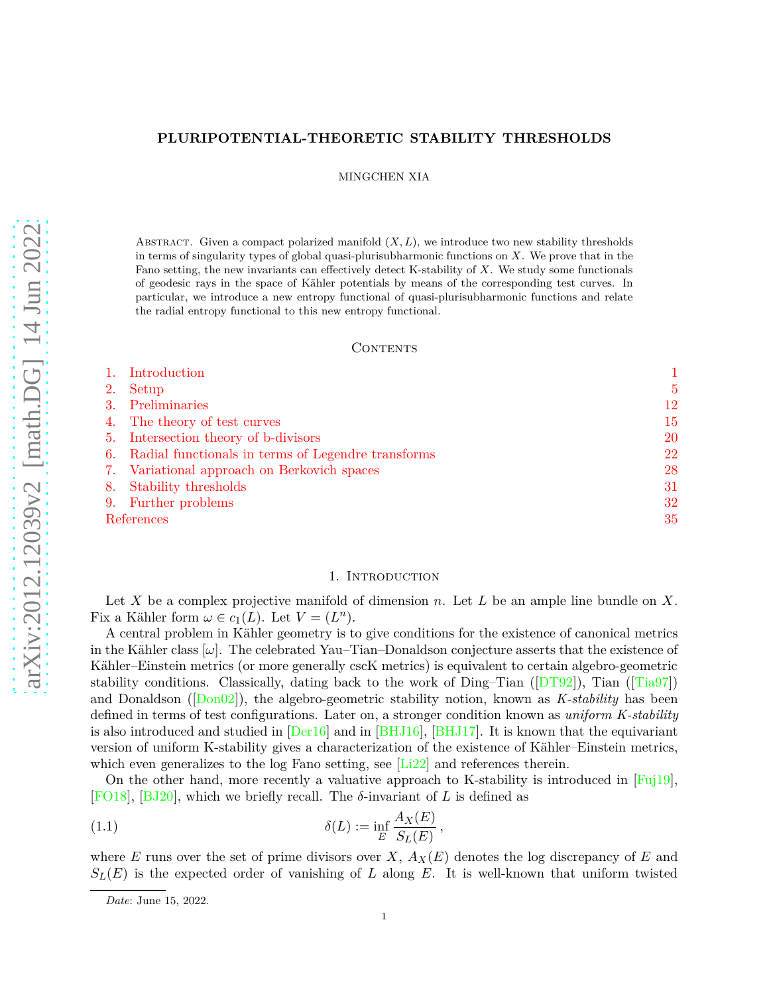# **PLURIPOTENTIAL-THEORETIC STABILITY THRESHOLDS**

MINGCHEN XIA

ABSTRACT. Given a compact polarized manifold  $(X, L)$ , we introduce two new stability thresholds in terms of singularity types of global quasi-plurisubharmonic functions on *X*. We prove that in the Fano setting, the new invariants can effectively detect K-stability of *X*. We study some functionals of geodesic rays in the space of Kähler potentials by means of the corresponding test curves. In particular, we introduce a new entropy functional of quasi-plurisubharmonic functions and relate the radial entropy functional to this new entropy functional.

## CONTENTS

|            | Introduction                                          |    |
|------------|-------------------------------------------------------|----|
| 2.         | Setup                                                 | 5  |
|            | Preliminaries                                         | 12 |
|            | 4. The theory of test curves                          | 15 |
|            | 5. Intersection theory of b-divisors                  | 20 |
|            | 6. Radial functionals in terms of Legendre transforms | 22 |
|            | 7. Variational approach on Berkovich spaces           | 28 |
| 8.         | Stability thresholds                                  | 31 |
| 9.         | Further problems                                      | 32 |
| References |                                                       | 35 |

## 1. INTRODUCTION

<span id="page-0-0"></span>Let *X* be a complex projective manifold of dimension *n*. Let *L* be an ample line bundle on *X*. Fix a Kähler form  $\omega \in c_1(L)$ . Let  $V = (L^n)$ .

A central problem in Kähler geometry is to give conditions for the existence of canonical metrics in the Kähler class  $[\omega]$ . The celebrated Yau–Tian–Donaldson conjecture asserts that the existence of Kähler–Einstein metrics (or more generally cscK metrics) is equivalent to certain algebro-geometric stability conditions. Classically, dating back to the work of Ding–Tian ( $[DT92]$  $[DT92]$ ), Tian ( $[Tia97]$ ) and Donaldson ([\[Don02](#page-36-1)]), the algebro-geometric stability notion, known as *K-stability* has been defined in terms of test configurations. Later on, a stronger condition known as *uniform K-stability* is also introduced and studied in [\[Der16\]](#page-36-2) and in [\[BHJ16](#page-34-1)], [\[BHJ17](#page-34-2)]. It is known that the equivariant version of uniform K-stability gives a characterization of the existence of Kähler–Einstein metrics, which even generalizes to the log Fano setting, see [\[Li22](#page-37-0)] and references therein.

On the other hand, more recently a valuative approach to K-stability is introduced in [\[Fuj19\]](#page-36-3), [\[FO18](#page-36-4)], [\[BJ20](#page-35-0)], which we briefly recall. The  $\delta$ -invariant of *L* is defined as

(1.1) 
$$
\delta(L) := \inf_{E} \frac{A_X(E)}{S_L(E)},
$$

where *E* runs over the set of prime divisors over *X*,  $A_X(E)$  denotes the log discrepancy of *E* and  $S_L(E)$  is the expected order of vanishing of *L* along *E*. It is well-known that uniform twisted

*Date*: June 15, 2022.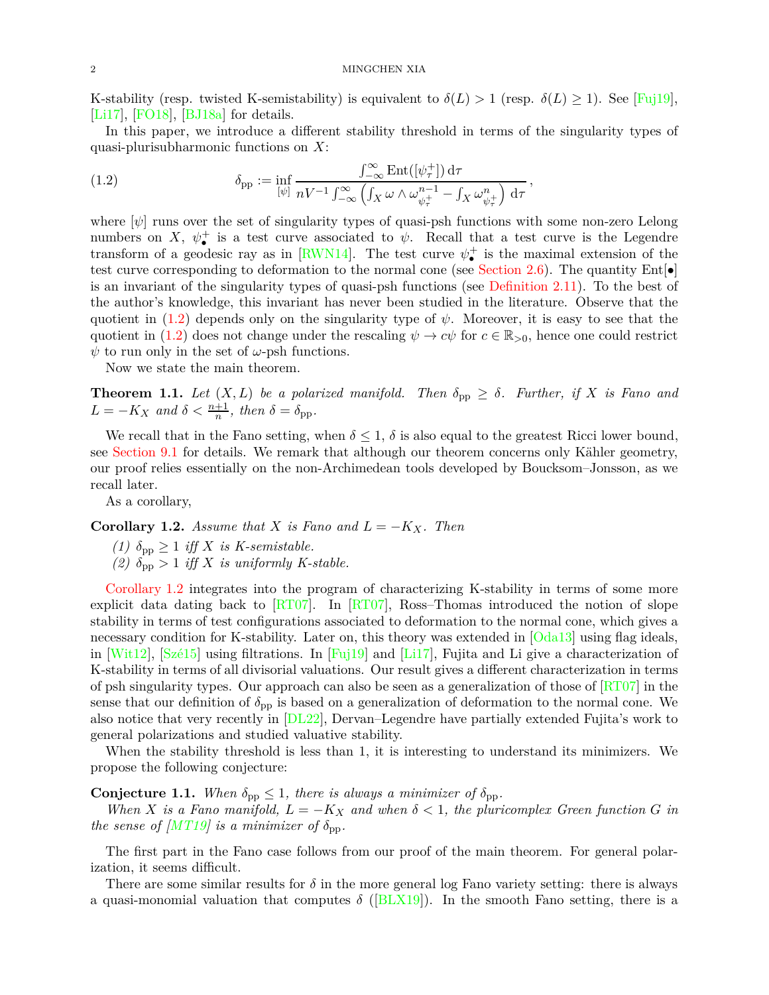#### 2 MINGCHEN XIA

K-stability (resp. twisted K-semistability) is equivalent to  $\delta(L) > 1$  (resp.  $\delta(L) \geq 1$ ). See [\[Fuj19\]](#page-36-3), [\[Li17\]](#page-37-1), [\[FO18\]](#page-36-4), [\[BJ18a](#page-35-1)] for details.

In this paper, we introduce a different stability threshold in terms of the singularity types of quasi-plurisubharmonic functions on *X*:

*,*

<span id="page-1-0"></span>(1.2) 
$$
\delta_{\text{pp}} := \inf_{[\psi]} \frac{\int_{-\infty}^{\infty} \text{Ent}([\psi_{\tau}^{+}]) d\tau}{nV^{-1} \int_{-\infty}^{\infty} \left( \int_{X} \omega \wedge \omega_{\psi_{\tau}^{+}}^{n-1} - \int_{X} \omega_{\psi_{\tau}^{+}}^{n} \right) d\tau}
$$

where  $[\psi]$  runs over the set of singularity types of quasi-psh functions with some non-zero Lelong numbers on *X*,  $\psi_{\bullet}^{+}$  is a test curve associated to  $\psi$ . Recall that a test curve is the Legendre transform of a geodesic ray as in [\[RWN14](#page-37-2)]. The test curve  $\psi_{\bullet}^{+}$  is the maximal extension of the test curve corresponding to deformation to the normal cone (see [Section 2.6\)](#page-9-0). The quantity  $Ent[\bullet]$ is an invariant of the singularity types of quasi-psh functions (see [Definition 2.11\)](#page-10-0). To the best of the author's knowledge, this invariant has never been studied in the literature. Observe that the quotient in  $(1.2)$  depends only on the singularity type of  $\psi$ . Moreover, it is easy to see that the quotient in [\(1.2\)](#page-1-0) does not change under the rescaling  $\psi \to c\psi$  for  $c \in \mathbb{R}_{>0}$ , hence one could restrict  $\psi$  to run only in the set of  $\omega$ -psh functions.

<span id="page-1-2"></span>Now we state the main theorem.

**Theorem 1.1.** Let  $(X, L)$  be a polarized manifold. Then  $\delta_{\text{pp}} \geq \delta$ . Further, if X is Fano and  $L = -K_X$  and  $\delta < \frac{n+1}{n}$ , then  $\delta = \delta_{\text{pp}}$ .

We recall that in the Fano setting, when  $\delta \leq 1$ ,  $\delta$  is also equal to the greatest Ricci lower bound, see [Section 9.1](#page-31-1) for details. We remark that although our theorem concerns only Kähler geometry, our proof relies essentially on the non-Archimedean tools developed by Boucksom–Jonsson, as we recall later.

<span id="page-1-1"></span>As a corollary,

**Corollary 1.2.** *Assume that X is Fano and*  $L = -K_X$ *. Then* 

- *(1)*  $\delta_{\text{pp}} \geq 1$  *iff X is K-semistable.*
- *(2)*  $\delta_{\text{pp}} > 1$  *iff X is uniformly K-stable.*

[Corollary 1.2](#page-1-1) integrates into the program of characterizing K-stability in terms of some more explicit data dating back to [\[RT07\]](#page-37-3). In [\[RT07](#page-37-3)], Ross–Thomas introduced the notion of slope stability in terms of test configurations associated to deformation to the normal cone, which gives a necessary condition for K-stability. Later on, this theory was extended in [\[Oda13\]](#page-37-4) using flag ideals, in [\[Wit12](#page-38-1)], [\[Szé15\]](#page-38-2) using filtrations. In [\[Fuj19](#page-36-3)] and [\[Li17](#page-37-1)], Fujita and Li give a characterization of K-stability in terms of all divisorial valuations. Our result gives a different characterization in terms of psh singularity types. Our approach can also be seen as a generalization of those of  $\left[\frac{R}{T07}\right]$  in the sense that our definition of  $\delta_{\rm pp}$  is based on a generalization of deformation to the normal cone. We also notice that very recently in [\[DL22\]](#page-36-5), Dervan–Legendre have partially extended Fujita's work to general polarizations and studied valuative stability.

When the stability threshold is less than 1, it is interesting to understand its minimizers. We propose the following conjecture:

**Conjecture 1.1.** When  $\delta_{\text{pp}} \leq 1$ , there is always a minimizer of  $\delta_{\text{pp}}$ .

*When X is a Fano manifold,*  $L = -K_X$  *and when*  $\delta < 1$ *, the pluricomplex Green function G in the sense of* [\[MT19](#page-37-5)] is a minimizer of  $\delta_{\text{pp}}$ .

The first part in the Fano case follows from our proof of the main theorem. For general polarization, it seems difficult.

There are some similar results for  $\delta$  in the more general log Fano variety setting: there is always a quasi-monomial valuation that computes  $\delta$  ([\[BLX19](#page-35-2)]). In the smooth Fano setting, there is a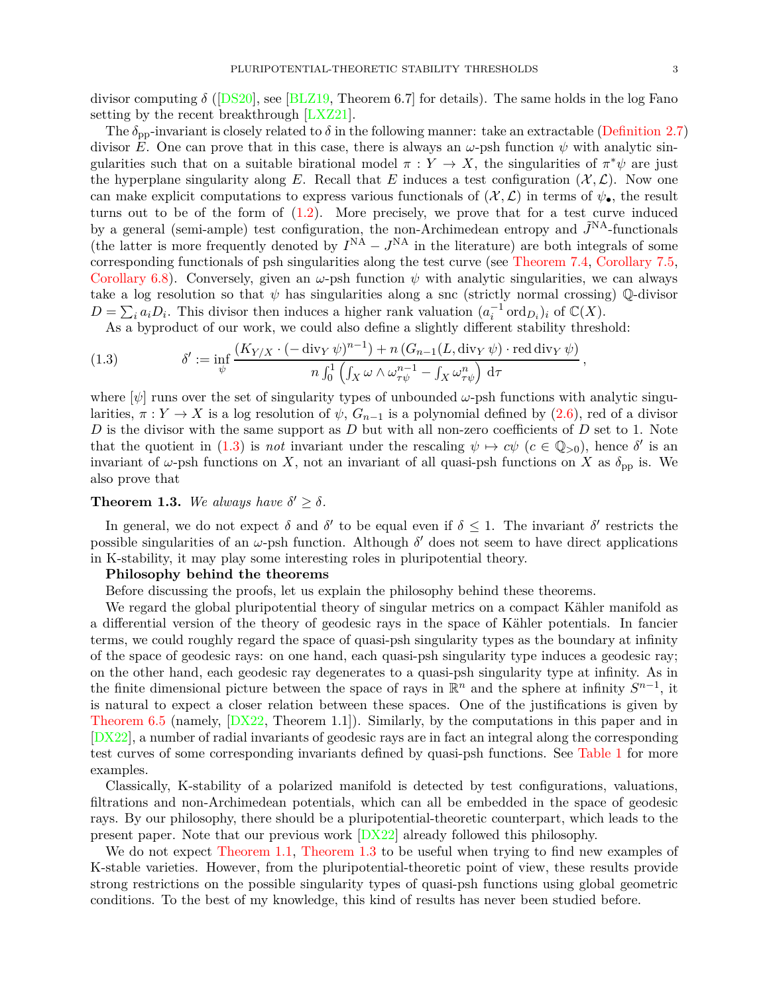divisor computing *δ* ([\[DS20](#page-36-6)], see [\[BLZ19](#page-35-3), Theorem 6.7] for details). The same holds in the log Fano setting by the recent breakthrough [\[LXZ21](#page-37-6)].

The  $\delta_{\text{pp}}$ -invariant is closely related to  $\delta$  in the following manner: take an extractable [\(Definition 2.7\)](#page-6-0) divisor *E*. One can prove that in this case, there is always an  $\omega$ -psh function  $\psi$  with analytic singularities such that on a suitable birational model  $\pi : Y \to X$ , the singularities of  $\pi^* \psi$  are just the hyperplane singularity along *E*. Recall that *E* induces a test configuration  $(\mathcal{X}, \mathcal{L})$ . Now one can make explicit computations to express various functionals of  $(\mathcal{X}, \mathcal{L})$  in terms of  $\psi_{\bullet}$ , the result turns out to be of the form of  $(1.2)$ . More precisely, we prove that for a test curve induced by a general (semi-ample) test configuration, the non-Archimedean entropy and  $\tilde{J}^{NA}$ -functionals (the latter is more frequently denoted by  $I^{NA} - J^{NA}$  in the literature) are both integrals of some corresponding functionals of psh singularities along the test curve (see [Theorem 7.4,](#page-28-0) [Corollary 7.5,](#page-29-0) [Corollary 6.8\)](#page-25-0). Conversely, given an  $\omega$ -psh function  $\psi$  with analytic singularities, we can always take a log resolution so that  $\psi$  has singularities along a snc (strictly normal crossing)  $\mathbb{Q}$ -divisor  $D = \sum_i a_i D_i$ . This divisor then induces a higher rank valuation  $(a_i^{-1} \text{ ord}_{D_i})_i$  of  $\mathbb{C}(X)$ .

<span id="page-2-0"></span>As a byproduct of our work, we could also define a slightly different stability threshold:

(1.3) 
$$
\delta' := \inf_{\psi} \frac{(K_{Y/X} \cdot (-\operatorname{div}_Y \psi)^{n-1}) + n (G_{n-1}(L, \operatorname{div}_Y \psi) \cdot \operatorname{red} \operatorname{div}_Y \psi)}{n \int_0^1 \left( \int_X \omega \wedge \omega_{\tau \psi}^{n-1} - \int_X \omega_{\tau \psi}^n \right) d\tau},
$$

where  $[\psi]$  runs over the set of singularity types of unbounded  $\omega$ -psh functions with analytic singularities,  $\pi : Y \to X$  is a log resolution of  $\psi$ ,  $G_{n-1}$  is a polynomial defined by [\(2.6\)](#page-10-1), red of a divisor *D* is the divisor with the same support as *D* but with all non-zero coefficients of *D* set to 1. Note that the quotient in [\(1.3\)](#page-2-0) is *not* invariant under the rescaling  $\psi \mapsto c\psi$  ( $c \in \mathbb{Q}_{>0}$ ), hence  $\delta'$  is an invariant of  $\omega$ -psh functions on *X*, not an invariant of all quasi-psh functions on *X* as  $\delta_{\text{pp}}$  is. We also prove that

# <span id="page-2-1"></span>**Theorem 1.3.** We always have  $\delta' \geq \delta$ .

In general, we do not expect  $\delta$  and  $\delta'$  to be equal even if  $\delta \leq 1$ . The invariant  $\delta'$  restricts the possible singularities of an *ω*-psh function. Although *δ* ′ does not seem to have direct applications in K-stability, it may play some interesting roles in pluripotential theory.

# **Philosophy behind the theorems**

Before discussing the proofs, let us explain the philosophy behind these theorems.

We regard the global pluripotential theory of singular metrics on a compact Kähler manifold as a differential version of the theory of geodesic rays in the space of Kähler potentials. In fancier terms, we could roughly regard the space of quasi-psh singularity types as the boundary at infinity of the space of geodesic rays: on one hand, each quasi-psh singularity type induces a geodesic ray; on the other hand, each geodesic ray degenerates to a quasi-psh singularity type at infinity. As in the finite dimensional picture between the space of rays in  $\mathbb{R}^n$  and the sphere at infinity  $S^{n-1}$ , it is natural to expect a closer relation between these spaces. One of the justifications is given by [Theorem 6.5](#page-23-0) (namely, [\[DX22](#page-36-7), Theorem 1.1]). Similarly, by the computations in this paper and in [\[DX22](#page-36-7)], a number of radial invariants of geodesic rays are in fact an integral along the corresponding test curves of some corresponding invariants defined by quasi-psh functions. See [Table 1](#page-33-0) for more examples.

Classically, K-stability of a polarized manifold is detected by test configurations, valuations, filtrations and non-Archimedean potentials, which can all be embedded in the space of geodesic rays. By our philosophy, there should be a pluripotential-theoretic counterpart, which leads to the present paper. Note that our previous work [\[DX22](#page-36-7)] already followed this philosophy.

We do not expect [Theorem 1.1,](#page-1-2) [Theorem 1.3](#page-2-1) to be useful when trying to find new examples of K-stable varieties. However, from the pluripotential-theoretic point of view, these results provide strong restrictions on the possible singularity types of quasi-psh functions using global geometric conditions. To the best of my knowledge, this kind of results has never been studied before.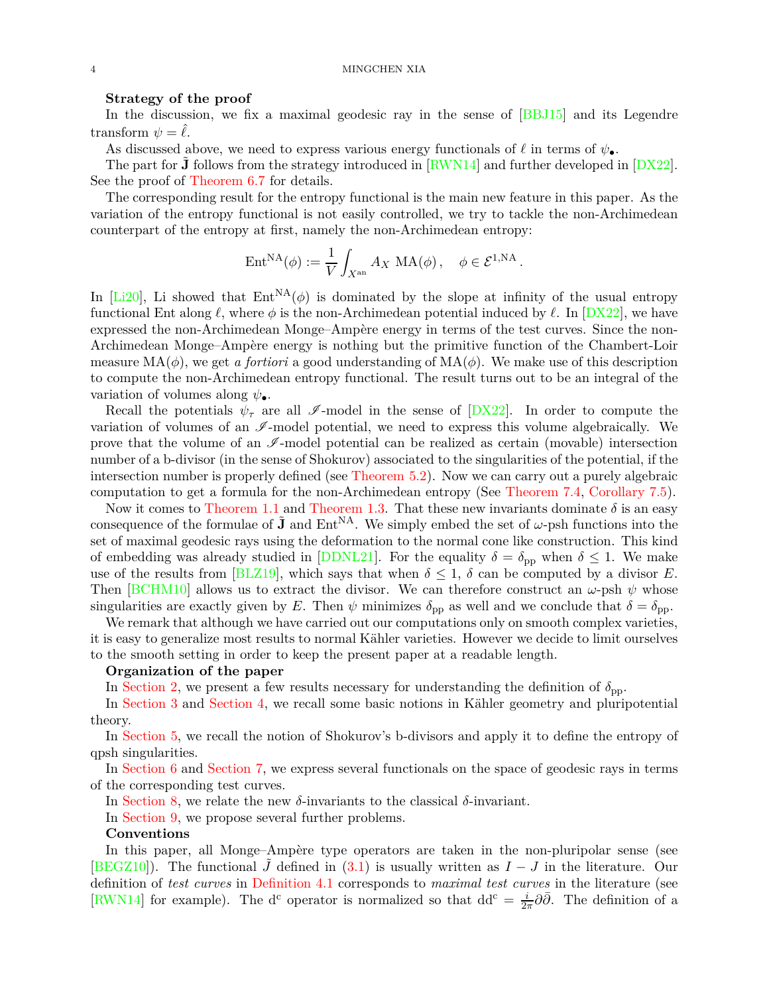### 4 MINGCHEN XIA

## **Strategy of the proof**

In the discussion, we fix a maximal geodesic ray in the sense of [\[BBJ15](#page-34-3)] and its Legendre transform  $\psi = \ell$ .

As discussed above, we need to express various energy functionals of  $\ell$  in terms of  $\psi_{\bullet}$ .

The part for **J** follows from the strategy introduced in  $\text{RWN14}$  and further developed in  $\text{[DX22]}$ . See the proof of [Theorem 6.7](#page-23-1) for details.

The corresponding result for the entropy functional is the main new feature in this paper. As the variation of the entropy functional is not easily controlled, we try to tackle the non-Archimedean counterpart of the entropy at first, namely the non-Archimedean entropy:

$$
\text{Ent}^{\text{NA}}(\phi) := \frac{1}{V} \int_{X^{\text{an}}} A_X \, \text{MA}(\phi) \, , \quad \phi \in \mathcal{E}^{1,\text{NA}} \, .
$$

In [\[Li20\]](#page-37-7), Li showed that  $Ent^{NA}(\phi)$  is dominated by the slope at infinity of the usual entropy functional Ent along  $\ell$ , where  $\phi$  is the non-Archimedean potential induced by  $\ell$ . In [\[DX22](#page-36-7)], we have expressed the non-Archimedean Monge–Ampère energy in terms of the test curves. Since the non-Archimedean Monge–Ampère energy is nothing but the primitive function of the Chambert-Loir measure  $MA(\phi)$ , we get *a fortiori* a good understanding of  $MA(\phi)$ . We make use of this description to compute the non-Archimedean entropy functional. The result turns out to be an integral of the variation of volumes along *ψ*•.

Recall the potentials  $\psi_{\tau}$  are all  $\mathscr{I}\text{-model}$  in the sense of  $[DX22]$ . In order to compute the variation of volumes of an  $\mathcal{I}\text{-model}$  potential, we need to express this volume algebraically. We prove that the volume of an  $\mathscr{I}\text{-model}$  potential can be realized as certain (movable) intersection number of a b-divisor (in the sense of Shokurov) associated to the singularities of the potential, if the intersection number is properly defined (see [Theorem 5.2\)](#page-21-1). Now we can carry out a purely algebraic computation to get a formula for the non-Archimedean entropy (See [Theorem 7.4,](#page-28-0) [Corollary 7.5\)](#page-29-0).

Now it comes to [Theorem 1.1](#page-1-2) and [Theorem 1.3.](#page-2-1) That these new invariants dominate  $\delta$  is an easy consequence of the formulae of  $\tilde{J}$  and Ent<sup>NA</sup>. We simply embed the set of  $\omega$ -psh functions into the set of maximal geodesic rays using the deformation to the normal cone like construction. This kind of embedding was already studied in [\[DDNL21](#page-36-8)]. For the equality  $\delta = \delta_{\text{pp}}$  when  $\delta \leq 1$ . We make use of the results from [\[BLZ19\]](#page-35-3), which says that when  $\delta \leq 1$ ,  $\delta$  can be computed by a divisor *E*. Then [\[BCHM10\]](#page-34-4) allows us to extract the divisor. We can therefore construct an  $\omega$ -psh  $\psi$  whose singularities are exactly given by *E*. Then  $\psi$  minimizes  $\delta_{\text{pp}}$  as well and we conclude that  $\delta = \delta_{\text{pp}}$ .

We remark that although we have carried out our computations only on smooth complex varieties. it is easy to generalize most results to normal Kähler varieties. However we decide to limit ourselves to the smooth setting in order to keep the present paper at a readable length.

## **Organization of the paper**

In [Section 2,](#page-4-0) we present a few results necessary for understanding the definition of  $\delta_{\text{pp}}$ .

In [Section 3](#page-11-0) and [Section 4,](#page-14-0) we recall some basic notions in Kähler geometry and pluripotential theory.

In [Section 5,](#page-19-0) we recall the notion of Shokurov's b-divisors and apply it to define the entropy of qpsh singularities.

In [Section 6](#page-21-0) and [Section 7,](#page-27-0) we express several functionals on the space of geodesic rays in terms of the corresponding test curves.

In [Section 8,](#page-30-0) we relate the new *δ*-invariants to the classical *δ*-invariant.

In [Section 9,](#page-31-0) we propose several further problems.

# **Conventions**

In this paper, all Monge–Ampère type operators are taken in the non-pluripolar sense (see [\[BEGZ10](#page-34-5)]). The functional *J* defined in [\(3.1\)](#page-11-1) is usually written as  $I - J$  in the literature. Our definition of *test curves* in [Definition 4.1](#page-14-1) corresponds to *maximal test curves* in the literature (see [\[RWN14](#page-37-2)] for example). The d<sup>c</sup> operator is normalized so that  $dd^c = \frac{i}{2i}$  $\frac{i}{2\pi}\partial\bar{\partial}$ . The definition of a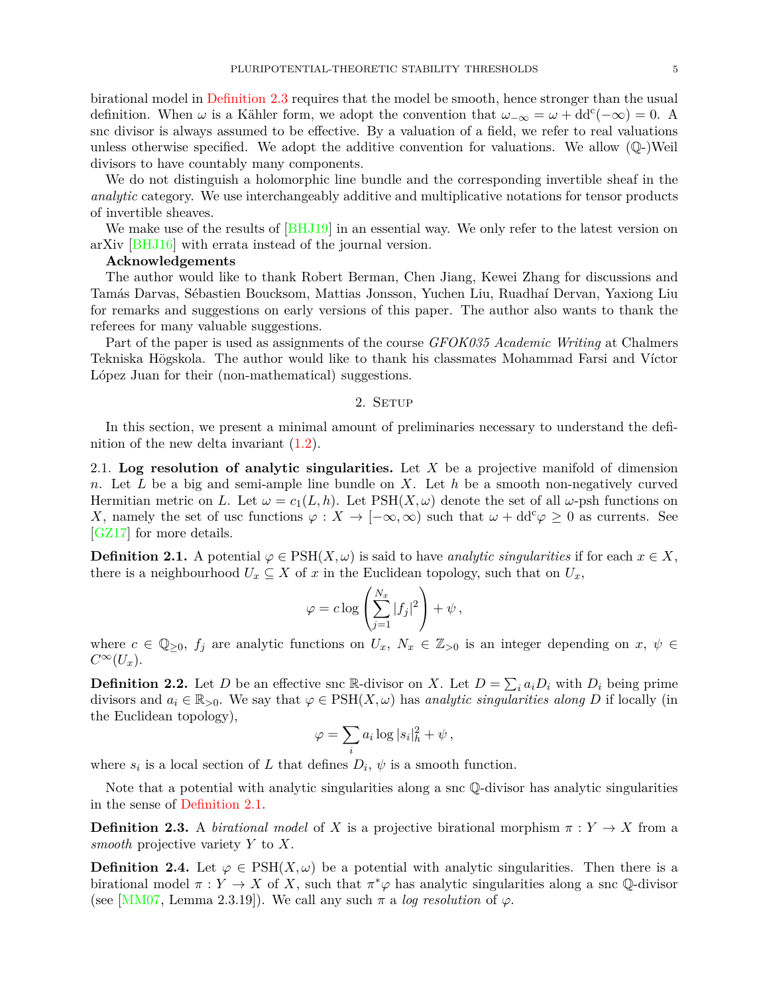birational model in [Definition 2.3](#page-4-1) requires that the model be smooth, hence stronger than the usual definition. When  $\omega$  is a Kähler form, we adopt the convention that  $\omega_{-\infty} = \omega + dd^c(-\infty) = 0$ . A snc divisor is always assumed to be effective. By a valuation of a field, we refer to real valuations unless otherwise specified. We adopt the additive convention for valuations. We allow  $(\mathbb{Q}-)$ Weil divisors to have countably many components.

We do not distinguish a holomorphic line bundle and the corresponding invertible sheaf in the *analytic* category. We use interchangeably additive and multiplicative notations for tensor products of invertible sheaves.

We make use of the results of [\[BHJ19](#page-35-4)] in an essential way. We only refer to the latest version on arXiv [\[BHJ16\]](#page-34-1) with errata instead of the journal version.

## **Acknowledgements**

The author would like to thank Robert Berman, Chen Jiang, Kewei Zhang for discussions and Tamás Darvas, Sébastien Boucksom, Mattias Jonsson, Yuchen Liu, Ruadhaí Dervan, Yaxiong Liu for remarks and suggestions on early versions of this paper. The author also wants to thank the referees for many valuable suggestions.

Part of the paper is used as assignments of the course *GFOK035 Academic Writing* at Chalmers Tekniska Högskola. The author would like to thank his classmates Mohammad Farsi and Víctor López Juan for their (non-mathematical) suggestions.

# 2. SETUP

<span id="page-4-0"></span>In this section, we present a minimal amount of preliminaries necessary to understand the definition of the new delta invariant [\(1.2\)](#page-1-0).

2.1. **Log resolution of analytic singularities.** Let *X* be a projective manifold of dimension *n*. Let *L* be a big and semi-ample line bundle on *X*. Let *h* be a smooth non-negatively curved Hermitian metric on L. Let  $\omega = c_1(L, h)$ . Let PSH $(X, \omega)$  denote the set of all  $\omega$ -psh functions on *X*, namely the set of usc functions  $\varphi: X \to [-\infty, \infty)$  such that  $\omega + dd^c \varphi \geq 0$  as currents. See [\[GZ17](#page-36-9)] for more details.

<span id="page-4-2"></span>**Definition 2.1.** A potential  $\varphi \in \text{PSH}(X, \omega)$  is said to have *analytic singularities* if for each  $x \in X$ , there is a neighbourhood  $U_x \subseteq X$  of *x* in the Euclidean topology, such that on  $U_x$ ,

$$
\varphi = c \log \left( \sum_{j=1}^{N_x} |f_j|^2 \right) + \psi ,
$$

where  $c \in \mathbb{Q}_{\geq 0}$ ,  $f_j$  are analytic functions on  $U_x$ ,  $N_x \in \mathbb{Z}_{\geq 0}$  is an integer depending on  $x, \psi \in$  $C^{\infty}(U_x)$ .

**Definition 2.2.** Let *D* be an effective snc R-divisor on *X*. Let  $D = \sum_i a_i D_i$  with  $D_i$  being prime divisors and  $a_i \in \mathbb{R}_{>0}$ . We say that  $\varphi \in \text{PSH}(X, \omega)$  has *analytic singularities along D* if locally (in the Euclidean topology),

$$
\varphi = \sum_i a_i \log |s_i|^2 + \psi \,,
$$

where  $s_i$  is a local section of *L* that defines  $D_i$ ,  $\psi$  is a smooth function.

<span id="page-4-1"></span>Note that a potential with analytic singularities along a snc Q-divisor has analytic singularities in the sense of [Definition 2.1.](#page-4-2)

**Definition 2.3.** A *birational model* of *X* is a projective birational morphism  $\pi : Y \to X$  from a *smooth* projective variety *Y* to *X*.

**Definition 2.4.** Let  $\varphi \in \text{PSH}(X, \omega)$  be a potential with analytic singularities. Then there is a birational model  $\pi : Y \to X$  of X, such that  $\pi^* \varphi$  has analytic singularities along a snc Q-divisor (see [\[MM07,](#page-37-8) Lemma 2.3.19]). We call any such  $\pi$  a *log resolution* of  $\varphi$ .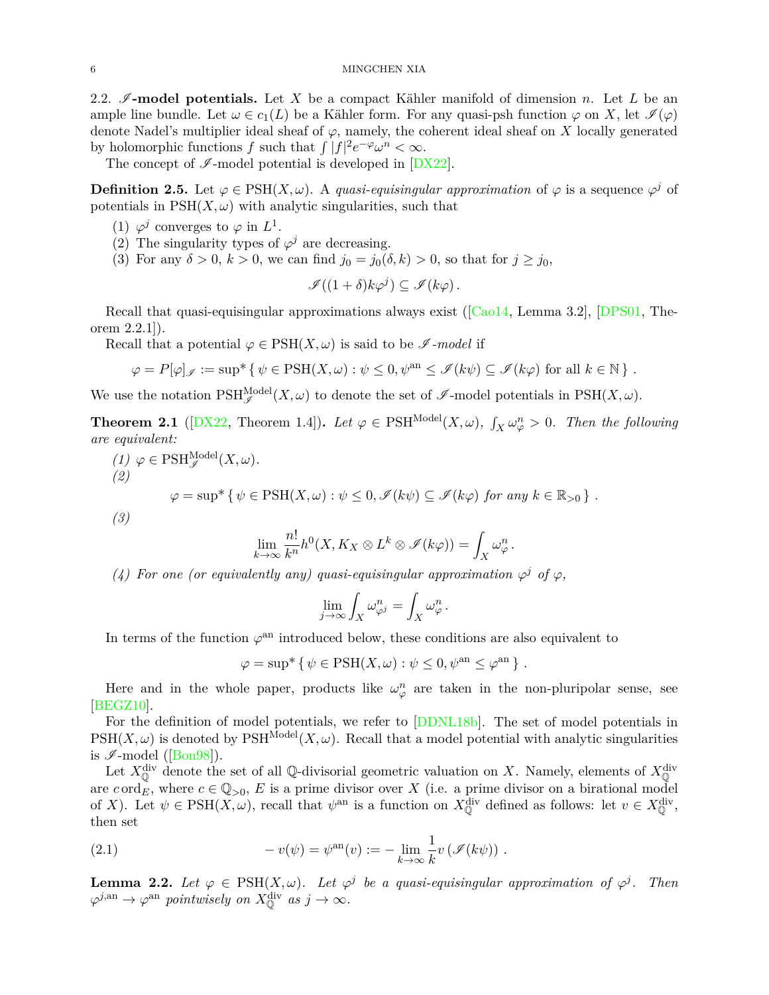2.2.  $\mathscr{I}\text{-model potentials.}$  Let X be a compact Kähler manifold of dimension *n*. Let L be an ample line bundle. Let  $\omega \in c_1(L)$  be a Kähler form. For any quasi-psh function  $\varphi$  on X, let  $\mathscr{I}(\varphi)$ denote Nadel's multiplier ideal sheaf of  $\varphi$ , namely, the coherent ideal sheaf on *X* locally generated by holomorphic functions *f* such that  $\int |f|^2 e^{-\varphi} \omega^n < \infty$ .

The concept of  $\mathscr{I}\text{-model}$  potential is developed in  $[DX22]$ .

**Definition 2.5.** Let  $\varphi \in \text{PSH}(X, \omega)$ . A *quasi-equisingular approximation* of  $\varphi$  is a sequence  $\varphi^j$  of potentials in  $PSH(X, \omega)$  with analytic singularities, such that

- (1)  $\varphi^j$  converges to  $\varphi$  in  $L^1$ .
- (2) The singularity types of  $\varphi^j$  are decreasing.
- (3) For any  $\delta > 0$ ,  $k > 0$ , we can find  $j_0 = j_0(\delta, k) > 0$ , so that for  $j \geq j_0$ ,

$$
\mathscr{I}((1+\delta)k\varphi^j)\subseteq\mathscr{I}(k\varphi).
$$

Recall that quasi-equisingular approximations always exist ([\[Cao14](#page-35-5), Lemma 3.2], [\[DPS01,](#page-36-10) Theorem 2.2.1]).

Recall that a potential  $\varphi \in \mathrm{PSH}(X, \omega)$  is said to be  $\mathscr{I}\text{-model}$  if

$$
\varphi = P[\varphi]_{\mathscr{I}} := \sup^* \{ \psi \in \text{PSH}(X, \omega) : \psi \le 0, \psi^{\text{an}} \le \mathscr{I}(k\psi) \subseteq \mathscr{I}(k\varphi) \text{ for all } k \in \mathbb{N} \} .
$$

We use the notation  $\text{PSH}_{\mathscr{I}}^{\text{Model}}(X,\omega)$  to denote the set of  $\mathscr{I}\text{-model}$  potentials in  $\text{PSH}(X,\omega)$ .

**Theorem 2.1** ([\[DX22](#page-36-7), Theorem 1.4]). Let  $\varphi \in \text{PSH}^{\text{Model}}(X, \omega)$ ,  $\int_X \omega_{\varphi}^n > 0$ . Then the following *are equivalent:*

(1) 
$$
\varphi \in \text{PSH}_{\mathscr{I}}^{\text{Model}}(X, \omega).
$$
  
\n(2)  
\n
$$
\varphi = \sup^* \{ \psi \in \text{PSH}(X, \omega) : \psi \leq 0, \mathscr{I}(k\psi) \subseteq \mathscr{I}(k\varphi) \text{ for any } k \in \mathbb{R}_{>0} \}.
$$
  
\n(3)

$$
\lim_{k\to\infty}\frac{n!}{k^n}h^0(X,K_X\otimes L^k\otimes\mathscr{I}(k\varphi))=\int_X\omega_\varphi^n.
$$

*(4) For one (or equivalently any) quasi-equisingular approximation*  $\varphi^j$  *of*  $\varphi$ *,* 

$$
\lim_{j \to \infty} \int_X \omega_{\varphi^j}^n = \int_X \omega_{\varphi}^n.
$$

In terms of the function  $\varphi$ <sup>an</sup> introduced below, these conditions are also equivalent to

$$
\varphi = \sup^* \{ \psi \in \text{PSH}(X, \omega) : \psi \leq 0, \psi^{\text{an}} \leq \varphi^{\text{an}} \} .
$$

Here and in the whole paper, products like  $\omega_{\varphi}^n$  are taken in the non-pluripolar sense, see [\[BEGZ10](#page-34-5)].

For the definition of model potentials, we refer to [\[DDNL18b\]](#page-35-6). The set of model potentials in  $PSH(X,\omega)$  is denoted by  $PSH^{\text{Model}}(X,\omega)$ . Recall that a model potential with analytic singularities is  $\mathscr{I}\text{-model}$  ([\[Bon98](#page-35-7)]).

Let  $X^{\text{div}}_{\mathbb{Q}}$  denote the set of all Q-divisorial geometric valuation on *X*. Namely, elements of  $X^{\text{div}}_{\mathbb{Q}}$ are  $c \text{ ord}_E$ , where  $c \in \mathbb{Q}_{>0}$ , E is a prime divisor over X (i.e. a prime divisor on a birational model of *X*). Let  $\psi \in \text{PSH}(X, \omega)$ , recall that  $\psi^{\text{an}}$  is a function on  $X^{\text{div}}_{\mathbb{Q}}$  defined as follows: let  $v \in X^{\text{div}}_{\mathbb{Q}}$ , then set

<span id="page-5-0"></span>(2.1) 
$$
-v(\psi) = \psi^{\text{an}}(v) := -\lim_{k \to \infty} \frac{1}{k} v \left( \mathcal{I}(k\psi) \right).
$$

<span id="page-5-1"></span>**Lemma 2.2.** Let  $\varphi \in \text{PSH}(X, \omega)$ . Let  $\varphi^j$  be a quasi-equisingular approximation of  $\varphi^j$ . Then  $\varphi^{j, \text{an}} \to \varphi^{\text{an}}$  *pointwisely on*  $X_{\mathbb{Q}}^{\text{div}}$  *as*  $j \to \infty$ *.*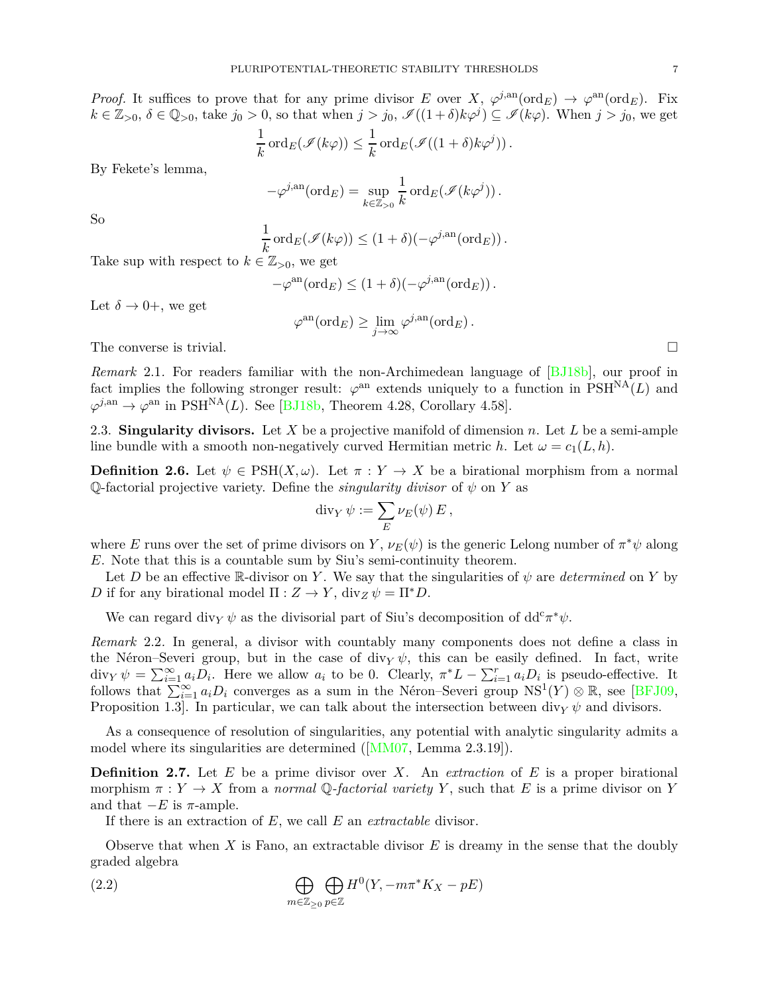*Proof.* It suffices to prove that for any prime divisor *E* over *X*,  $\varphi^{j,an}(\text{ord}_E) \to \varphi^{an}(\text{ord}_E)$ . Fix  $k \in \mathbb{Z}_{>0}, \delta \in \mathbb{Q}_{>0}$ , take  $j_0 > 0$ , so that when  $j > j_0$ ,  $\mathscr{I}((1 + \delta)k\varphi^j) \subseteq \mathscr{I}(k\varphi)$ . When  $j > j_0$ , we get

$$
\frac{1}{k}\operatorname{ord}_E(\mathscr{I}(k\varphi)) \leq \frac{1}{k}\operatorname{ord}_E(\mathscr{I}((1+\delta)k\varphi^j)).
$$

By Fekete's lemma,

$$
-\varphi^{j, \text{an}}(\text{ord}_E) = \sup_{k \in \mathbb{Z}_{>0}} \frac{1}{k} \text{ord}_E(\mathscr{I}(k\varphi^j)).
$$

So

$$
\frac{1}{k}\mathrm{ord}_E(\mathscr{I}(k\varphi)) \leq (1+\delta)(-\varphi^{j, \mathrm{an}}(\mathrm{ord}_E)).
$$

Take sup with respect to  $k \in \mathbb{Z}_{>0}$ , we get

$$
-\varphi^{\mathrm{an}}(\mathrm{ord}_E) \le (1+\delta)(-\varphi^{j,\mathrm{an}}(\mathrm{ord}_E)).
$$

Let  $\delta \rightarrow 0^+$ , we get

$$
\varphi^{\mathrm{an}}(\mathrm{ord}_E)\geq \lim_{j\to\infty}\varphi^{j,\mathrm{an}}(\mathrm{ord}_E)\,.
$$

The converse is trivial.  $\Box$ 

*Remark* 2.1. For readers familiar with the non-Archimedean language of [\[BJ18b\]](#page-35-8), our proof in fact implies the following stronger result:  $\varphi^{\text{an}}$  extends uniquely to a function in  $\text{PSH}^{\text{NA}}(L)$  and  $\varphi^{j, \text{an}} \to \varphi^{\text{an}}$  in PSH<sup>NA</sup>(*L*). See [\[BJ18b](#page-35-8), Theorem 4.28, Corollary 4.58].

<span id="page-6-1"></span>2.3. **Singularity divisors.** Let *X* be a projective manifold of dimension *n*. Let *L* be a semi-ample line bundle with a smooth non-negatively curved Hermitian metric *h*. Let  $\omega = c_1(L, h)$ .

**Definition 2.6.** Let  $\psi \in \text{PSH}(X, \omega)$ . Let  $\pi : Y \to X$  be a birational morphism from a normal Q-factorial projective variety. Define the *singularity divisor* of *ψ* on *Y* as

$$
\operatorname{div}_Y \psi := \sum_E \nu_E(\psi) E,
$$

where *E* runs over the set of prime divisors on *Y*,  $\nu_E(\psi)$  is the generic Lelong number of  $\pi^*\psi$  along *E*. Note that this is a countable sum by Siu's semi-continuity theorem.

Let *D* be an effective R-divisor on *Y*. We say that the singularities of  $\psi$  are *determined* on *Y* by *D* if for any birational model  $\Pi : Z \to Y$ , div<sub>*Z*</sub>  $\psi = \Pi^* D$ .

<span id="page-6-2"></span>We can regard div<sub>*Y*</sub>  $\psi$  as the divisorial part of Siu's decomposition of dd<sup>c</sup> $\pi^*\psi$ .

*Remark* 2.2*.* In general, a divisor with countably many components does not define a class in the Néron–Severi group, but in the case of div<sub>*Y*</sub>  $\psi$ , this can be easily defined. In fact, write div<sub>*Y*</sub>  $\psi = \sum_{i=1}^{\infty} a_i D_i$ . Here we allow  $a_i$  to be 0. Clearly,  $\pi^* L - \sum_{i=1}^r a_i D_i$  is pseudo-effective. It follows that  $\sum_{i=1}^{\infty} a_i D_i$  converges as a sum in the Néron–Severi group  $NS^1(Y) \otimes \mathbb{R}$ , see [\[BFJ09](#page-34-6), Proposition 1.3. In particular, we can talk about the intersection between div<sub>*Y*</sub>  $\psi$  and divisors.

<span id="page-6-0"></span>As a consequence of resolution of singularities, any potential with analytic singularity admits a model where its singularities are determined ([\[MM07](#page-37-8), Lemma 2.3.19]).

**Definition 2.7.** Let *E* be a prime divisor over *X*. An *extraction* of *E* is a proper birational morphism  $\pi : Y \to X$  from a *normal*  $\mathbb{Q}$ -factorial variety Y, such that E is a prime divisor on Y and that  $-E$  is  $\pi$ -ample.

If there is an extraction of *E*, we call *E* an *extractable* divisor.

Observe that when *X* is Fano, an extractable divisor *E* is dreamy in the sense that the doubly graded algebra

(2.2) 
$$
\bigoplus_{m\in\mathbb{Z}_{\geq 0}} \bigoplus_{p\in\mathbb{Z}} H^0(Y, -m\pi^*K_X - pE)
$$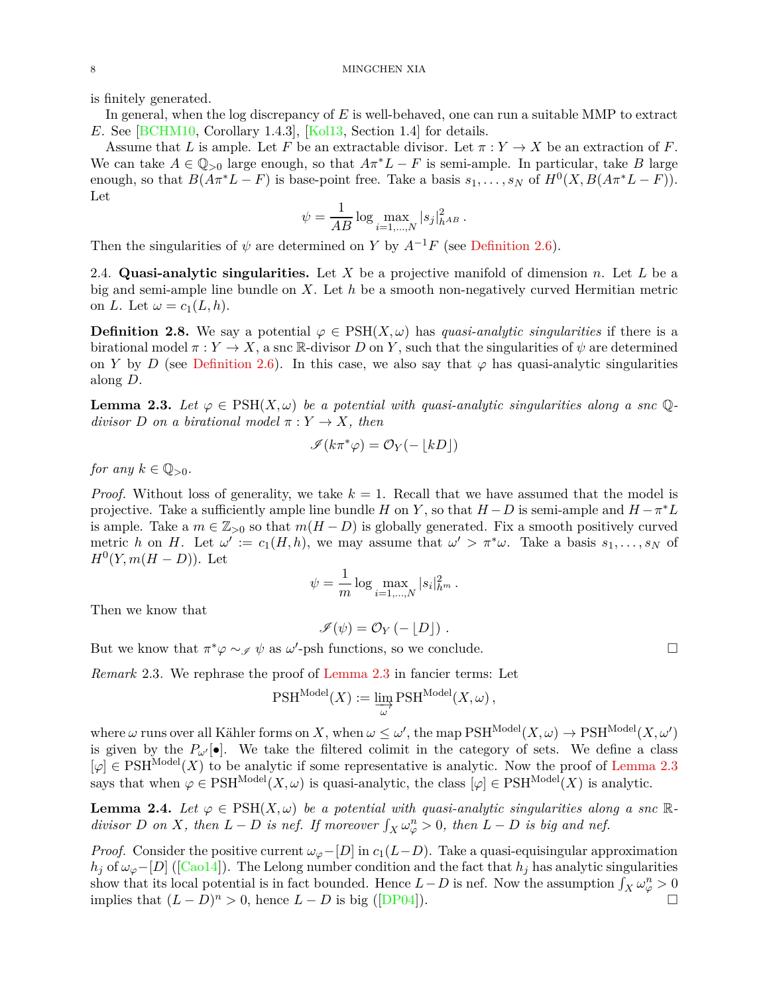is finitely generated.

In general, when the log discrepancy of *E* is well-behaved, one can run a suitable MMP to extract *E*. See [\[BCHM10,](#page-34-4) Corollary 1.4.3], [\[Kol13](#page-37-9), Section 1.4] for details.

Assume that *L* is ample. Let *F* be an extractable divisor. Let  $\pi : Y \to X$  be an extraction of *F*. We can take  $A \in \mathbb{Q}_{>0}$  large enough, so that  $A\pi^*L - F$  is semi-ample. In particular, take *B* large enough, so that  $B(A\pi^*L - F)$  is base-point free. Take a basis  $s_1, \ldots, s_N$  of  $H^0(X, B(A\pi^*L - F))$ . Let

$$
\psi = \frac{1}{AB} \log \max_{i=1,...,N} |s_j|_{h^{AB}}^2.
$$

Then the singularities of  $\psi$  are determined on *Y* by  $A^{-1}F$  (see [Definition 2.6\)](#page-6-1).

2.4. **Quasi-analytic singularities.** Let *X* be a projective manifold of dimension *n*. Let *L* be a big and semi-ample line bundle on *X*. Let *h* be a smooth non-negatively curved Hermitian metric on *L*. Let  $\omega = c_1(L, h)$ .

<span id="page-7-1"></span>**Definition 2.8.** We say a potential  $\varphi \in \text{PSH}(X, \omega)$  has *quasi-analytic singularities* if there is a birational model  $\pi : Y \to X$ , a snc R-divisor *D* on *Y*, such that the singularities of  $\psi$  are determined on *Y* by *D* (see [Definition 2.6\)](#page-6-1). In this case, we also say that  $\varphi$  has quasi-analytic singularities along *D*.

<span id="page-7-0"></span>**Lemma 2.3.** Let  $\varphi \in \text{PSH}(X,\omega)$  be a potential with quasi-analytic singularities along a snc  $\mathbb{Q}$ *divisor D on a birational model*  $\pi: Y \to X$ *, then* 

$$
\mathscr{I}(k\pi^*\varphi)=\mathcal{O}_Y(-\lfloor kD\rfloor)
$$

*for any*  $k \in \mathbb{Q}_{>0}$ .

*Proof.* Without loss of generality, we take  $k = 1$ . Recall that we have assumed that the model is projective. Take a sufficiently ample line bundle *H* on *Y*, so that  $H - D$  is semi-ample and  $H - \pi^* L$ is ample. Take a  $m \in \mathbb{Z}_{\geq 0}$  so that  $m(H - D)$  is globally generated. Fix a smooth positively curved metric *h* on *H*. Let  $\omega' := c_1(H, h)$ , we may assume that  $\omega' > \pi^* \omega$ . Take a basis  $s_1, \ldots, s_N$  of  $H^0(Y, m(H - D)).$  Let

$$
\psi = \frac{1}{m} \log \max_{i=1,...,N} |s_i|_{h^m}^2.
$$

Then we know that

$$
\mathscr{I}(\psi) = \mathcal{O}_Y(-\lfloor D\rfloor) \ .
$$

But we know that  $\pi^* \varphi \sim_{\mathscr{I}} \psi$  as  $\omega'$ -psh functions, so we conclude.

*Remark* 2.3*.* We rephrase the proof of [Lemma 2.3](#page-7-0) in fancier terms: Let

$$
\text{PSH}^{\text{Model}}(X) := \varinjlim_{\omega} \text{PSH}^{\text{Model}}(X, \omega),
$$

where  $\omega$  runs over all Kähler forms on *X*, when  $\omega \leq \omega'$ , the map  $\mathrm{PSH}^{\text{Model}}(X,\omega) \to \mathrm{PSH}^{\text{Model}}(X,\omega')$ is given by the  $P_{\omega}$ <sup> $\cdot$ </sup>[ $\bullet$ ]. We take the filtered colimit in the category of sets. We define a class  $[\varphi] \in \text{PSH}^{\text{Model}}(X)$  to be analytic if some representative is analytic. Now the proof of [Lemma 2.3](#page-7-0) says that when  $\varphi \in \text{PSH}^{\text{Model}}(X, \omega)$  is quasi-analytic, the class  $[\varphi] \in \text{PSH}^{\text{Model}}(X)$  is analytic.

<span id="page-7-2"></span>**Lemma 2.4.** Let  $\varphi \in \text{PSH}(X,\omega)$  be a potential with quasi-analytic singularities along a snc R*divisor D on X*, *then*  $L - D$  *is nef. If moreover*  $\int_X \omega_\varphi^n > 0$ *, then*  $L - D$  *is big and nef.* 

*Proof.* Consider the positive current  $\omega_{\varphi}$ −[*D*] in  $c_1(L-D)$ . Take a quasi-equisingular approximation  $h_j$  of  $\omega_\varphi$ −[*D*] ([\[Cao14](#page-35-5)]). The Lelong number condition and the fact that  $h_j$  has analytic singularities show that its local potential is in fact bounded. Hence  $L - D$  is nef. Now the assumption  $\int_X \omega_{\varphi}^n > 0$ implies that  $(L - D)^n > 0$ , hence  $L - D$  is big ([\[DP04](#page-36-11)]). □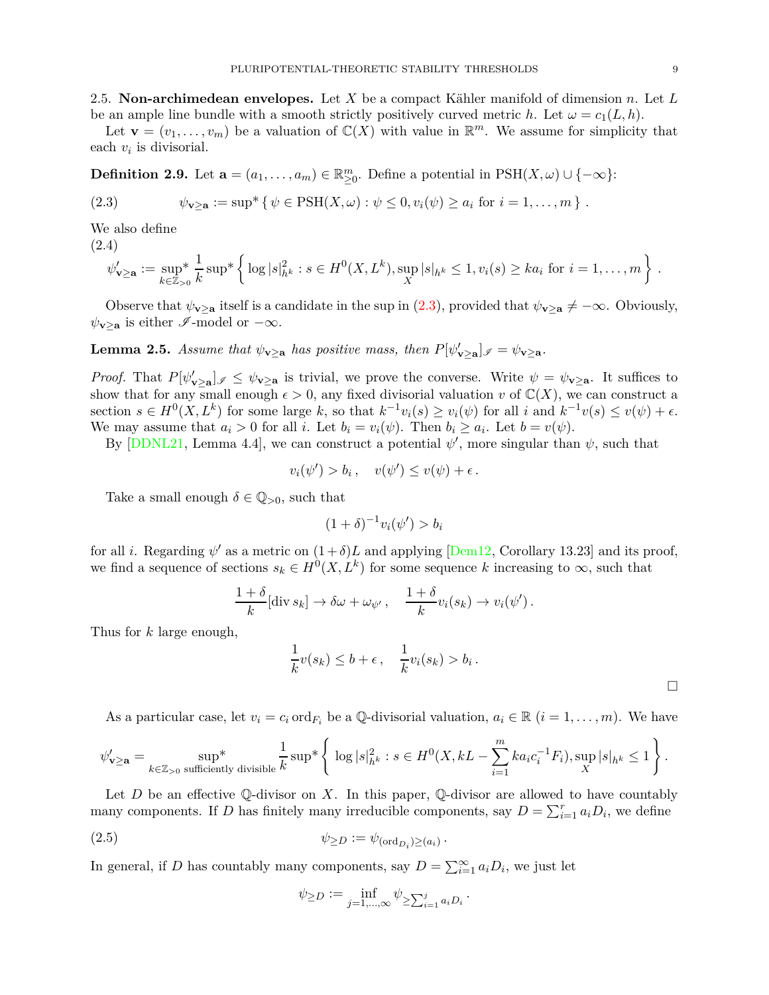2.5. **Non-archimedean envelopes.** Let *X* be a compact Kähler manifold of dimension *n*. Let *L* be an ample line bundle with a smooth strictly positively curved metric *h*. Let  $\omega = c_1(L, h)$ .

Let  $\mathbf{v} = (v_1, \dots, v_m)$  be a valuation of  $\mathbb{C}(X)$  with value in  $\mathbb{R}^m$ . We assume for simplicity that each  $v_i$  is divisorial.

**Definition 2.9.** Let  $\mathbf{a} = (a_1, \ldots, a_m) \in \mathbb{R}_{\geq 0}^m$ . Define a potential in  $PSH(X, \omega) \cup \{-\infty\}$ :

<span id="page-8-0"></span>(2.3) 
$$
\psi_{\mathbf{v}\geq \mathbf{a}} := \sup^* \{ \psi \in \text{PSH}(X,\omega) : \psi \leq 0, v_i(\psi) \geq a_i \text{ for } i = 1,\ldots,m \} .
$$

We also define

(2.4)

$$
\psi_{\mathbf{v}\geq \mathbf{a}}' := \sup_{k\in\mathbb{Z}_{>0}} \frac{1}{k} \sup \left\{ \log |s|^2_{h^k} : s \in H^0(X, L^k), \sup_X |s|_{h^k} \leq 1, v_i(s) \geq ka_i \text{ for } i = 1,\dots, m \right\}.
$$

<span id="page-8-1"></span>Observe that  $\psi_{\mathbf{v}\geq\mathbf{a}}$  itself is a candidate in the sup in [\(2.3\)](#page-8-0), provided that  $\psi_{\mathbf{v}\geq\mathbf{a}} \neq -\infty$ . Obviously,  $\psi_{\mathbf{v}\geq\mathbf{a}}$  is either  $\mathscr{I}\text{-model}$  or  $-\infty$ .

**Lemma 2.5.** *Assume that*  $\psi_{\mathbf{v}\geq\mathbf{a}}$  *has positive mass, then*  $P[\psi'_{\mathbf{v}\geq\mathbf{a}}]$   $\mathcal{J}=\psi_{\mathbf{v}\geq\mathbf{a}}$ .

*Proof.* That  $P[\psi'_{\mathbf{v}\geq \mathbf{a}}]$   $\in \psi_{\mathbf{v}\geq \mathbf{a}}$  is trivial, we prove the converse. Write  $\psi = \psi_{\mathbf{v}\geq \mathbf{a}}$ . It suffices to show that for any small enough  $\epsilon > 0$ , any fixed divisorial valuation *v* of  $\mathbb{C}(X)$ , we can construct a section  $s \in H^0(X, L^k)$  for some large k, so that  $k^{-1}v_i(s) \ge v_i(\psi)$  for all i and  $k^{-1}v(s) \le v(\psi) + \epsilon$ . We may assume that  $a_i > 0$  for all *i*. Let  $b_i = v_i(\psi)$ . Then  $b_i \ge a_i$ . Let  $b = v(\psi)$ .

By  $[DDNL21, Lemma 4.4],$  we can construct a potential  $\psi'$ , more singular than  $\psi$ , such that

$$
v_i(\psi') > b_i, \quad v(\psi') \le v(\psi) + \epsilon.
$$

Take a small enough  $\delta \in \mathbb{Q}_{>0}$ , such that

$$
(1+\delta)^{-1}v_i(\psi') > b_i
$$

for all *i*. Regarding  $\psi'$  as a metric on  $(1+\delta)L$  and applying [\[Dem12](#page-36-12), Corollary 13.23] and its proof, we find a sequence of sections  $s_k \in H^0(X, L^k)$  for some sequence *k* increasing to  $\infty$ , such that

$$
\frac{1+\delta}{k}[\text{div } s_k] \to \delta \omega + \omega_{\psi'}, \quad \frac{1+\delta}{k}v_i(s_k) \to v_i(\psi').
$$

Thus for *k* large enough,

$$
\frac{1}{k}v(s_k) \le b + \epsilon, \quad \frac{1}{k}v_i(s_k) > b_i.
$$

As a particular case, let  $v_i = c_i \text{ ord}_{F_i}$  be a Q-divisorial valuation,  $a_i \in \mathbb{R}$   $(i = 1, \ldots, m)$ . We have

$$
\psi'_{\mathbf{v}\geq \mathbf{a}}=\sup_{k\in\mathbb{Z}_{>0} \text{ sufficiently divisible}}\frac{1}{k}\sup{}*\left\{\log |s|^2_{h^k}:s\in H^0(X,kL-\sum_{i=1}^mka_ic_i^{-1}F_i),\sup_X |s|_{h^k}\leq 1\right\}.
$$

Let *D* be an effective Q-divisor on *X*. In this paper, Q-divisor are allowed to have countably many components. If *D* has finitely many irreducible components, say  $D = \sum_{i=1}^{r} a_i D_i$ , we define

$$
(2.5) \t\t\t \psi_{\geq D} := \psi_{(\text{ord}_{D_i})\geq (a_i)}.
$$

In general, if *D* has countably many components, say  $D = \sum_{i=1}^{\infty} a_i D_i$ , we just let

$$
\psi_{\geq D} := \inf_{j=1,\dots,\infty} \psi_{\geq \sum_{i=1}^j a_i D_i}.
$$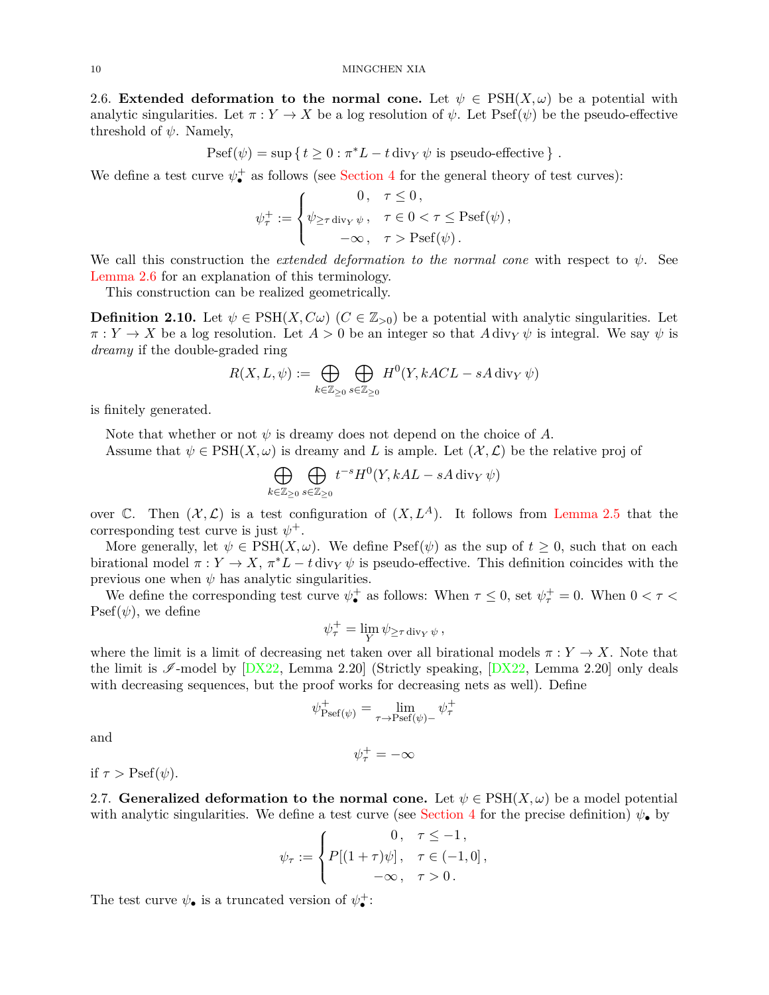<span id="page-9-0"></span>2.6. **Extended deformation to the normal cone.** Let  $\psi \in \text{PSH}(X, \omega)$  be a potential with analytic singularities. Let  $\pi : Y \to X$  be a log resolution of  $\psi$ . Let Psef( $\psi$ ) be the pseudo-effective threshold of  $\psi$ . Namely,

$$
Psef(\psi) = \sup \{ t \ge 0 : \pi^* L - t \operatorname{div}_Y \psi \text{ is pseudo-effective } \} .
$$

We define a test curve  $\psi_{\bullet}^{+}$  as follows (see [Section 4](#page-14-0) for the general theory of test curves):

$$
\psi_{\tau}^{+} := \begin{cases} 0, & \tau \leq 0, \\ \psi_{\geq \tau \operatorname{div}_{Y} \psi}, & \tau \in 0 < \tau \leq \operatorname{Psef}(\psi), \\ -\infty, & \tau > \operatorname{Psef}(\psi). \end{cases}
$$

We call this construction the *extended deformation to the normal cone* with respect to *ψ*. See [Lemma 2.6](#page-9-1) for an explanation of this terminology.

<span id="page-9-3"></span>This construction can be realized geometrically.

**Definition 2.10.** Let  $\psi \in \text{PSH}(X, C\omega)$  ( $C \in \mathbb{Z}_{>0}$ ) be a potential with analytic singularities. Let  $\pi: Y \to X$  be a log resolution. Let  $A > 0$  be an integer so that  $A \text{div}_Y \psi$  is integral. We say  $\psi$  is *dreamy* if the double-graded ring

$$
R(X, L, \psi) := \bigoplus_{k \in \mathbb{Z}_{\geq 0}} \bigoplus_{s \in \mathbb{Z}_{\geq 0}} H^0(Y, kACL - sA \operatorname{div}_Y \psi)
$$

is finitely generated.

Note that whether or not  $\psi$  is dreamy does not depend on the choice of  $A$ .

Assume that  $\psi \in \text{PSH}(X, \omega)$  is dreamy and L is ample. Let  $(\mathcal{X}, \mathcal{L})$  be the relative proj of

$$
\bigoplus_{k \in \mathbb{Z}_{\geq 0}} \bigoplus_{s \in \mathbb{Z}_{\geq 0}} t^{-s} H^0(Y, kAL - sA \operatorname{div}_Y \psi)
$$

over  $\mathbb{C}$ . Then  $(\mathcal{X}, \mathcal{L})$  is a test configuration of  $(X, L^A)$ . It follows from [Lemma 2.5](#page-8-1) that the corresponding test curve is just  $\psi^+$ .

More generally, let  $\psi \in \text{PSH}(X, \omega)$ . We define  $\text{Psef}(\psi)$  as the sup of  $t \geq 0$ , such that on each birational model  $\pi : Y \to X$ ,  $\pi^* L - t \, \text{div}_Y \psi$  is pseudo-effective. This definition coincides with the previous one when  $\psi$  has analytic singularities.

We define the corresponding test curve  $\psi_{\bullet}^{+}$  as follows: When  $\tau \leq 0$ , set  $\psi_{\tau}^{+} = 0$ . When  $0 < \tau <$  $\text{Psef}(\psi)$ , we define

$$
\psi_{\tau}^{+} = \lim_{Y} \psi_{\geq \tau \operatorname{div}_{Y} \psi},
$$

where the limit is a limit of decreasing net taken over all birational models  $\pi: Y \to X$ . Note that the limit is  $\mathscr{I}\text{-model}$  by  $[DX22, \text{Lemma 2.20}]$  (Strictly speaking,  $[DX22, \text{Lemma 2.20}]$  only deals with decreasing sequences, but the proof works for decreasing nets as well). Define

$$
\psi_{\mathrm{Psef}(\psi)}^{+} = \lim_{\tau \to \mathrm{Psef}(\psi)-} \psi_{\tau}^{+}
$$

and

$$
\psi_\tau^+=-\infty
$$

<span id="page-9-2"></span>if  $\tau >$  Psef( $\psi$ ).

2.7. **Generalized deformation to the normal cone.** Let  $\psi \in \text{PSH}(X, \omega)$  be a model potential with analytic singularities. We define a test curve (see [Section 4](#page-14-0) for the precise definition)  $\psi_{\bullet}$  by

$$
\psi_{\tau} := \begin{cases}\n0, & \tau \leq -1, \\
P[(1+\tau)\psi], & \tau \in (-1,0], \\
-\infty, & \tau > 0.\n\end{cases}
$$

<span id="page-9-1"></span>The test curve  $\psi_{\bullet}$  is a truncated version of  $\psi_{\bullet}^{+}$ :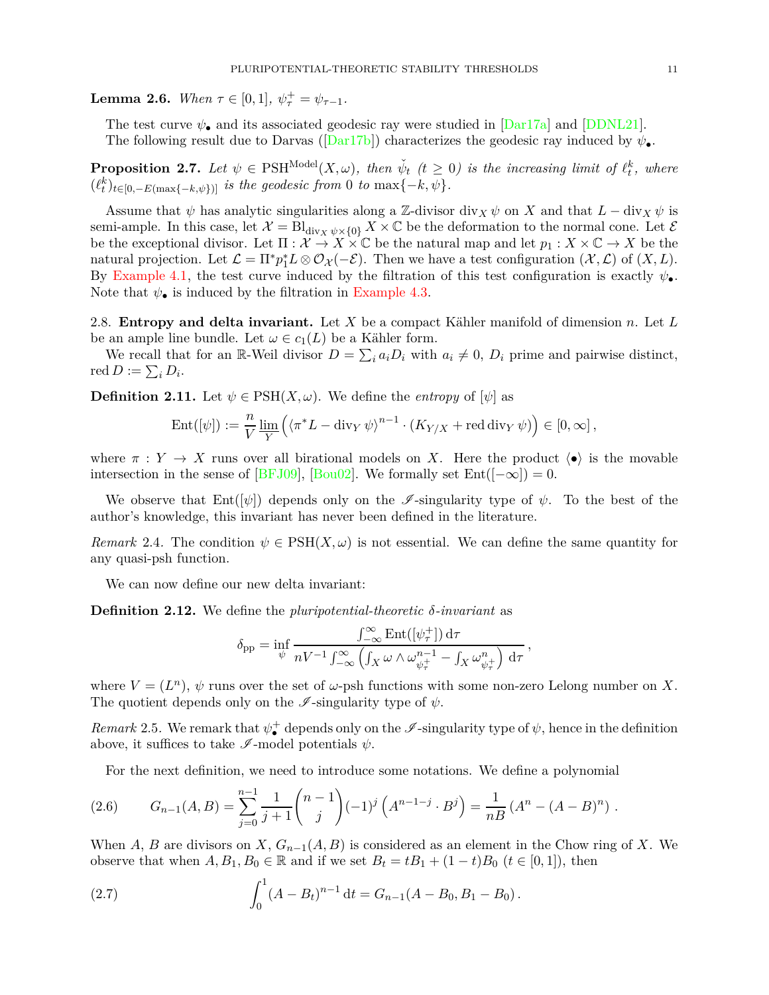**Lemma 2.6.** *When*  $\tau \in [0,1], \psi_{\tau}^{+} = \psi_{\tau-1}$ *.* 

The test curve  $\psi_{\bullet}$  and its associated geodesic ray were studied in [\[Dar17a\]](#page-35-9) and [\[DDNL21](#page-36-8)]. The following result due to Darvas ( $\text{[Dar17b]}$  $\text{[Dar17b]}$  $\text{[Dar17b]}$ ) characterizes the geodesic ray induced by  $\psi_{\bullet}$ .

**Proposition 2.7.** Let  $\psi \in \text{PSH}^{\text{Model}}(X, \omega)$ , then  $\check{\psi}_t$  ( $t \geq 0$ ) is the increasing limit of  $\ell_t^k$ , where  $(\ell_t^k)_{t \in [0, -E(\max\{-k, \psi\})]}$  *is the geodesic from* 0 *to* max $\{-k, \psi\}$ *.* 

Assume that  $\psi$  has analytic singularities along a Z-divisor div<sub>X</sub>  $\psi$  on X and that  $L - \text{div}_X \psi$  is semi-ample. In this case, let  $\mathcal{X} = Bl_{div_X \psi \times \{0\}} X \times \mathbb{C}$  be the deformation to the normal cone. Let  $\mathcal{E}$ be the exceptional divisor. Let  $\Pi : \mathcal{X} \to X \times \mathbb{C}$  be the natural map and let  $p_1 : X \times \mathbb{C} \to X$  be the natural projection. Let  $\mathcal{L} = \Pi^* p_1^* L \otimes \mathcal{O}_{\mathcal{X}}(-\mathcal{E})$ . Then we have a test configuration  $(\mathcal{X}, \mathcal{L})$  of  $(X, L)$ . By [Example 4.1,](#page-16-0) the test curve induced by the filtration of this test configuration is exactly  $\psi_{\bullet}$ . Note that  $\psi_{\bullet}$  is induced by the filtration in [Example 4.3.](#page-17-0)

2.8. **Entropy and delta invariant.** Let *X* be a compact Kähler manifold of dimension *n*. Let *L* be an ample line bundle. Let  $\omega \in c_1(L)$  be a Kähler form.

<span id="page-10-0"></span>We recall that for an R-Weil divisor  $D = \sum_i a_i D_i$  with  $a_i \neq 0$ ,  $D_i$  prime and pairwise distinct, red  $D := \sum_i D_i$ .

**Definition 2.11.** Let  $\psi \in \text{PSH}(X, \omega)$ . We define the *entropy* of  $[\psi]$  as

$$
\operatorname{Ent}([\psi]) := \frac{n}{V} \varliminf_Y \left( \langle \pi^*L - \operatorname{div}_Y \psi \rangle^{n-1} \cdot (K_{Y/X} + \operatorname{red} \operatorname{div}_Y \psi) \right) \in [0, \infty],
$$

where  $\pi : Y \to X$  runs over all birational models on X. Here the product  $\langle \bullet \rangle$  is the movable intersection in the sense of [\[BFJ09\]](#page-34-6), [\[Bou02\]](#page-35-11). We formally set  $Ent([-\infty]) = 0$ .

We observe that  $Ent([\psi])$  depends only on the *I*-singularity type of  $\psi$ . To the best of the author's knowledge, this invariant has never been defined in the literature.

*Remark* 2.4. The condition  $\psi \in \text{PSH}(X, \omega)$  is not essential. We can define the same quantity for any quasi-psh function.

<span id="page-10-2"></span>We can now define our new delta invariant:

**Definition 2.12.** We define the *pluripotential-theoretic δ-invariant* as

$$
\delta_{\mathrm{pp}} = \inf_{\psi} \frac{\int_{-\infty}^{\infty} \mathrm{Ent}([\psi_{\tau}^{+}]) \, \mathrm{d}\tau}{nV^{-1} \int_{-\infty}^{\infty} \left( \int_{X} \omega \wedge \omega_{\psi_{\tau}^{+}}^{n-1} - \int_{X} \omega_{\psi_{\tau}^{+}}^{n} \right) \, \mathrm{d}\tau},
$$

where  $V = (L^n)$ ,  $\psi$  runs over the set of  $\omega$ -psh functions with some non-zero Lelong number on X. The quotient depends only on the  $\mathscr I$ -singularity type of  $\psi$ .

<span id="page-10-5"></span>*Remark* 2.5. We remark that  $\psi_{\bullet}^{+}$  depends only on the  $\mathscr{I}$ -singularity type of  $\psi$ , hence in the definition above, it suffices to take  $\mathscr{I}\text{-model}$  potentials  $\psi$ .

<span id="page-10-1"></span>For the next definition, we need to introduce some notations. We define a polynomial

(2.6) 
$$
G_{n-1}(A,B) = \sum_{j=0}^{n-1} \frac{1}{j+1} {n-1 \choose j} (-1)^j (A^{n-1-j} \cdot B^j) = \frac{1}{nB} (A^n - (A-B)^n).
$$

When *A*, *B* are divisors on *X*,  $G_{n-1}(A, B)$  is considered as an element in the Chow ring of *X*. We observe that when  $A, B_1, B_0 \in \mathbb{R}$  and if we set  $B_t = tB_1 + (1-t)B_0$   $(t \in [0,1])$ , then

<span id="page-10-4"></span><span id="page-10-3"></span>(2.7) 
$$
\int_0^1 (A - B_t)^{n-1} dt = G_{n-1}(A - B_0, B_1 - B_0).
$$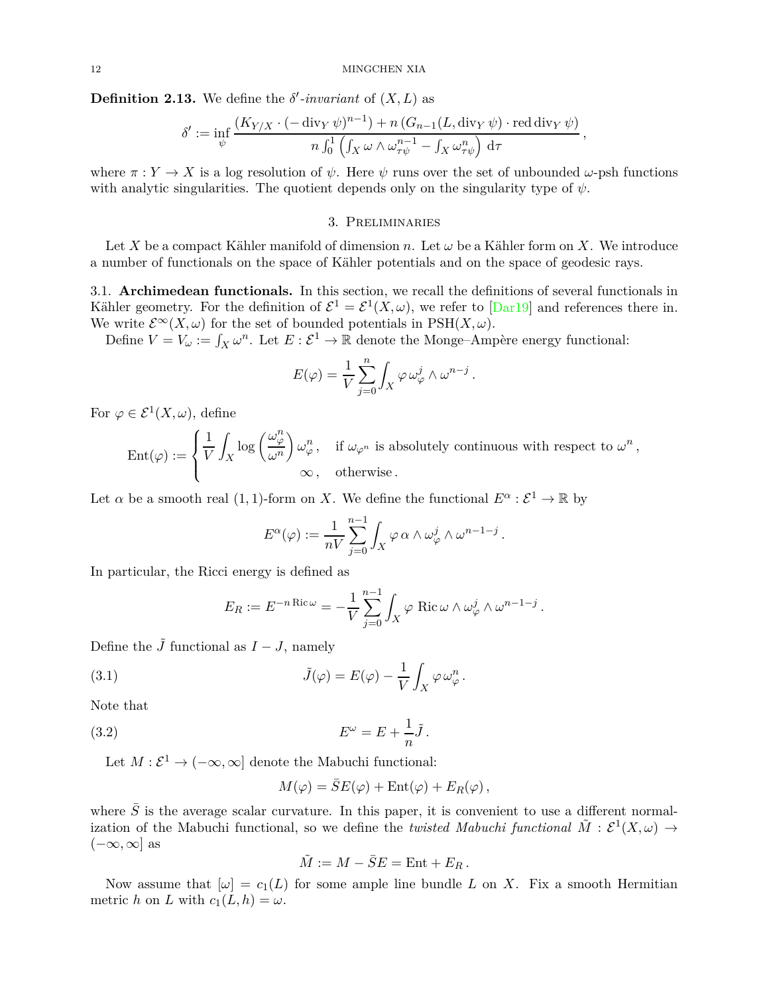**Definition 2.13.** We define the  $\delta'$ -invariant of  $(X, L)$  as

$$
\delta' := \inf_{\psi} \frac{(K_{Y/X} \cdot (-\operatorname{div}_Y \psi)^{n-1}) + n (G_{n-1}(L, \operatorname{div}_Y \psi) \cdot \operatorname{red} \operatorname{div}_Y \psi)}{n \int_0^1 \left( \int_X \omega \wedge \omega_{\tau \psi}^{n-1} - \int_X \omega_{\tau \psi}^n \right) d\tau},
$$

<span id="page-11-0"></span>where  $\pi : Y \to X$  is a log resolution of  $\psi$ . Here  $\psi$  runs over the set of unbounded  $\omega$ -psh functions with analytic singularities. The quotient depends only on the singularity type of  $\psi$ .

## 3. Preliminaries

Let *X* be a compact Kähler manifold of dimension *n*. Let  $\omega$  be a Kähler form on *X*. We introduce a number of functionals on the space of Kähler potentials and on the space of geodesic rays.

3.1. **Archimedean functionals.** In this section, we recall the definitions of several functionals in Kähler geometry. For the definition of  $\mathcal{E}^1 = \mathcal{E}^1(X,\omega)$ , we refer to  $\text{Dar}19\text{]}$  and references there in. We write  $\mathcal{E}^{\infty}(X,\omega)$  for the set of bounded potentials in PSH $(X,\omega)$ .

Define  $V = V_\omega := \int_X \omega^n$ . Let  $E : \mathcal{E}^1 \to \mathbb{R}$  denote the Monge–Ampère energy functional:

$$
E(\varphi) = \frac{1}{V} \sum_{j=0}^{n} \int_{X} \varphi \, \omega_{\varphi}^{j} \wedge \omega^{n-j} .
$$

For  $\varphi \in \mathcal{E}^1(X,\omega)$ , define

 $\mathrm{Ent}(\varphi) :=$  $\sqrt{ }$  $\int$  $\overline{a}$ 1 *V X*  $\log\left(\frac{\omega_{\varphi}^n}{n}\right)$ *ω<sup>n</sup>*  $\int \omega_{\varphi}^n$ , if  $\omega_{\varphi^n}$  is absolutely continuous with respect to  $\omega^n$ , ∞*,* otherwise *.*

Let  $\alpha$  be a smooth real  $(1, 1)$ -form on *X*. We define the functional  $E^{\alpha} : \mathcal{E}^1 \to \mathbb{R}$  by

$$
E^{\alpha}(\varphi) := \frac{1}{nV} \sum_{j=0}^{n-1} \int_X \varphi \alpha \wedge \omega_{\varphi}^j \wedge \omega^{n-1-j} .
$$

In particular, the Ricci energy is defined as

<span id="page-11-1"></span>
$$
E_R := E^{-n \operatorname{Ric} \omega} = -\frac{1}{V} \sum_{j=0}^{n-1} \int_X \varphi \operatorname{Ric} \omega \wedge \omega_{\varphi}^j \wedge \omega^{n-1-j} .
$$

Define the  $\tilde{J}$  functional as  $I - J$ , namely

(3.1) 
$$
\tilde{J}(\varphi) = E(\varphi) - \frac{1}{V} \int_X \varphi \,\omega_{\varphi}^n.
$$

Note that

(3.2) 
$$
E^{\omega} = E + \frac{1}{n}\tilde{J}.
$$

Let  $M : \mathcal{E}^1 \to (-\infty, \infty]$  denote the Mabuchi functional:

<span id="page-11-2"></span>
$$
M(\varphi) = \bar{S}E(\varphi) + \text{Ent}(\varphi) + E_R(\varphi),
$$

where  $\bar{S}$  is the average scalar curvature. In this paper, it is convenient to use a different normalization of the Mabuchi functional, so we define the *twisted Mabuchi functional*  $\tilde{M}$  :  $\mathcal{E}^1(X,\omega)$   $\rightarrow$ (−∞*,*∞] as

$$
\tilde{M} := M - \bar{S}E = \text{Ent} + E_R.
$$

Now assume that  $[\omega] = c_1(L)$  for some ample line bundle L on X. Fix a smooth Hermitian metric *h* on *L* with  $c_1(L, h) = \omega$ .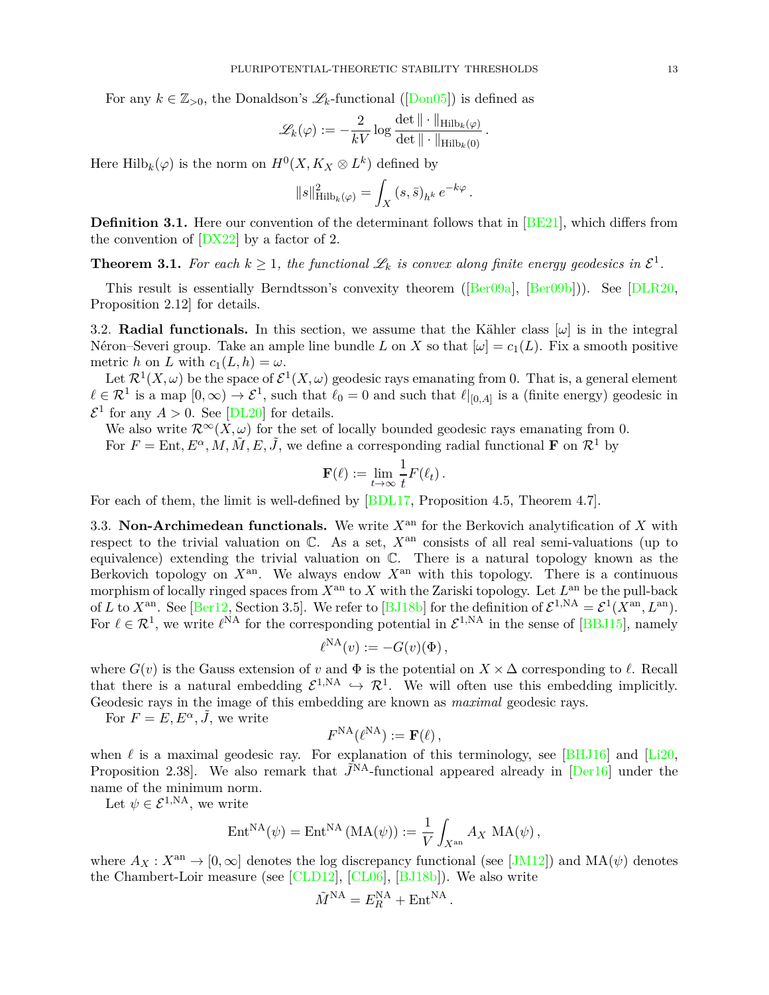For any  $k \in \mathbb{Z}_{>0}$ , the Donaldson's  $\mathscr{L}_k$ -functional ([\[Don05](#page-36-13)]) is defined as

$$
\mathscr{L}_k(\varphi) := -\frac{2}{kV} \log \frac{\det \|\cdot\|_{\operatorname{Hilb}_k(\varphi)}}{\det \|\cdot\|_{\operatorname{Hilb}_k(0)}}.
$$

Here  $\text{Hilb}_k(\varphi)$  is the norm on  $H^0(X, K_X \otimes L^k)$  defined by

$$
||s||_{\mathrm{Hilb}_k(\varphi)}^2 = \int_X (s,\bar s)_{h^k} e^{-k\varphi}.
$$

**Definition 3.1.** Here our convention of the determinant follows that in [\[BE21](#page-34-7)], which differs from the convention of [\[DX22\]](#page-36-7) by a factor of 2.

**Theorem 3.1.** For each  $k \geq 1$ , the functional  $\mathscr{L}_k$  is convex along finite energy geodesics in  $\mathcal{E}^1$ .

This result is essentially Berndtsson's convexity theorem ([\[Ber09a](#page-34-8)], [\[Ber09b\]](#page-34-9))). See [\[DLR20](#page-36-14), Proposition 2.12] for details.

3.2. **Radial functionals.** In this section, we assume that the Kähler class  $[\omega]$  is in the integral Néron–Severi group. Take an ample line bundle *L* on *X* so that  $[\omega] = c_1(L)$ . Fix a smooth positive metric *h* on *L* with  $c_1(L, h) = \omega$ .

Let  $\mathcal{R}^1(X,\omega)$  be the space of  $\mathcal{E}^1(X,\omega)$  geodesic rays emanating from 0. That is, a general element  $\ell \in \mathcal{R}^1$  is a map  $[0, \infty) \to \mathcal{E}^1$ , such that  $\ell_0 = 0$  and such that  $\ell|_{[0, A]}$  is a (finite energy) geodesic in  $\mathcal{E}^1$  for any  $A > 0$ . See [\[DL20\]](#page-36-15) for details.

We also write  $\mathcal{R}^{\infty}(X,\omega)$  for the set of locally bounded geodesic rays emanating from 0. For  $F = \text{Ent}, E^{\alpha}, M, \tilde{M}, E, \tilde{J}$ , we define a corresponding radial functional **F** on  $\mathcal{R}^1$  by

$$
\mathbf{F}(\ell) := \lim_{t \to \infty} \frac{1}{t} F(\ell_t).
$$

For each of them, the limit is well-defined by [\[BDL17,](#page-34-10) Proposition 4.5, Theorem 4.7].

3.3. **Non-Archimedean functionals.** We write  $X<sup>an</sup>$  for the Berkovich analytification of X with respect to the trivial valuation on  $\mathbb{C}$ . As a set,  $X<sup>an</sup>$  consists of all real semi-valuations (up to equivalence) extending the trivial valuation on C. There is a natural topology known as the Berkovich topology on  $X^{\text{an}}$ . We always endow  $X^{\text{an}}$  with this topology. There is a continuous morphism of locally ringed spaces from  $X^{\text{an}}$  to  $X$  with the Zariski topology. Let  $L^{\text{an}}$  be the pull-back of *L* to  $X^{\text{an}}$ . See [\[Ber12,](#page-34-11) Section 3.5]. We refer to [\[BJ18b\]](#page-35-8) for the definition of  $\mathcal{E}^{1,NA} = \mathcal{E}^1(X^{\text{an}}, L^{\text{an}})$ . For  $\ell \in \mathcal{R}^1$ , we write  $\ell^{NA}$  for the corresponding potential in  $\mathcal{E}^{1,NA}$  in the sense of [\[BBJ15](#page-34-3)], namely

$$
\ell^{\mathrm{NA}}(v) := -G(v)(\Phi) \,,
$$

where  $G(v)$  is the Gauss extension of *v* and  $\Phi$  is the potential on  $X \times \Delta$  corresponding to  $\ell$ . Recall that there is a natural embedding  $\mathcal{E}^{1,NA} \hookrightarrow \mathcal{R}^1$ . We will often use this embedding implicitly. Geodesic rays in the image of this embedding are known as *maximal* geodesic rays.

For  $F = E, E^{\alpha}, \tilde{J}$ , we write

$$
F^{\rm NA}(\ell^{\rm NA}):= \mathbf{F}(\ell)\,,
$$

when  $\ell$  is a maximal geodesic ray. For explanation of this terminology, see [\[BHJ16](#page-34-1)] and [\[Li20](#page-37-7), Proposition 2.38. We also remark that  $\tilde{J}^{NA}$ -functional appeared already in [\[Der16](#page-36-2)] under the name of the minimum norm.

Let  $\psi \in \mathcal{E}^{1,NA}$ , we write

$$
\operatorname{Ent}^{\operatorname{NA}}(\psi) = \operatorname{Ent}^{\operatorname{NA}}\left(\operatorname{MA}(\psi)\right) := \frac{1}{V} \int_{X^{\operatorname{an}}} A_X \operatorname{MA}(\psi),
$$

where  $A_X: X^{\text{an}} \to [0, \infty]$  denotes the log discrepancy functional (see [\[JM12](#page-37-10)]) and  $MA(\psi)$  denotes the Chambert-Loir measure (see [\[CLD12\]](#page-35-13), [\[CL06](#page-35-14)], [\[BJ18b](#page-35-8)]). We also write

$$
\tilde{M}^{\rm NA} = E_R^{\rm NA} + \text{Ent}^{\rm NA}.
$$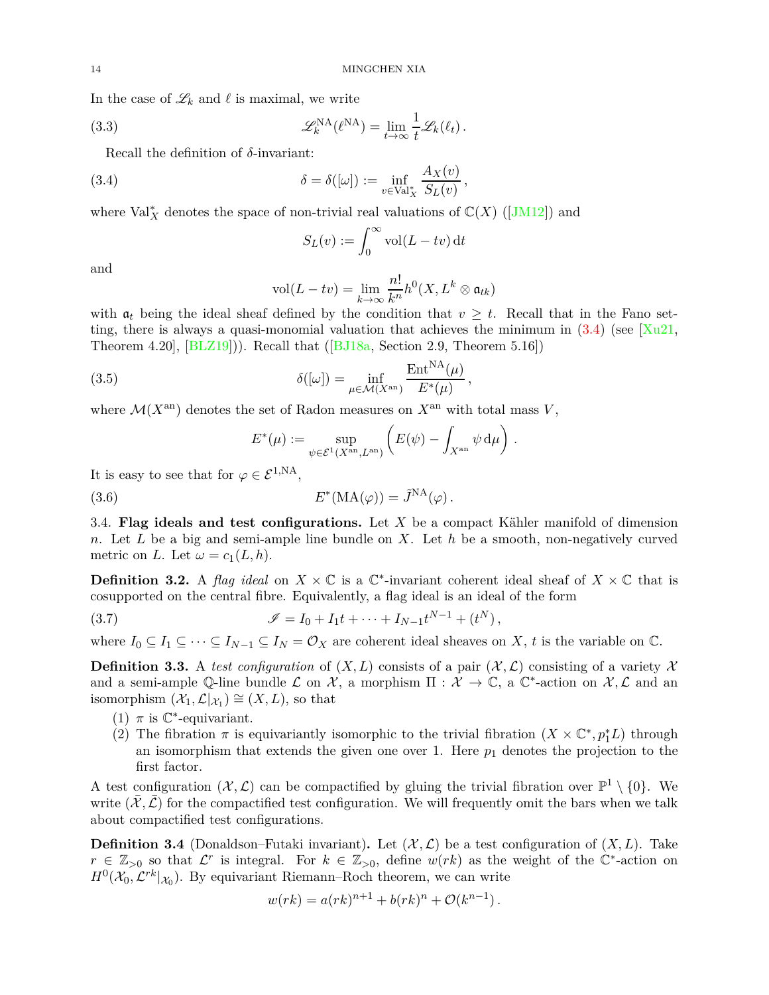In the case of  $\mathscr{L}_k$  and  $\ell$  is maximal, we write

(3.3) 
$$
\mathscr{L}_{k}^{\text{NA}}(\ell^{\text{NA}}) = \lim_{t \to \infty} \frac{1}{t} \mathscr{L}_{k}(\ell_{t}).
$$

Recall the definition of *δ*-invariant:

(3.4) 
$$
\delta = \delta([\omega]) := \inf_{v \in \text{Val}^*_{X}} \frac{A_{X}(v)}{S_{L}(v)},
$$

where  $Val_X^*$  denotes the space of non-trivial real valuations of  $\mathbb{C}(X)$  ([\[JM12\]](#page-37-10)) and

<span id="page-13-1"></span><span id="page-13-0"></span>
$$
S_L(v) := \int_0^\infty \text{vol}(L - tv) \, \mathrm{d}t
$$

and

$$
\text{vol}(L - tv) = \lim_{k \to \infty} \frac{n!}{k^n} h^0(X, L^k \otimes \mathfrak{a}_{tk})
$$

with  $a_t$  being the ideal sheaf defined by the condition that  $v \geq t$ . Recall that in the Fano setting, there is always a quasi-monomial valuation that achieves the minimum in  $(3.4)$  (see  $\lceil \text{Xu21} \rceil$ , Theorem 4.20],  $[BLZ19]$ ). Recall that  $([BJ18a, Section 2.9, Theorem 5.16])$  $([BJ18a, Section 2.9, Theorem 5.16])$  $([BJ18a, Section 2.9, Theorem 5.16])$ 

(3.5) 
$$
\delta([\omega]) = \inf_{\mu \in \mathcal{M}(X^{\rm an})} \frac{\text{Ent}^{\text{NA}}(\mu)}{E^*(\mu)},
$$

where  $\mathcal{M}(X^{\text{an}})$  denotes the set of Radon measures on  $X^{\text{an}}$  with total mass  $V$ ,

<span id="page-13-3"></span><span id="page-13-2"></span>
$$
E^*(\mu) := \sup_{\psi \in \mathcal{E}^1(X^{\rm an}, L^{\rm an})} \left( E(\psi) - \int_{X^{\rm an}} \psi \, \mathrm{d}\mu \right) .
$$

It is easy to see that for  $\varphi \in \mathcal{E}^{1,NA}$ ,

(3.6) 
$$
E^*(\text{MA}(\varphi)) = \tilde{J}^{\text{NA}}(\varphi).
$$

3.4. **Flag ideals and test configurations.** Let *X* be a compact Kähler manifold of dimension *n*. Let *L* be a big and semi-ample line bundle on *X*. Let *h* be a smooth, non-negatively curved metric on *L*. Let  $\omega = c_1(L, h)$ .

**Definition 3.2.** A *flag ideal* on  $X \times \mathbb{C}$  is a  $\mathbb{C}^*$ -invariant coherent ideal sheaf of  $X \times \mathbb{C}$  that is cosupported on the central fibre. Equivalently, a flag ideal is an ideal of the form

(3.7) 
$$
\mathscr{I} = I_0 + I_1 t + \dots + I_{N-1} t^{N-1} + (t^N),
$$

where  $I_0 \subseteq I_1 \subseteq \cdots \subseteq I_{N-1} \subseteq I_N = \mathcal{O}_X$  are coherent ideal sheaves on X, t is the variable on  $\mathbb{C}$ .

**Definition 3.3.** A *test configuration* of  $(X, L)$  consists of a pair  $(X, L)$  consisting of a variety X and a semi-ample Q-line bundle L on  $\mathcal{X}$ , a morphism  $\Pi : \mathcal{X} \to \mathbb{C}$ , a  $\mathbb{C}^*$ -action on  $\mathcal{X}, \mathcal{L}$  and an isomorphism  $(\mathcal{X}_1, \mathcal{L}|_{\mathcal{X}_1}) \cong (X, L)$ , so that

- (1)  $\pi$  is  $\mathbb{C}^*$ -equivariant.
- (2) The fibration  $\pi$  is equivariantly isomorphic to the trivial fibration  $(X \times \mathbb{C}^*, p_1^*L)$  through an isomorphism that extends the given one over 1. Here  $p_1$  denotes the projection to the first factor.

A test configuration  $(\mathcal{X}, \mathcal{L})$  can be compactified by gluing the trivial fibration over  $\mathbb{P}^1 \setminus \{0\}$ . We write  $(\mathcal{X}, \mathcal{L})$  for the compactified test configuration. We will frequently omit the bars when we talk about compactified test configurations.

**Definition 3.4** (Donaldson–Futaki invariant). Let  $(\mathcal{X}, \mathcal{L})$  be a test configuration of  $(X, L)$ . Take  $r \in \mathbb{Z}_{>0}$  so that  $\mathcal{L}^r$  is integral. For  $k \in \mathbb{Z}_{>0}$ , define  $w(rk)$  as the weight of the  $\mathbb{C}^*$ -action on  $H^0(\mathcal{X}_0, \mathcal{L}^{rk}|_{\mathcal{X}_0})$ . By equivariant Riemann–Roch theorem, we can write

$$
w(rk) = a(rk)^{n+1} + b(rk)^{n} + \mathcal{O}(k^{n-1}).
$$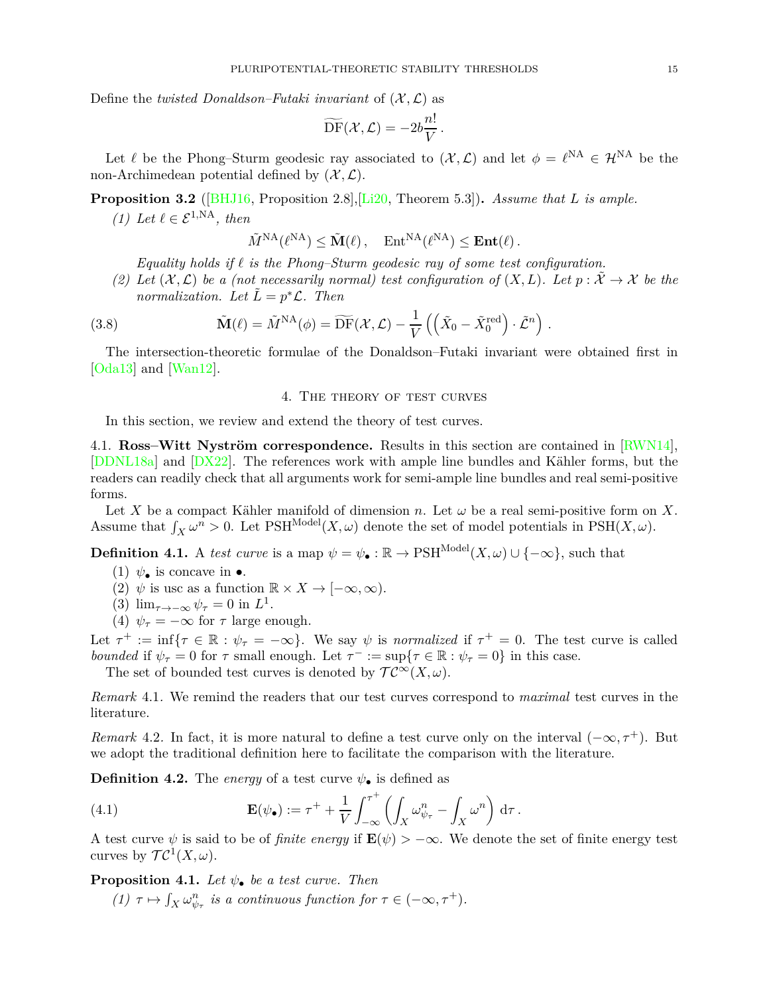Define the *twisted Donaldson–Futaki invariant* of  $(X, \mathcal{L})$  as

$$
\widetilde{\mathrm{DF}}(\mathcal{X},\mathcal{L})=-2b\frac{n!}{V}.
$$

<span id="page-14-4"></span>Let  $\ell$  be the Phong–Sturm geodesic ray associated to  $(\mathcal{X}, \mathcal{L})$  and let  $\phi = \ell^{NA} \in \mathcal{H}^{NA}$  be the non-Archimedean potential defined by  $(\mathcal{X}, \mathcal{L})$ .

**Proposition 3.2** ([\[BHJ16,](#page-34-1) Proposition 2.8],[\[Li20](#page-37-7), Theorem 5.3])**.** *Assume that L is ample.*

*(1)* Let  $\ell$  ∈  $\mathcal{E}^{1,NA}$ , then

$$
\tilde{M}^{\mathrm{NA}}(\ell^{\mathrm{NA}}) \leq \tilde{\mathbf{M}}(\ell), \quad \mathrm{Ent}^{\mathrm{NA}}(\ell^{\mathrm{NA}}) \leq \mathbf{Ent}(\ell).
$$

*Equality holds if ℓ is the Phong–Sturm geodesic ray of some test configuration.*

(2) Let  $(\mathcal{X}, \mathcal{L})$  be a (not necessarily normal) test configuration of  $(X, L)$ . Let  $p : \mathcal{X} \to \mathcal{X}$  be the *normalization.* Let  $\tilde{L} = p^* \mathcal{L}$ . Then

(3.8) 
$$
\tilde{\mathbf{M}}(\ell) = \tilde{M}^{\mathrm{NA}}(\phi) = \widetilde{\mathrm{DF}}(\mathcal{X}, \mathcal{L}) - \frac{1}{V} \left( \left( \tilde{X}_0 - \tilde{X}_0^{\mathrm{red}} \right) \cdot \tilde{\mathcal{L}}^n \right).
$$

<span id="page-14-0"></span>The intersection-theoretic formulae of the Donaldson–Futaki invariant were obtained first in [\[Oda13\]](#page-37-4) and [\[Wan12](#page-38-4)].

# 4. The theory of test curves

In this section, we review and extend the theory of test curves.

4.1. **Ross–Witt Nyström correspondence.** Results in this section are contained in [\[RWN14\]](#page-37-2), [\[DDNL18a](#page-35-15)] and [\[DX22\]](#page-36-7). The references work with ample line bundles and Kähler forms, but the readers can readily check that all arguments work for semi-ample line bundles and real semi-positive forms.

Let *X* be a compact Kähler manifold of dimension *n*. Let  $\omega$  be a real semi-positive form on *X*. Assume that  $\int_X \omega^n > 0$ . Let  $\text{PSH}^{\text{Model}}(X, \omega)$  denote the set of model potentials in  $\text{PSH}(X, \omega)$ .

<span id="page-14-1"></span>**Definition 4.1.** A *test curve* is a map  $\psi = \psi_{\bullet} : \mathbb{R} \to \text{PSH}^{\text{Model}}(X,\omega) \cup \{-\infty\}$ , such that

- (1)  $\psi_{\bullet}$  is concave in  $\bullet$ .
- (2)  $\psi$  is usc as a function  $\mathbb{R} \times X \to [-\infty, \infty)$ .
- (3)  $\lim_{\tau \to -\infty} \psi_{\tau} = 0$  in  $L^1$ .
- (4)  $\psi_{\tau} = -\infty$  for  $\tau$  large enough.

Let  $\tau^+ := \inf \{ \tau \in \mathbb{R} : \psi_\tau = -\infty \}.$  We say  $\psi$  is *normalized* if  $\tau^+ = 0$ . The test curve is called *bounded* if  $\psi_{\tau} = 0$  for  $\tau$  small enough. Let  $\tau^- := \sup\{\tau \in \mathbb{R} : \psi_{\tau} = 0\}$  in this case.

The set of bounded test curves is denoted by  $TC^{\infty}(X,\omega)$ .

*Remark* 4.1*.* We remind the readers that our test curves correspond to *maximal* test curves in the literature.

*Remark* 4.2. In fact, it is more natural to define a test curve only on the interval  $(-\infty, \tau^+)$ . But we adopt the traditional definition here to facilitate the comparison with the literature.

**Definition 4.2.** The *energy* of a test curve  $\psi_{\bullet}$  is defined as

<span id="page-14-3"></span>(4.1) 
$$
\mathbf{E}(\psi_{\bullet}) := \tau^{+} + \frac{1}{V} \int_{-\infty}^{\tau^{+}} \left( \int_{X} \omega_{\psi_{\tau}}^{n} - \int_{X} \omega^{n} \right) d\tau.
$$

A test curve  $\psi$  is said to be of *finite energy* if  $\mathbf{E}(\psi) > -\infty$ . We denote the set of finite energy test curves by  $\mathcal{TC}^1(X,\omega)$ .

<span id="page-14-2"></span>**Proposition 4.1.** *Let*  $\psi_{\bullet}$  *be a test curve. Then* 

*(1)*  $\tau \mapsto \int_X \omega_{\psi_\tau}^n$  *is a continuous function for*  $\tau \in (-\infty, \tau^+)$ *.*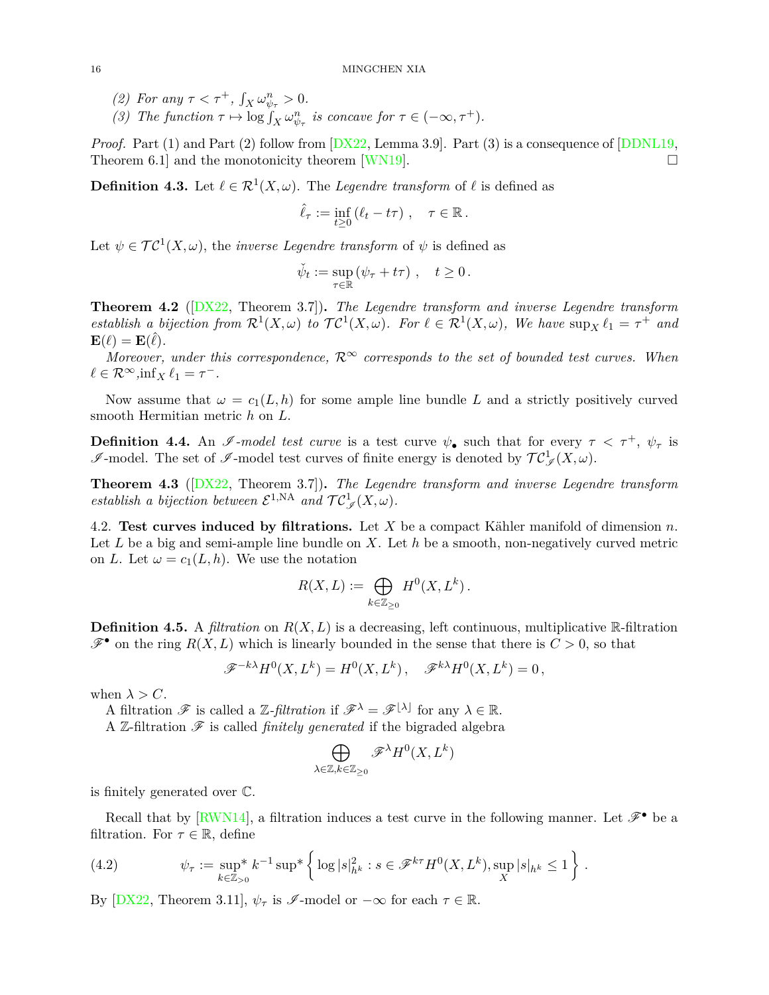- *(2)* For any  $\tau < \tau^+$ ,  $\int_X \omega_{\psi_{\tau}}^n > 0$ .
- *(3)* The function  $\tau \mapsto \log \int_X \omega_{\psi_\tau}^n$  is concave for  $\tau \in (-\infty, \tau^+)$ .

*Proof.* Part (1) and Part (2) follow from  $[DX22, Lemma 3.9]$ . Part (3) is a consequence of  $[DDNL19,$ Theorem 6.1 and the monotonicity theorem [\[WN19](#page-38-5)].  $\Box$ 

**Definition 4.3.** Let  $\ell \in \mathcal{R}^1(X, \omega)$ . The *Legendre transform* of  $\ell$  is defined as

$$
\hat{\ell}_{\tau} := \inf_{t \geq 0} (\ell_t - t\tau) , \quad \tau \in \mathbb{R} .
$$

Let  $\psi \in \mathcal{TC}^1(X, \omega)$ , the *inverse Legendre transform* of  $\psi$  is defined as

$$
\check{\psi}_t := \sup_{\tau \in \mathbb{R}} \left( \psi_\tau + t\tau \right), \quad t \ge 0.
$$

**Theorem 4.2** ([\[DX22,](#page-36-7) Theorem 3.7])**.** *The Legendre transform and inverse Legendre transform establish a bijection from*  $\mathcal{R}^1(X,\omega)$  *to*  $\mathcal{T}C^1(X,\omega)$ *. For*  $\ell \in \mathcal{R}^1(X,\omega)$ *, We have*  $\sup_X \ell_1 = \tau^+$  *and*  $\mathbf{E}(\ell) = \mathbf{E}(\hat{\ell}).$ 

*Moreover, under this correspondence,*  $\mathcal{R}^{\infty}$  *corresponds to the set of bounded test curves. When*  $\ell \in \mathcal{R}^{\infty}, \inf_{X} \ell_1 = \tau^{-}.$ 

Now assume that  $\omega = c_1(L, h)$  for some ample line bundle L and a strictly positively curved smooth Hermitian metric *h* on *L*.

**Definition 4.4.** An  $\mathscr{I}\text{-}model$  test curve is a test curve  $\psi_{\bullet}$  such that for every  $\tau < \tau^{+}$ ,  $\psi_{\tau}$  is *I*-model. The set of *I*-model test curves of finite energy is denoted by  $TC^1_{\mathscr{J}}(X,\omega)$ .

**Theorem 4.3** ([\[DX22,](#page-36-7) Theorem 3.7])**.** *The Legendre transform and inverse Legendre transform establish a bijection between*  $\mathcal{E}^{1,NA}$  *and*  $\mathcal{TC}_{\mathscr{I}}^1(X,\omega)$ *.* 

4.2. **Test curves induced by filtrations.** Let *X* be a compact Kähler manifold of dimension *n*. Let *L* be a big and semi-ample line bundle on *X*. Let *h* be a smooth, non-negatively curved metric on *L*. Let  $\omega = c_1(L, h)$ . We use the notation

$$
R(X, L) := \bigoplus_{k \in \mathbb{Z}_{\geq 0}} H^0(X, L^k).
$$

**Definition 4.5.** A *filtration* on  $R(X, L)$  is a decreasing, left continuous, multiplicative R-filtration  $\mathscr{F}^{\bullet}$  on the ring  $R(X, L)$  which is linearly bounded in the sense that there is  $C > 0$ , so that

$$
\mathscr{F}^{-k\lambda}H^0(X,L^k) = H^0(X,L^k), \quad \mathscr{F}^{k\lambda}H^0(X,L^k) = 0,
$$

when  $\lambda > C$ .

A filtration  $\mathscr{F}$  is called a  $\mathbb{Z}\text{-}filtration$  if  $\mathscr{F}^{\lambda} = \mathscr{F}^{\{\lambda\}}$  for any  $\lambda \in \mathbb{R}$ .

A Z-filtration  $\mathscr F$  is called *finitely generated* if the bigraded algebra

$$
\bigoplus_{\lambda\in\mathbb{Z}, k\in\mathbb{Z}_{\geq 0}}\mathscr{F}^{\lambda}H^0(X,L^k)
$$

is finitely generated over C.

Recall that by [\[RWN14\]](#page-37-2), a filtration induces a test curve in the following manner. Let  $\mathscr{F}^{\bullet}$  be a filtration. For  $\tau \in \mathbb{R}$ , define

<span id="page-15-0"></span>(4.2) 
$$
\psi_{\tau} := \sup_{k \in \mathbb{Z}_{>0}}^* k^{-1} \sup^* \left\{ \log |s|_{h^k}^2 : s \in \mathcal{F}^{k\tau} H^0(X, L^k), \sup_X |s|_{h^k} \le 1 \right\}.
$$

By  $[DX22, Theorem 3.11],  $\psi_{\tau}$  is  $\mathscr{I}$ -model or  $-\infty$  for each  $\tau \in \mathbb{R}$ .$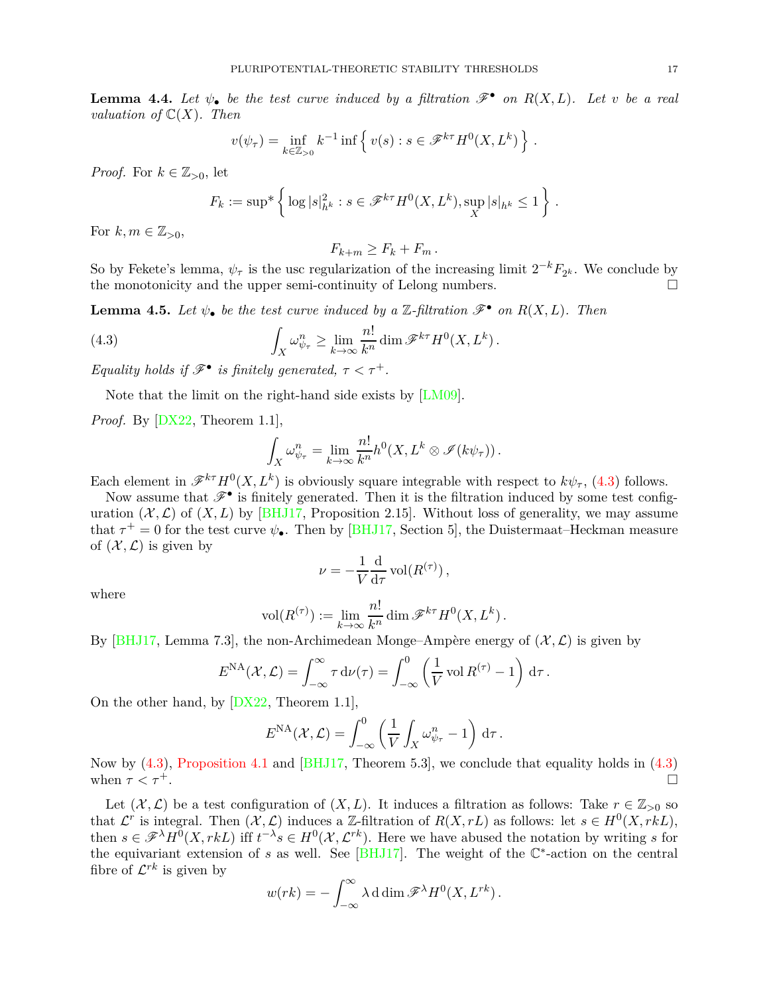**Lemma 4.4.** Let  $\psi_{\bullet}$  be the test curve induced by a filtration  $\mathscr{F}^{\bullet}$  on  $R(X, L)$ . Let *v* be a real *valuation of*  $\mathbb{C}(X)$ *. Then* 

$$
v(\psi_{\tau}) = \inf_{k \in \mathbb{Z}_{>0}} k^{-1} \inf \left\{ v(s) : s \in \mathcal{F}^{k\tau} H^0(X, L^k) \right\}.
$$

*Proof.* For  $k \in \mathbb{Z}_{>0}$ , let

$$
F_k := \sup^* \left\{ \log |s|_{h^k}^2 : s \in \mathscr{F}^{k\tau} H^0(X, L^k), \sup_X |s|_{h^k} \le 1 \right\}.
$$

For  $k, m \in \mathbb{Z}_{>0}$ ,

 $F_{k+m} > F_k + F_m$ .

So by Fekete's lemma,  $\psi_{\tau}$  is the usc regularization of the increasing limit  $2^{-k}F_{2^k}$ . We conclude by the monotonicity and the upper semi-continuity of Lelong numbers.  $\hfill \Box$ 

<span id="page-16-2"></span>**Lemma 4.5.** Let  $\psi_{\bullet}$  be the test curve induced by a  $\mathbb{Z}\text{-}filtration \mathscr{F}^{\bullet}$  on  $R(X, L)$ . Then

(4.3) 
$$
\int_X \omega_{\psi_\tau}^n \geq \lim_{k \to \infty} \frac{n!}{k^n} \dim \mathscr{F}^{k\tau} H^0(X, L^k).
$$

*Equality holds if*  $\mathscr{F}^{\bullet}$  *is finitely generated,*  $\tau < \tau^{+}$ *.* 

Note that the limit on the right-hand side exists by [\[LM09](#page-37-11)].

*Proof.* By [\[DX22](#page-36-7), Theorem 1.1],

<span id="page-16-1"></span>
$$
\int_X \omega_{\psi_\tau}^n = \lim_{k \to \infty} \frac{n!}{k^n} h^0(X, L^k \otimes \mathscr{I}(k\psi_\tau)).
$$

Each element in  $\mathscr{F}^{k\tau}H^0(X,L^k)$  is obviously square integrable with respect to  $k\psi_\tau$ , [\(4.3\)](#page-16-1) follows.

Now assume that  $\mathscr{F}^{\bullet}$  is finitely generated. Then it is the filtration induced by some test configuration  $(X, \mathcal{L})$  of  $(X, L)$  by [\[BHJ17,](#page-34-2) Proposition 2.15]. Without loss of generality, we may assume that  $\tau^+ = 0$  for the test curve  $\psi_{\bullet}$ . Then by [\[BHJ17](#page-34-2), Section 5], the Duistermaat–Heckman measure of  $(\mathcal{X}, \mathcal{L})$  is given by

$$
\nu = -\frac{1}{V} \frac{d}{d\tau} \operatorname{vol}(R^{(\tau)}),
$$

where

$$
\text{vol}(R^{(\tau)}) := \lim_{k \to \infty} \frac{n!}{k^n} \dim \mathscr{F}^{k\tau} H^0(X, L^k) .
$$

By [\[BHJ17](#page-34-2), Lemma 7.3], the non-Archimedean Monge–Ampère energy of  $(\mathcal{X}, \mathcal{L})$  is given by

$$
E^{\text{NA}}(\mathcal{X}, \mathcal{L}) = \int_{-\infty}^{\infty} \tau \, \mathrm{d}\nu(\tau) = \int_{-\infty}^{0} \left(\frac{1}{V} \operatorname{vol} R^{(\tau)} - 1\right) \, \mathrm{d}\tau.
$$

On the other hand, by [\[DX22](#page-36-7), Theorem 1.1],

$$
E^{\text{NA}}(\mathcal{X}, \mathcal{L}) = \int_{-\infty}^{0} \left( \frac{1}{V} \int_{X} \omega_{\psi_{\tau}}^{n} - 1 \right) d\tau.
$$

Now by [\(4.3\)](#page-16-1), [Proposition 4.1](#page-14-2) and [\[BHJ17,](#page-34-2) Theorem 5.3], we conclude that equality holds in [\(4.3\)](#page-16-1) when  $\tau < \tau^+$ .

<span id="page-16-0"></span>Let  $(\mathcal{X}, \mathcal{L})$  be a test configuration of  $(X, L)$ . It induces a filtration as follows: Take  $r \in \mathbb{Z}_{>0}$  so that  $\mathcal{L}^r$  is integral. Then  $(\mathcal{X}, \mathcal{L})$  induces a Z-filtration of  $R(X, rL)$  as follows: let  $s \in H^0(X, rkL)$ , then  $s \in \mathscr{F}^{\lambda}H^0(X,rkL)$  iff  $t^{-\lambda}s \in H^0(\mathcal{X},\mathcal{L}^{rk})$ . Here we have abused the notation by writing *s* for the equivariant extension of  $s$  as well. See  $[BHJ17]$ . The weight of the  $\mathbb{C}^*$ -action on the central fibre of  $\mathcal{L}^{rk}$  is given by

$$
w(rk) = -\int_{-\infty}^{\infty} \lambda \,d\dim \mathscr{F}^{\lambda} H^{0}(X, L^{rk}).
$$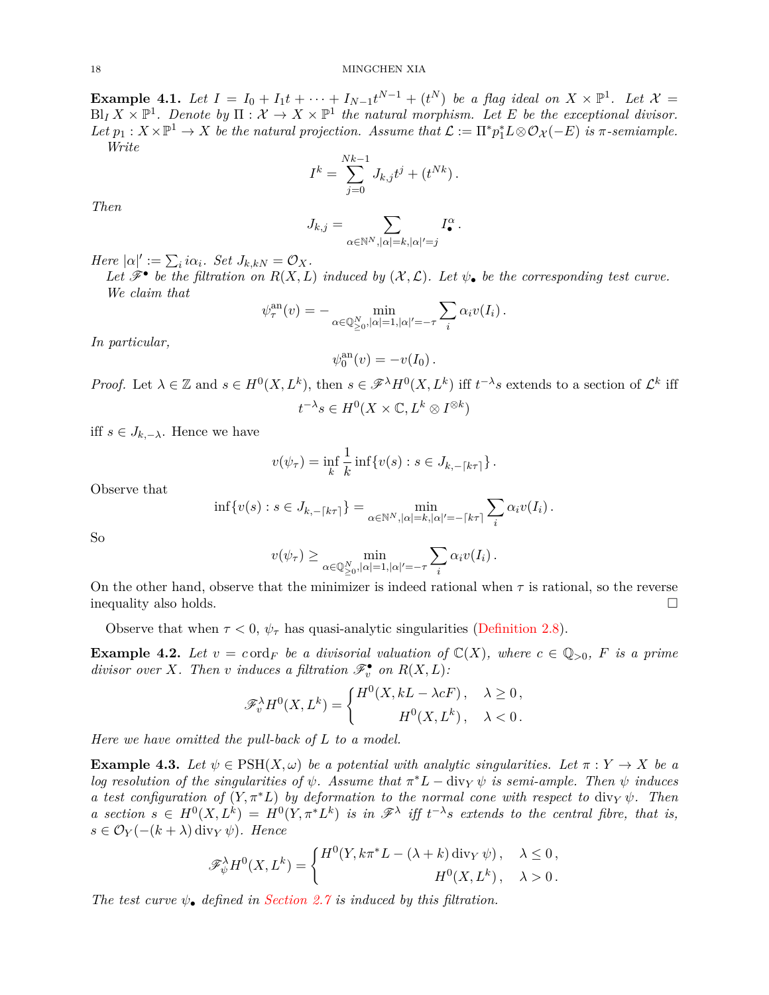#### 18 MINGCHEN XIA

**Example 4.1.** Let  $I = I_0 + I_1 t + \cdots + I_{N-1} t^{N-1} + (t^N)$  be a flag ideal on  $X \times \mathbb{P}^1$ . Let  $\mathcal{X} =$  $\text{Bl}_I X \times \mathbb{P}^1$ . Denote by  $\Pi : \mathcal{X} \to X \times \mathbb{P}^1$  the natural morphism. Let E be the exceptional divisor.  $Let p_1: X \times \mathbb{P}^1 \to X$  *be the natural projection. Assume that*  $\mathcal{L} := \Pi^* p_1^* L \otimes \mathcal{O}_{\mathcal{X}}(-E)$  *is*  $\pi$ -semiample. *Write*

$$
I^k = \sum_{j=0}^{Nk-1} J_{k,j} t^j + (t^{Nk}).
$$

*Then*

$$
J_{k,j} = \sum_{\alpha \in \mathbb{N}^N, |\alpha| = k, |\alpha|' = j} I_{\bullet}^{\alpha}.
$$

*Here*  $|\alpha|' := \sum_i i\alpha_i$ *. Set*  $J_{k,kN} = \mathcal{O}_X$ *.* 

Let  $\mathscr{F}^{\bullet}$  be the filtration on  $R(X, L)$  induced by  $(\mathcal{X}, \mathcal{L})$ . Let  $\psi_{\bullet}$  be the corresponding test curve. *We claim that*

$$
\psi_{\tau}^{\mathrm{an}}(v) = - \min_{\alpha \in \mathbb{Q}_{\geq 0}^N, |\alpha| = 1, |\alpha|' = -\tau} \sum_{i} \alpha_i v(I_i) .
$$

*In particular,*

$$
\psi_0^{\text{an}}(v) = -v(I_0).
$$

*Proof.* Let  $\lambda \in \mathbb{Z}$  and  $s \in H^0(X, L^k)$ , then  $s \in \mathscr{F}^{\lambda}H^0(X, L^k)$  iff  $t^{-\lambda}s$  extends to a section of  $\mathcal{L}^k$  iff  $t^{-\lambda}s \in H^0(X \times \mathbb{C}, L^k \otimes I^{\otimes k})$ 

iff  $s \in J_{k,-\lambda}$ . Hence we have

$$
v(\psi_{\tau}) = \inf_{k} \frac{1}{k} \inf \{ v(s) : s \in J_{k, -\lceil k\tau \rceil} \}.
$$

Observe that

$$
\inf \{ v(s) : s \in J_{k,-\lceil k\tau \rceil} \} = \min_{\alpha \in \mathbb{N}^N, |\alpha| = k, |\alpha|' = -\lceil k\tau \rceil} \sum_i \alpha_i v(I_i) .
$$

So

$$
v(\psi_{\tau}) \ge \min_{\alpha \in \mathbb{Q}_{\geq 0}^N, |\alpha| = 1, |\alpha|' = -\tau} \sum_{i} \alpha_i v(I_i).
$$

On the other hand, observe that the minimizer is indeed rational when  $\tau$  is rational, so the reverse inequality also holds.

Observe that when  $\tau < 0$ ,  $\psi_{\tau}$  has quasi-analytic singularities [\(Definition 2.8\)](#page-7-1).

**Example 4.2.** Let  $v = c \text{ord}_F$  be a divisorial valuation of  $\mathbb{C}(X)$ , where  $c \in \mathbb{Q}_{>0}$ , F is a prime *divisor over X. Then v induces* a *filtration*  $\mathscr{F}_v^{\bullet}$  *on*  $R(X, L)$ *:* 

$$
\mathscr{F}^{\lambda}_{v} H^{0}(X, L^{k}) = \begin{cases} H^{0}(X, kL - \lambda cF), & \lambda \geq 0, \\ H^{0}(X, L^{k}), & \lambda < 0. \end{cases}
$$

<span id="page-17-0"></span>*Here we have omitted the pull-back of L to a model.*

**Example 4.3.** Let  $\psi \in \text{PSH}(X, \omega)$  be a potential with analytic singularities. Let  $\pi : Y \to X$  be a *log resolution of the singularities of*  $\psi$ *. Assume that*  $\pi^*L - \text{div}_Y \psi$  *is semi-ample. Then*  $\psi$  *induces a test configuration of*  $(Y, \pi^*L)$  *by deformation to the normal cone with respect to* div*Y*  $\psi$ *. Then a* section  $s \in H^0(X, L^k) = H^0(Y, \pi^* L^k)$  is in  $\mathscr{F}^{\lambda}$  iff  $t^{-\lambda}s$  extends to the central fibre, that is, *s* ∈ O*<sup>Y</sup>* (−(*k* + *λ*) div*<sup>Y</sup> ψ*)*. Hence*

$$
\mathscr{F}_{\psi}^{\lambda}H^{0}(X,L^{k}) = \begin{cases} H^{0}(Y,k\pi^{*}L - (\lambda + k)\operatorname{div}_{Y}\psi), & \lambda \leq 0, \\ H^{0}(X,L^{k}), & \lambda > 0. \end{cases}
$$

<span id="page-17-1"></span>*The test curve*  $\psi_{\bullet}$  *defined in [Section 2.7](#page-9-2) is induced by this filtration.*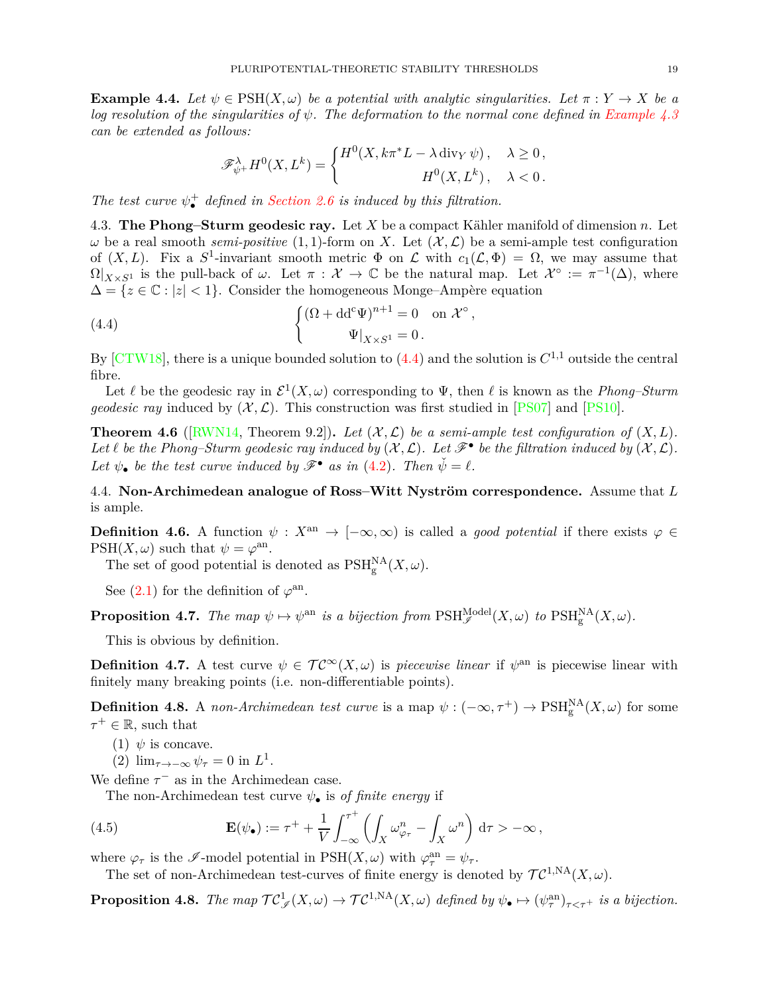**Example 4.4.** Let  $\psi \in \text{PSH}(X, \omega)$  be a potential with analytic singularities. Let  $\pi : Y \to X$  be a *log resolution of the singularities of ψ. The deformation to the normal cone defined in [Example 4.3](#page-17-0) can be extended as follows:*

$$
\mathscr{F}^\lambda_{\psi^+} H^0(X, L^k) = \begin{cases} H^0(X, k\pi^* L - \lambda \operatorname{div}_Y \psi), & \lambda \ge 0, \\ H^0(X, L^k), & \lambda < 0. \end{cases}
$$

*The test curve*  $\psi_{\bullet}^{+}$  *defined in [Section 2.6](#page-9-0) is induced by this filtration.* 

4.3. **The Phong–Sturm geodesic ray.** Let *X* be a compact Kähler manifold of dimension *n*. Let *ω* be a real smooth *semi-positive* (1, 1)-form on *X*. Let  $(X, L)$  be a semi-ample test configuration of  $(X, L)$ . Fix a  $S^1$ -invariant smooth metric  $\Phi$  on  $\mathcal L$  with  $c_1(\mathcal L, \Phi) = \Omega$ , we may assume that  $\Omega|_{X\times S^1}$  is the pull-back of *ω*. Let  $\pi: \mathcal{X} \to \mathbb{C}$  be the natural map. Let  $\mathcal{X}^{\circ} := \pi^{-1}(\Delta)$ , where  $\Delta = \{z \in \mathbb{C} : |z| < 1\}.$  Consider the homogeneous Monge–Ampère equation

(4.4) 
$$
\begin{cases} (\Omega + dd^c \Psi)^{n+1} = 0 & \text{on } \mathcal{X}^{\circ} \\ \Psi|_{X \times S^1} = 0. \end{cases}
$$

By  $\left[ \text{CTW18} \right]$ , there is a unique bounded solution to [\(4.4\)](#page-18-0) and the solution is  $C^{1,1}$  outside the central fibre.

<span id="page-18-0"></span>*,*

Let  $\ell$  be the geodesic ray in  $\mathcal{E}^1(X,\omega)$  corresponding to  $\Psi$ , then  $\ell$  is known as the *Phong–Sturm geodesic ray* induced by  $(\mathcal{X}, \mathcal{L})$ . This construction was first studied in [\[PS07](#page-37-12)] and [\[PS10](#page-37-13)].

**Theorem 4.6** ([\[RWN14](#page-37-2), Theorem 9.2]). Let  $(X, \mathcal{L})$  be a semi-ample test configuration of  $(X, L)$ . Let  $\ell$  be the Phong–Sturm geodesic ray induced by  $(\mathcal{X}, \mathcal{L})$ . Let  $\mathcal{F}^{\bullet}$  be the filtration induced by  $(\mathcal{X}, \mathcal{L})$ . Let  $\psi_{\bullet}$  be the test curve induced by  $\mathscr{F}^{\bullet}$  as in [\(4.2\)](#page-15-0). Then  $\check{\psi} = \ell$ .

4.4. **Non-Archimedean analogue of Ross–Witt Nyström correspondence.** Assume that *L* is ample.

**Definition 4.6.** A function  $\psi: X^{an} \to [-\infty, \infty)$  is called a *good potential* if there exists  $\varphi \in$  $PSH(X, \omega)$  such that  $\psi = \varphi^{\text{an}}$ .

The set of good potential is denoted as  $\text{PSH}_{g}^{\text{NA}}(X,\omega)$ .

See  $(2.1)$  for the definition of  $\varphi^{\text{an}}$ .

**Proposition 4.7.** *The map*  $\psi \mapsto \psi^{\text{an}}$  *is a bijection from*  $\text{PSH}_{\mathscr{I}}^{\text{Model}}(X,\omega)$  *to*  $\text{PSH}_{\text{g}}^{\text{NA}}(X,\omega)$ *.* 

This is obvious by definition.

**Definition 4.7.** A test curve  $\psi \in \mathcal{TC}^{\infty}(X,\omega)$  is *piecewise linear* if  $\psi^{\text{an}}$  is piecewise linear with finitely many breaking points (i.e. non-differentiable points).

<span id="page-18-1"></span>**Definition 4.8.** A *non-Archimedean test curve* is a map  $\psi: (-\infty, \tau^+) \to \text{PSH}_{g}^{NA}(X, \omega)$  for some  $\tau^+ \in \mathbb{R}$ , such that

- (1)  $\psi$  is concave.
- (2)  $\lim_{\tau \to -\infty} \psi_{\tau} = 0$  in  $L^1$ .
- We define  $\tau^-$  as in the Archimedean case.

The non-Archimedean test curve *ψ*• is *of finite energy* if

(4.5) 
$$
\mathbf{E}(\psi_{\bullet}) := \tau^{+} + \frac{1}{V} \int_{-\infty}^{\tau^{+}} \left( \int_{X} \omega_{\varphi_{\tau}}^{n} - \int_{X} \omega^{n} \right) d\tau > -\infty,
$$

where  $\varphi_{\tau}$  is the  $\mathscr{I}\text{-model}$  potential in  $PSH(X,\omega)$  with  $\varphi_{\tau}^{\text{an}} = \psi_{\tau}$ .

The set of non-Archimedean test-curves of finite energy is denoted by  $\mathcal{TC}^{1,NA}(X,\omega)$ .

**Proposition 4.8.** *The map*  $TC^1_{\mathscr{J}}(X,\omega) \to TC^{1,NA}(X,\omega)$  defined by  $\psi_{\bullet} \mapsto (\psi_{\tau}^{\text{an}})_{\tau<\tau^+}$  is a bijection.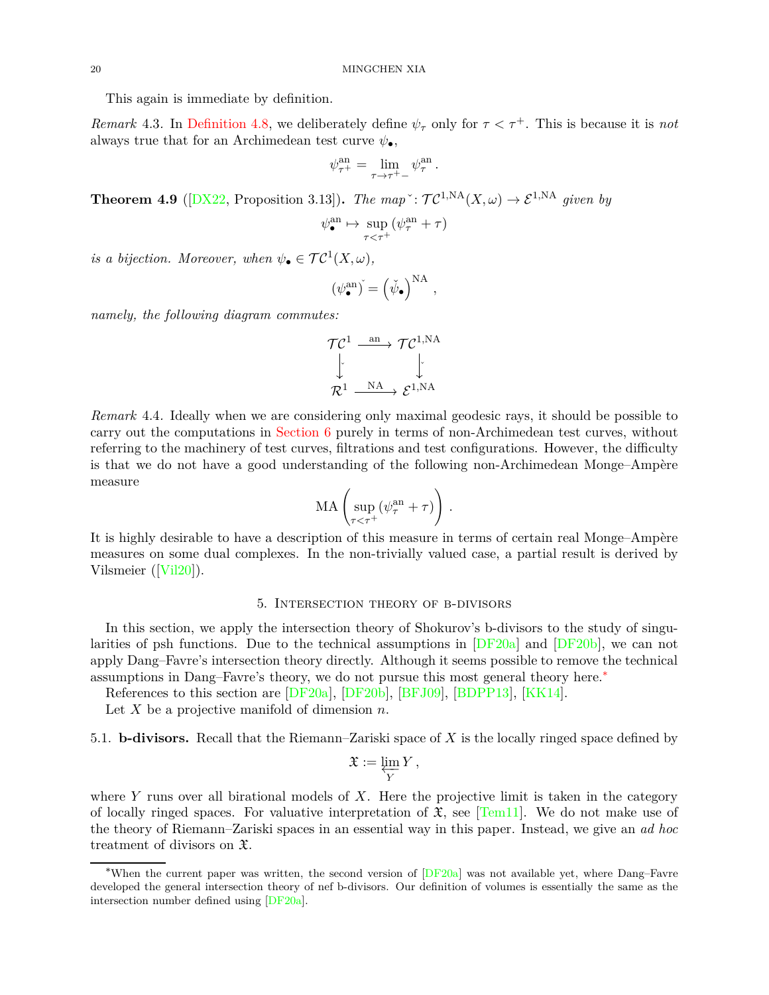This again is immediate by definition.

*Remark* 4.3. In [Definition 4.8,](#page-18-1) we deliberately define  $\psi_{\tau}$  only for  $\tau < \tau^{+}$ . This is because it is *not* always true that for an Archimedean test curve  $\psi_{\bullet}$ ,

$$
\psi_{\tau^+}^{\rm an} = \lim_{\tau\to\tau^+-} \psi_\tau^{\rm an}\,.
$$

<span id="page-19-2"></span>**Theorem 4.9** ( $[DX22, Proposition 3.13]$  $[DX22, Proposition 3.13]$ ). *The map*<sup> $\cdot$ </sup>:  $\mathcal{TC}^{1,NA}(X,\omega) \to \mathcal{E}^{1,NA}$  *given by* 

$$
\psi^{\mathrm{an}}_{\bullet} \mapsto \sup_{\tau < \tau^+} (\psi^{\mathrm{an}}_{\tau} + \tau)
$$

*is a bijection. Moreover, when*  $\psi_{\bullet} \in \mathcal{TC}^1(X, \omega)$ *,* 

$$
(\psi^{\mathrm{an}}_{\bullet})^{\check{}} = (\check{\psi}_{\bullet})^{\mathrm{NA}} ,
$$

*namely, the following diagram commutes:*

$$
\begin{array}{ccc}\n{\cal T} {\cal C}^1 & \xrightarrow{\text{an}} & {\cal T} {\cal C}^{1,{\rm NA}} \\
\downarrow & & \downarrow \\
{\cal R}^1 & \xrightarrow{\text{NA}} & {\cal E}^{1,{\rm NA}}\n\end{array}
$$

*Remark* 4.4*.* Ideally when we are considering only maximal geodesic rays, it should be possible to carry out the computations in [Section 6](#page-21-0) purely in terms of non-Archimedean test curves, without referring to the machinery of test curves, filtrations and test configurations. However, the difficulty is that we do not have a good understanding of the following non-Archimedean Monge–Ampère measure

$$
\mathrm{MA}\left(\sup_{\tau<\tau^+}(\psi^{\mathrm{an}}_\tau+\tau)\right)\,.
$$

It is highly desirable to have a description of this measure in terms of certain real Monge–Ampère measures on some dual complexes. In the non-trivially valued case, a partial result is derived by Vilsmeier ([\[Vil20](#page-38-6)]).

## 5. Intersection theory of b-divisors

<span id="page-19-0"></span>In this section, we apply the intersection theory of Shokurov's b-divisors to the study of singularities of psh functions. Due to the technical assumptions in [\[DF20a](#page-36-17)] and [\[DF20b](#page-36-18)], we can not apply Dang–Favre's intersection theory directly. Although it seems possible to remove the technical assumptions in Dang–Favre's theory, we do not pursue this most general theory here.[∗](#page-19-1)

References to this section are [\[DF20a\]](#page-36-17), [\[DF20b](#page-36-18)], [\[BFJ09](#page-34-6)], [\[BDPP13](#page-34-12)], [\[KK14](#page-37-14)].

Let *X* be a projective manifold of dimension *n*.

5.1. **b-divisors.** Recall that the Riemann–Zariski space of *X* is the locally ringed space defined by

$$
\mathfrak{X} := \varprojlim_{Y} Y,
$$

where *Y* runs over all birational models of *X*. Here the projective limit is taken in the category of locally ringed spaces. For valuative interpretation of  $\mathfrak{X}$ , see [\[Tem11\]](#page-38-7). We do not make use of the theory of Riemann–Zariski spaces in an essential way in this paper. Instead, we give an *ad hoc* treatment of divisors on X.

<span id="page-19-1"></span><sup>∗</sup>When the current paper was written, the second version of [\[DF20a](#page-36-17)] was not available yet, where Dang–Favre developed the general intersection theory of nef b-divisors. Our definition of volumes is essentially the same as the intersection number defined using [\[DF20a](#page-36-17)].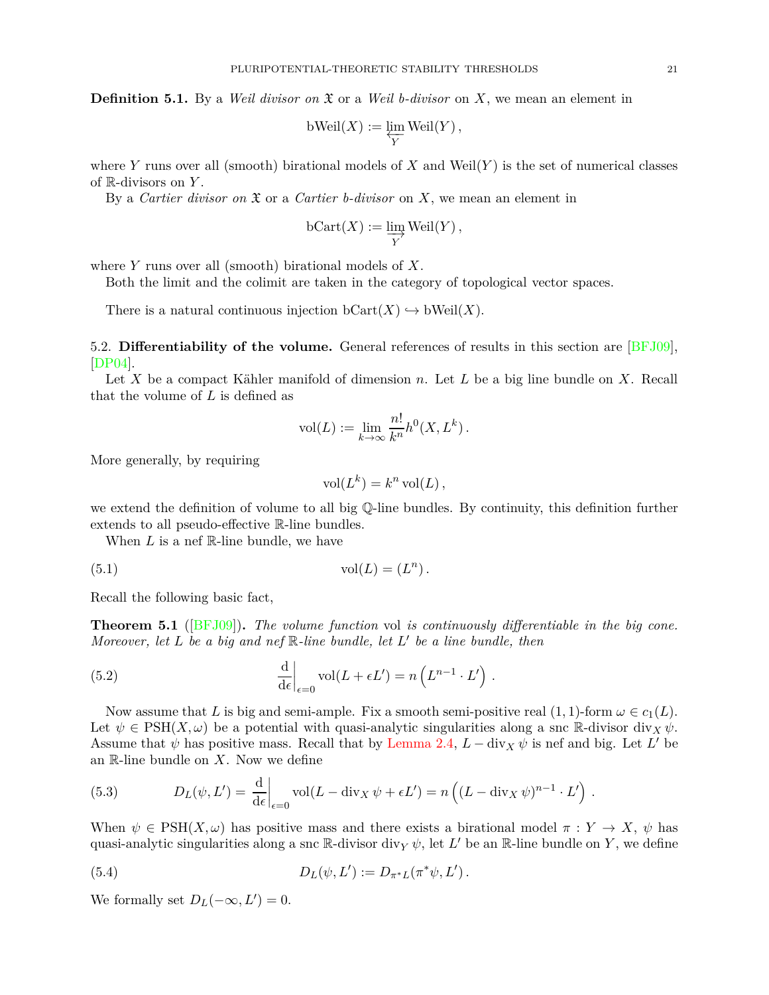**Definition 5.1.** By a *Weil divisor on* X or a *Weil b-divisor* on *X*, we mean an element in

$$
\text{bWeil}(X) := \varprojlim_{Y} \text{Weil}(Y) ,
$$

where *Y* runs over all (smooth) birational models of *X* and Weil $(Y)$  is the set of numerical classes of R-divisors on *Y* .

By a *Cartier divisor on* X or a *Cartier b-divisor* on *X*, we mean an element in

$$
\mathrm{bCart}(X) := \varinjlim_{Y} \mathrm{Weil}(Y)\,,
$$

where *Y* runs over all (smooth) birational models of *X*.

Both the limit and the colimit are taken in the category of topological vector spaces.

There is a natural continuous injection  $bCart(X) \hookrightarrow bWeil(X)$ .

<span id="page-20-0"></span>5.2. **Differentiability of the volume.** General references of results in this section are [\[BFJ09\]](#page-34-6), [\[DP04\]](#page-36-11).

Let *X* be a compact Kähler manifold of dimension *n*. Let *L* be a big line bundle on *X*. Recall that the volume of *L* is defined as

$$
vol(L) := \lim_{k \to \infty} \frac{n!}{k^n} h^0(X, L^k).
$$

More generally, by requiring

$$
\text{vol}(L^k) = k^n \text{ vol}(L),
$$

we extend the definition of volume to all big Q-line bundles. By continuity, this definition further extends to all pseudo-effective R-line bundles.

When *L* is a nef R-line bundle, we have

$$
(5.1) \t\t vol(L) = (L^n).
$$

<span id="page-20-1"></span>Recall the following basic fact,

**Theorem 5.1** ([\[BFJ09](#page-34-6)])**.** *The volume function* vol *is continuously differentiable in the big cone. Moreover, let L be a big and nef* R*-line bundle, let L* ′ *be a line bundle, then*

(5.2) 
$$
\frac{\mathrm{d}}{\mathrm{d}\epsilon}\Big|_{\epsilon=0} \mathrm{vol}(L+\epsilon L') = n\left(L^{n-1} \cdot L'\right).
$$

Now assume that *L* is big and semi-ample. Fix a smooth semi-positive real  $(1, 1)$ -form  $\omega \in c_1(L)$ . Let  $\psi \in \text{PSH}(X, \omega)$  be a potential with quasi-analytic singularities along a snc R-divisor div<sub>X</sub>  $\psi$ . Assume that  $\psi$  has positive mass. Recall that by [Lemma 2.4,](#page-7-2)  $L - \text{div}_X \psi$  is nef and big. Let  $L'$  be an R-line bundle on *X*. Now we define

(5.3) 
$$
D_L(\psi, L') = \frac{d}{d\epsilon}\Big|_{\epsilon=0} \text{vol}(L - \text{div}_X \psi + \epsilon L') = n\left((L - \text{div}_X \psi)^{n-1} \cdot L'\right).
$$

When  $\psi \in \text{PSH}(X, \omega)$  has positive mass and there exists a birational model  $\pi : Y \to X$ ,  $\psi$  has quasi-analytic singularities along a snc  $\mathbb{R}$ -divisor div<sub>*Y*</sub>  $\psi$ , let  $L'$  be an  $\mathbb{R}$ -line bundle on *Y*, we define

(5.4) 
$$
D_L(\psi, L') := D_{\pi^*L}(\pi^*\psi, L').
$$

We formally set  $D_L(-\infty, L') = 0$ .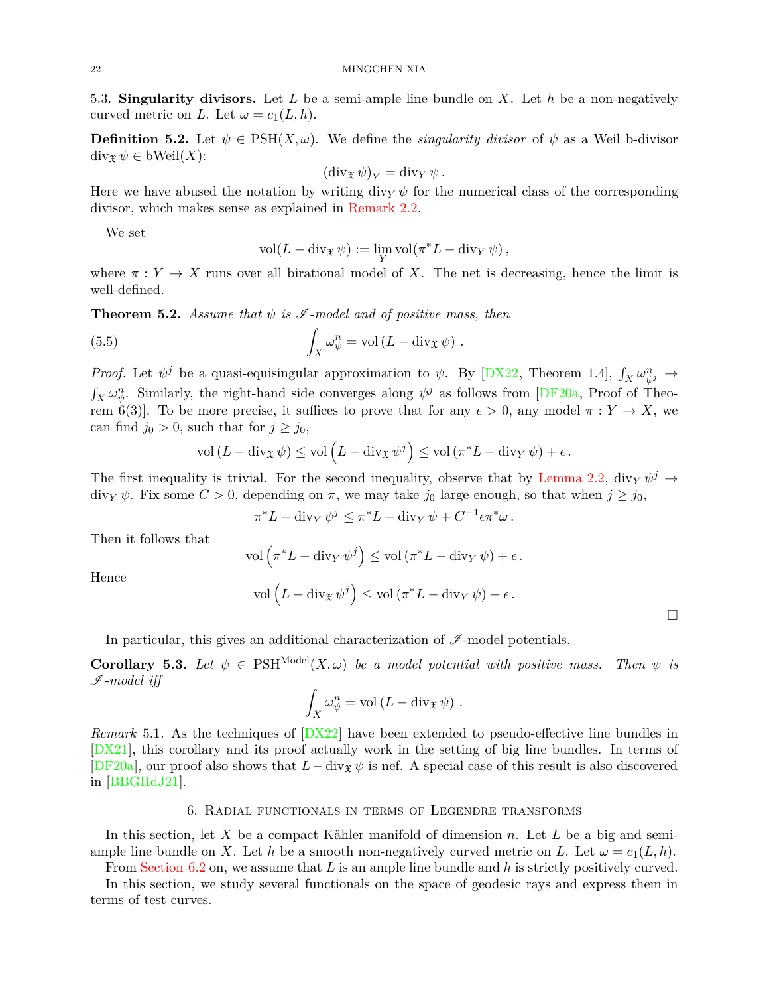5.3. **Singularity divisors.** Let *L* be a semi-ample line bundle on *X*. Let *h* be a non-negatively curved metric on *L*. Let  $\omega = c_1(L, h)$ .

**Definition 5.2.** Let  $\psi \in \text{PSH}(X, \omega)$ . We define the *singularity divisor* of  $\psi$  as a Weil b-divisor  $\text{div}_{\mathfrak{X}} \psi \in \text{bWeil}(X)$ :

$$
(\operatorname{div}_{\mathfrak{X}} \psi)_Y = \operatorname{div}_Y \psi.
$$

Here we have abused the notation by writing div<sub>*Y*</sub>  $\psi$  for the numerical class of the corresponding divisor, which makes sense as explained in [Remark 2.2.](#page-6-2)

We set

$$
\text{vol}(L - \text{div}_{\mathfrak{X}} \psi) := \lim_{Y} \text{vol}(\pi^* L - \text{div}_Y \psi),
$$

<span id="page-21-1"></span>where  $\pi : Y \to X$  runs over all birational model of X. The net is decreasing, hence the limit is well-defined.

**Theorem 5.2.** *Assume that*  $\psi$  *is*  $\mathscr I$ -model and of positive mass, then

(5.5) 
$$
\int_X \omega_{\psi}^n = \text{vol} \left( L - \text{div}_{\mathfrak{X}} \psi \right).
$$

*Proof.* Let  $\psi^j$  be a quasi-equisingular approximation to  $\psi$ . By [\[DX22](#page-36-7), Theorem 1.4],  $\int_X \omega_{\psi^j}^n \to$  $\int_X \omega_\psi^n$ . Similarly, the right-hand side converges along  $\psi^j$  as follows from [\[DF20a](#page-36-17), Proof of Theorem 6(3)]. To be more precise, it suffices to prove that for any  $\epsilon > 0$ , any model  $\pi : Y \to X$ , we can find  $j_0 > 0$ , such that for  $j \geq j_0$ ,

$$
\text{vol}\left(L - \operatorname{div}_{\mathfrak{X}} \psi\right) \leq \text{vol}\left(L - \operatorname{div}_{\mathfrak{X}} \psi^{j}\right) \leq \text{vol}\left(\pi^* L - \operatorname{div}_{Y} \psi\right) + \epsilon.
$$

The first inequality is trivial. For the second inequality, observe that by [Lemma 2.2,](#page-5-1) div<sub>*Y*</sub>  $\psi^j \rightarrow$  $\text{div}_Y \psi$ . Fix some  $C > 0$ , depending on  $\pi$ , we may take  $j_0$  large enough, so that when  $j \geq j_0$ ,

$$
\pi^* L - \operatorname{div}_Y \psi^j \leq \pi^* L - \operatorname{div}_Y \psi + C^{-1} \epsilon \pi^* \omega.
$$

Then it follows that

Hence

$$
\text{vol}\left(\pi^*L - \text{div}_Y \,\psi^j\right) \le \text{vol}\left(\pi^*L - \text{div}_Y \,\psi\right) + \epsilon.
$$

$$
\text{vol}\left(L - \text{div}_{\mathfrak{X}} \,\psi^j\right) \le \text{vol}\left(\pi^*L - \text{div}_Y \,\psi\right) + \epsilon.
$$

 $\Box$ 

In particular, this gives an additional characterization of  $\mathscr I\operatorname{\mathsf{-model}}$  potentials.

**Corollary 5.3.** Let  $\psi \in \text{PSH}^{\text{Model}}(X, \omega)$  be a model potential with positive mass. Then  $\psi$  is I *-model iff*

$$
\int_X \omega_{\psi}^n = \text{vol} (L - \text{div}_{\mathfrak{X}} \psi) .
$$

*Remark* 5.1*.* As the techniques of [\[DX22](#page-36-7)] have been extended to pseudo-effective line bundles in [\[DX21](#page-36-19)], this corollary and its proof actually work in the setting of big line bundles. In terms of [\[DF20a\]](#page-36-17), our proof also shows that  $L - \text{div}_{\mathfrak{X}} \psi$  is nef. A special case of this result is also discovered in [\[BBGHdJ21](#page-34-13)].

# 6. Radial functionals in terms of Legendre transforms

<span id="page-21-0"></span>In this section, let *X* be a compact Kähler manifold of dimension *n*. Let *L* be a big and semiample line bundle on *X*. Let *h* be a smooth non-negatively curved metric on *L*. Let  $\omega = c_1(L, h)$ .

From [Section 6.2](#page-23-2) on, we assume that *L* is an ample line bundle and *h* is strictly positively curved.

In this section, we study several functionals on the space of geodesic rays and express them in terms of test curves.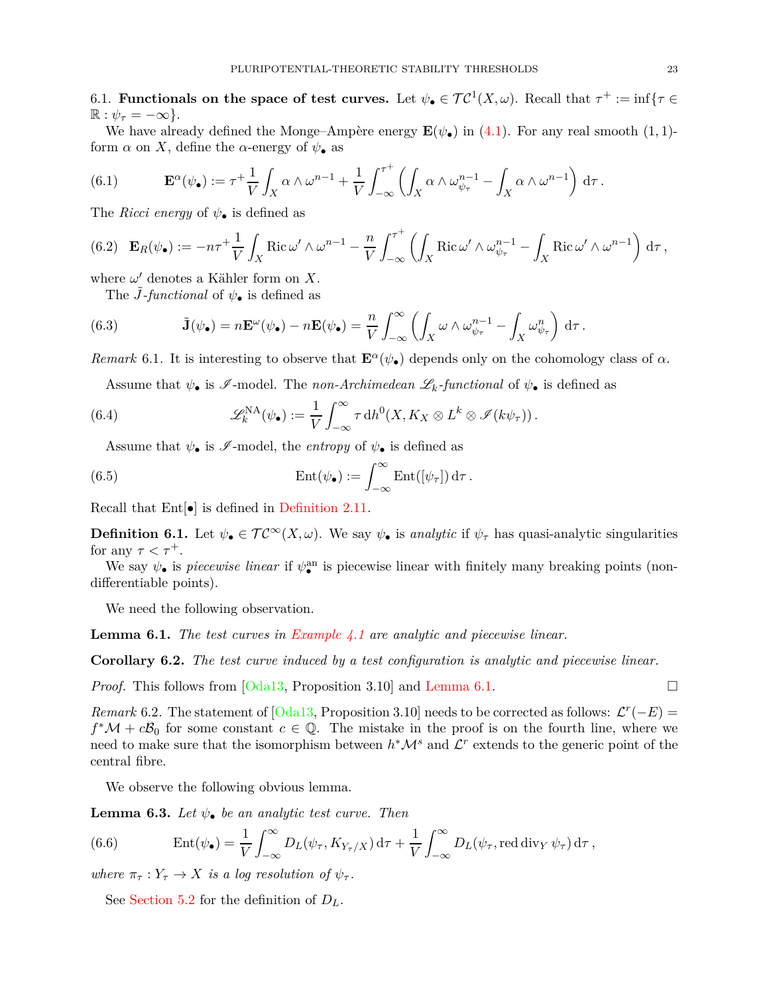6.1. **Functionals on the space of test curves.** Let  $\psi_{\bullet} \in \mathcal{TC}^1(X,\omega)$ . Recall that  $\tau^+ := \inf \{ \tau \in \mathcal{TC}^1(X,\omega) \}$  $\mathbb{R}: \psi_{\tau} = -\infty$ .

We have already defined the Monge–Ampère energy  $\mathbf{E}(\psi_{\bullet})$  in [\(4.1\)](#page-14-3). For any real smooth (1, 1)form  $\alpha$  on X, define the  $\alpha$ -energy of  $\psi_{\bullet}$  as

(6.1) 
$$
\mathbf{E}^{\alpha}(\psi_{\bullet}) := \tau^{+} \frac{1}{V} \int_{X} \alpha \wedge \omega^{n-1} + \frac{1}{V} \int_{-\infty}^{\tau^{+}} \left( \int_{X} \alpha \wedge \omega_{\psi_{\tau}}^{n-1} - \int_{X} \alpha \wedge \omega^{n-1} \right) d\tau.
$$

The *Ricci energy* of *ψ*• is defined as

$$
(6.2)\quad \mathbf{E}_R(\psi_\bullet) := -n\tau^+ \frac{1}{V} \int_X \text{Ric}\,\omega' \wedge \omega^{n-1} - \frac{n}{V} \int_{-\infty}^{\tau^+} \left( \int_X \text{Ric}\,\omega' \wedge \omega_{\psi_\tau}^{n-1} - \int_X \text{Ric}\,\omega' \wedge \omega^{n-1} \right) d\tau,
$$

where  $\omega'$  denotes a Kähler form on X.

The *J*-functional of  $\psi_{\bullet}$  is defined as

(6.3) 
$$
\tilde{\mathbf{J}}(\psi_{\bullet}) = n \mathbf{E}^{\omega}(\psi_{\bullet}) - n \mathbf{E}(\psi_{\bullet}) = \frac{n}{V} \int_{-\infty}^{\infty} \left( \int_{X} \omega \wedge \omega_{\psi_{\tau}}^{n-1} - \int_{X} \omega_{\psi_{\tau}}^{n} \right) d\tau.
$$

*Remark* 6.1. It is interesting to observe that  $\mathbf{E}^{\alpha}(\psi_{\bullet})$  depends only on the cohomology class of  $\alpha$ .

<span id="page-22-1"></span>Assume that  $\psi_{\bullet}$  is  $\mathscr{I}\text{-model}$ . The *non-Archimedean*  $\mathscr{L}_k\text{-}functional$  of  $\psi_{\bullet}$  is defined as

(6.4) 
$$
\mathscr{L}_k^{\mathrm{NA}}(\psi_\bullet) := \frac{1}{V} \int_{-\infty}^{\infty} \tau \, \mathrm{d}h^0(X, K_X \otimes L^k \otimes \mathscr{I}(k\psi_\tau)).
$$

Assume that  $\psi_{\bullet}$  is  $\mathscr{I}\text{-model}$ , the *entropy* of  $\psi_{\bullet}$  is defined as

(6.5) 
$$
\operatorname{Ent}(\psi_{\bullet}) := \int_{-\infty}^{\infty} \operatorname{Ent}([\psi_{\tau}]) d\tau.
$$

Recall that  $Ent[\bullet]$  is defined in [Definition 2.11.](#page-10-0)

**Definition 6.1.** Let  $\psi_{\bullet} \in \mathcal{TC}^{\infty}(X,\omega)$ . We say  $\psi_{\bullet}$  is *analytic* if  $\psi_{\tau}$  has quasi-analytic singularities for any  $\tau < \tau^+$ .

We say  $\psi_{\bullet}$  is *piecewise linear* if  $\psi_{\bullet}^{\text{an}}$  is piecewise linear with finitely many breaking points (nondifferentiable points).

<span id="page-22-0"></span>We need the following observation.

<span id="page-22-2"></span>**Lemma 6.1.** *The test curves in [Example 4.1](#page-16-0) are analytic and piecewise linear.*

**Corollary 6.2.** *The test curve induced by a test configuration is analytic and piecewise linear.*

*Proof.* This follows from [\[Oda13](#page-37-4), Proposition 3.10] and [Lemma 6.1.](#page-22-0) □

*Remark* 6.2. The statement of  $[Oda13, Proposition 3.10]$  needs to be corrected as follows:  $\mathcal{L}^r(-E)$  =  $f^{\ast}M + c\mathcal{B}_0$  for some constant  $c \in \mathbb{Q}$ . The mistake in the proof is on the fourth line, where we need to make sure that the isomorphism between  $h^*\mathcal{M}^s$  and  $\mathcal{L}^r$  extends to the generic point of the central fibre.

We observe the following obvious lemma.

**Lemma 6.3.** *Let*  $\psi_{\bullet}$  *be an analytic test curve. Then* 

(6.6) 
$$
\operatorname{Ent}(\psi_{\bullet}) = \frac{1}{V} \int_{-\infty}^{\infty} D_L(\psi_{\tau}, K_{Y_{\tau}/X}) d\tau + \frac{1}{V} \int_{-\infty}^{\infty} D_L(\psi_{\tau}, \operatorname{red} \operatorname{div}_Y \psi_{\tau}) d\tau,
$$

*where*  $\pi_{\tau}: Y_{\tau} \to X$  *is a log resolution of*  $\psi_{\tau}$ *.* 

See [Section 5.2](#page-20-0) for the definition of *DL*.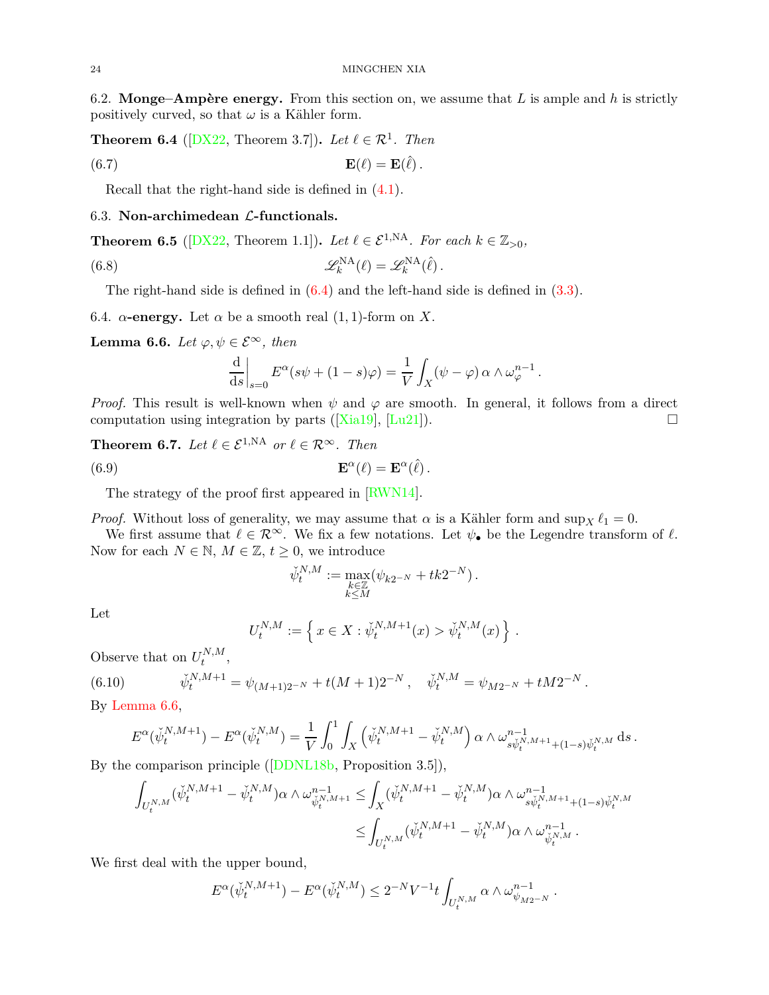<span id="page-23-4"></span><span id="page-23-2"></span>6.2. **Monge–Ampère energy.** From this section on, we assume that *L* is ample and *h* is strictly positively curved, so that  $\omega$  is a Kähler form.

**Theorem 6.4** ( $[DX22,$  Theorem 3.7]). Let  $\ell \in \mathcal{R}^1$ . Then

(6.7) 
$$
\mathbf{E}(\ell) = \mathbf{E}(\ell).
$$

Recall that the right-hand side is defined in [\(4.1\)](#page-14-3).

# <span id="page-23-0"></span>6.3. **Non-archimedean** L**-functionals.**

**Theorem 6.5** ( $[DX22$ , Theorem 1.1]). *Let*  $\ell \in \mathcal{E}^{1,NA}$ *. For each*  $k \in \mathbb{Z}_{>0}$ *,* 

(6.8) 
$$
\mathscr{L}_{k}^{\mathrm{NA}}(\ell) = \mathscr{L}_{k}^{\mathrm{NA}}(\ell).
$$

The right-hand side is defined in  $(6.4)$  and the left-hand side is defined in  $(3.3)$ .

<span id="page-23-3"></span>6.4.  $\alpha$ -energy. Let  $\alpha$  be a smooth real  $(1, 1)$ -form on X.

**Lemma 6.6.** *Let*  $\varphi, \psi \in \mathcal{E}^{\infty}$ , *then* 

$$
\frac{\mathrm{d}}{\mathrm{d}s}\bigg|_{s=0} E^{\alpha}(s\psi + (1-s)\varphi) = \frac{1}{V} \int_X (\psi - \varphi) \alpha \wedge \omega_{\varphi}^{n-1}.
$$

*Proof.* This result is well-known when  $\psi$  and  $\varphi$  are smooth. In general, it follows from a direct computation using integration by parts ([\[Xia19](#page-38-8)], [\[Lu21](#page-37-15)]).

# <span id="page-23-1"></span>**Theorem 6.7.** *Let*  $\ell \in \mathcal{E}^{1,NA}$  *or*  $\ell \in \mathcal{R}^{\infty}$ *. Then*

(6.9) 
$$
\mathbf{E}^{\alpha}(\ell) = \mathbf{E}^{\alpha}(\hat{\ell}).
$$

The strategy of the proof first appeared in [\[RWN14](#page-37-2)].

*Proof.* Without loss of generality, we may assume that  $\alpha$  is a Kähler form and sup<sub>X</sub>  $\ell_1 = 0$ .

We first assume that  $\ell \in \mathcal{R}^{\infty}$ . We fix a few notations. Let  $\psi_{\bullet}$  be the Legendre transform of  $\ell$ . Now for each  $N \in \mathbb{N}$ ,  $M \in \mathbb{Z}$ ,  $t \geq 0$ , we introduce

$$
\check{\psi}^{N,M}_t:=\max_{\substack{k\in\mathbb{Z}\\ k\leq M}}(\psi_{k2^{-N}}+tk2^{-N})\,.
$$

Let

$$
U_t^{N,M} := \left\{ x \in X : \check{\psi}_t^{N,M+1}(x) > \check{\psi}_t^{N,M}(x) \right\}.
$$

Observe that on  $U_t^{N,M}$  $t^{N,M}$ ,

(6.10) 
$$
\check{\psi}_t^{N,M+1} = \psi_{(M+1)2^{-N}} + t(M+1)2^{-N}, \quad \check{\psi}_t^{N,M} = \psi_{M2^{-N}} + tM2^{-N}.
$$

By [Lemma 6.6,](#page-23-3)

$$
E^{\alpha}(\check{\psi}_t^{N,M+1}) - E^{\alpha}(\check{\psi}_t^{N,M}) = \frac{1}{V} \int_0^1 \int_X \left(\check{\psi}_t^{N,M+1} - \check{\psi}_t^{N,M}\right) \alpha \wedge \omega_{s\check{\psi}_t^{N,M+1} + (1-s)\check{\psi}_t^{N,M}}^{n-1} ds.
$$

By the comparison principle ([\[DDNL18b](#page-35-6), Proposition 3.5]),

$$
\begin{aligned} \int_{U_t^{N,M}} (\check{\psi}_t^{N,M+1}-\check{\psi}_t^{N,M}) \alpha \wedge \omega_{\check{\psi}_t^{N,M+1}}^{n-1}\leq & \int_X (\check{\psi}_t^{N,M+1}-\check{\psi}_t^{N,M}) \alpha \wedge \omega_{s\check{\psi}_t^{N,M+1}+(1-s)\check{\psi}_t^{N,M}}^{n-1}\\ \leq & \int_{U_t^{N,M}} (\check{\psi}_t^{N,M+1}-\check{\psi}_t^{N,M}) \alpha \wedge \omega_{\check{\psi}_t^{N,M}}^{n-1}\,. \end{aligned}
$$

We first deal with the upper bound,

$$
E^\alpha(\check{\psi}_t^{N,M+1})-E^\alpha(\check{\psi}_t^{N,M})\leq 2^{-N}V^{-1}t\int_{U_t^{N,M}}\alpha\wedge\omega_{\psi_{M2^{-N}}}^{n-1}\,.
$$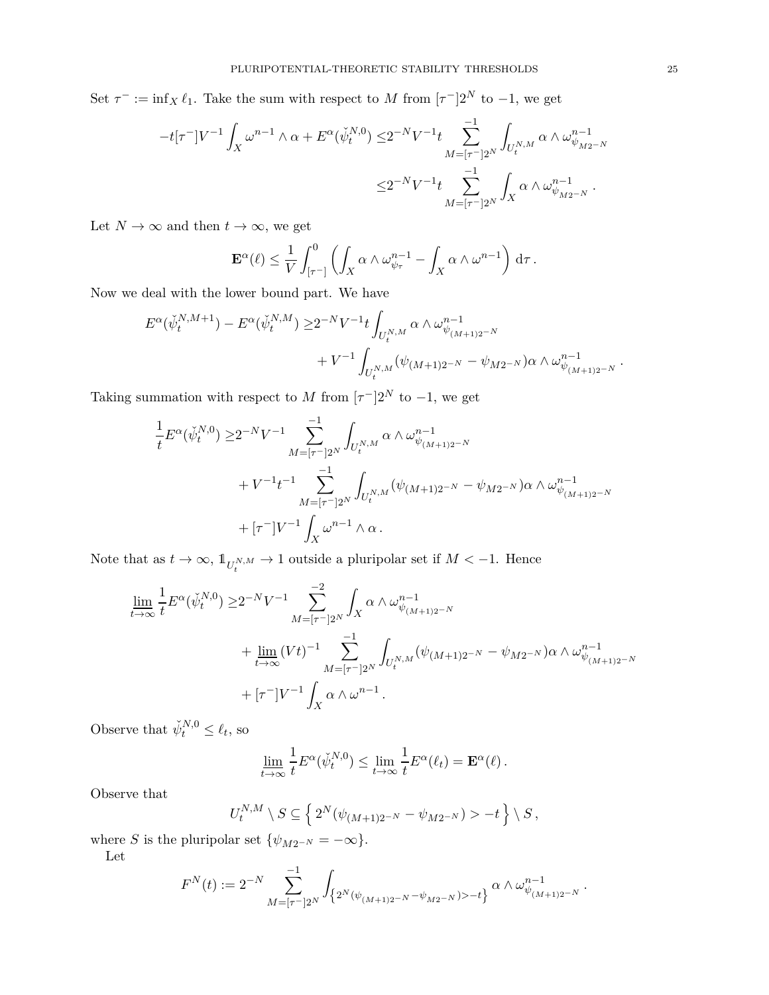Set  $\tau^- := \inf_X \ell_1$ . Take the sum with respect to *M* from  $[\tau^-]2^N$  to -1, we get

$$
\begin{aligned} -t[\tau^-] V^{-1}\int_X\omega^{n-1}\wedge\alpha + E^\alpha(\check{\psi}_t^{N,0}) \leq & 2^{-N} V^{-1} t \sum_{M=[\tau^-]2^N}^{-1}\int_{U_t^{N,M}}\alpha\wedge\omega_{\psi_{M2^{-N}}}^{n-1} \\ \leq & 2^{-N} V^{-1} t \sum_{M=[\tau^-]2^N}^{-1}\int_X\alpha\wedge\omega_{\psi_{M2^{-N}}}^{n-1}\,. \end{aligned}
$$

Let  $N \to \infty$  and then  $t \to \infty$ , we get

$$
\mathbf{E}^{\alpha}(\ell) \leq \frac{1}{V} \int_{[\tau^-]}^0 \left( \int_X \alpha \wedge \omega_{\psi_\tau}^{n-1} - \int_X \alpha \wedge \omega^{n-1} \right) d\tau.
$$

Now we deal with the lower bound part. We have

$$
E^{\alpha}(\check{\psi}_t^{N,M+1}) - E^{\alpha}(\check{\psi}_t^{N,M}) \ge 2^{-N} V^{-1} t \int_{U_t^{N,M}} \alpha \wedge \omega_{\psi_{(M+1)2^{-N}}}^{n-1} + V^{-1} \int_{U_t^{N,M}} (\psi_{(M+1)2^{-N}} - \psi_{M2^{-N}}) \alpha \wedge \omega_{\psi_{(M+1)2^{-N}}}^{n-1}.
$$

Taking summation with respect to *M* from  $[\tau^-]2^N$  to -1, we get

$$
\frac{1}{t} E^{\alpha}(\check{\psi}_t^{N,0}) \ge 2^{-N} V^{-1} \sum_{M=[\tau^-]2^N} \int_{U_t^{N,M}} \alpha \wedge \omega_{\psi_{(M+1)2^{-N}}}^{n-1} + V^{-1} t^{-1} \sum_{M=[\tau^-]2^N} \int_{U_t^{N,M}} (\psi_{(M+1)2^{-N}} - \psi_{M2^{-N}}) \alpha \wedge \omega_{\psi_{(M+1)2^{-N}}}^{n-1} + [\tau^-] V^{-1} \int_X \omega^{n-1} \wedge \alpha.
$$

Note that as  $t \to \infty$ ,  $\mathbb{1}_{U_t^{N,M}} \to 1$  outside a pluripolar set if  $M < -1$ . Hence

$$
\lim_{t \to \infty} \frac{1}{t} E^{\alpha}(\check{\psi}_t^{N,0}) \ge 2^{-N} V^{-1} \sum_{M = [\tau^-]2^N}^{-2} \int_X \alpha \wedge \omega_{\psi_{(M+1)2^{-N}}}^{n-1} + \lim_{M \to \infty} (Vt)^{-1} \sum_{M = [\tau^-]2^N}^{-1} \int_{U_t^{N,M}} (\psi_{(M+1)2^{-N}} - \psi_{M2^{-N}}) \alpha \wedge \omega_{\psi_{(M+1)2^{-N}}}^{n-1} + [\tau^-] V^{-1} \int_X \alpha \wedge \omega^{n-1}.
$$

Observe that  $\check{\psi}_t^{N,0} \leq \ell_t$ , so

$$
\underline{\lim}_{t \to \infty} \frac{1}{t} E^{\alpha}(\check{\psi}_t^{N,0}) \le \lim_{t \to \infty} \frac{1}{t} E^{\alpha}(\ell_t) = \mathbf{E}^{\alpha}(\ell).
$$

Observe that

$$
U_t^{N,M} \setminus S \subseteq \left\{ 2^N (\psi_{(M+1)2^{-N}} - \psi_{M2^{-N}}) > -t \right\} \setminus S,
$$

where *S* is the pluripolar set  $\{\psi_{M2^{-N}} = -\infty\}.$ 

Let

$$
F^{N}(t) := 2^{-N} \sum_{M=[\tau^-]2^{N}}^{-1} \int_{\left\{2^{N}(\psi_{(M+1)2^{-N}} - \psi_{M2^{-N}}) > -t\right\}} \alpha \wedge \omega_{\psi_{(M+1)2^{-N}}}^{n-1}.
$$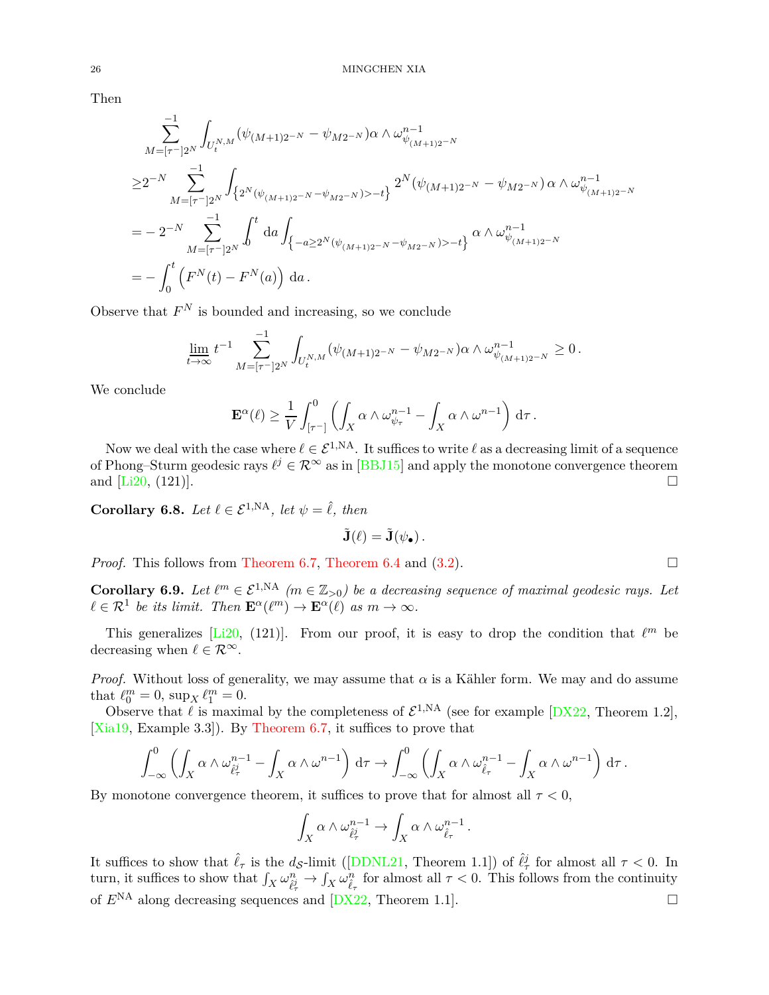Then

$$
\sum_{M=[\tau^-]2^N}^{-1} \int_{U_t^{N,M}} (\psi_{(M+1)2^{-N}} - \psi_{M2^{-N}}) \alpha \wedge \omega_{\psi_{(M+1)2^{-N}}}^{n-1}
$$
\n
$$
\geq 2^{-N} \sum_{M=[\tau^-]2^N}^{-1} \int_{\left\{2^N(\psi_{(M+1)2^{-N}} - \psi_{M2^{-N}}) > -t\right\}} 2^N(\psi_{(M+1)2^{-N}} - \psi_{M2^{-N}}) \alpha \wedge \omega_{\psi_{(M+1)2^{-N}}}^{n-1}
$$
\n
$$
= -2^{-N} \sum_{M=[\tau^-]2^N}^{-1} \int_0^t \mathrm{d}a \int_{\left\{-a \geq 2^N(\psi_{(M+1)2^{-N}} - \psi_{M2^{-N}}) > -t\right\}} \alpha \wedge \omega_{\psi_{(M+1)2^{-N}}}^{n-1}
$$
\n
$$
= -\int_0^t \left( F^N(t) - F^N(a) \right) \mathrm{d}a \, .
$$

Observe that  $F^N$  is bounded and increasing, so we conclude

$$
\lim_{t \to \infty} t^{-1} \sum_{M=[\tau^-]2^N}^{-1} \int_{U_t^{N,M}} (\psi_{(M+1)2^{-N}} - \psi_{M2^{-N}}) \alpha \wedge \omega_{\psi_{(M+1)2^{-N}}}^{n-1} \ge 0.
$$

We conclude

$$
\mathbf{E}^{\alpha}(\ell) \geq \frac{1}{V} \int_{[\tau^-]}^0 \left( \int_X \alpha \wedge \omega_{\psi_\tau}^{n-1} - \int_X \alpha \wedge \omega^{n-1} \right) d\tau.
$$

Now we deal with the case where  $\ell \in \mathcal{E}^{1,N_A}$ . It suffices to write  $\ell$  as a decreasing limit of a sequence of Phong–Sturm geodesic rays  $\ell^j \in \mathcal{R}^\infty$  as in [\[BBJ15\]](#page-34-3) and apply the monotone convergence theorem and  $[L20, (121)]$ .

<span id="page-25-0"></span>**Corollary 6.8.** *Let*  $\ell \in \mathcal{E}^{1,NA}$ *, let*  $\psi = \hat{\ell}$ *, then* 

$$
\tilde{\mathbf{J}}(\ell) = \tilde{\mathbf{J}}(\psi_{\bullet}).
$$

*Proof.* This follows from [Theorem 6.7,](#page-23-1) [Theorem 6.4](#page-23-4) and  $(3.2)$ .

**Corollary 6.9.** *Let*  $\ell^m \in \mathcal{E}^{1,NA}$   $(m \in \mathbb{Z}_{>0})$  be a decreasing sequence of maximal geodesic rays. Let  $\ell \in \mathcal{R}^1$  be its limit. Then  $\mathbf{E}^{\alpha}(\ell^m) \to \mathbf{E}^{\alpha}(\ell)$  as  $m \to \infty$ .

This generalizes [\[Li20](#page-37-7), (121)]. From our proof, it is easy to drop the condition that  $\ell^m$  be decreasing when  $\ell \in \mathcal{R}^{\infty}$ .

*Proof.* Without loss of generality, we may assume that  $\alpha$  is a Kähler form. We may and do assume that  $\ell_0^m = 0$ ,  $\sup_X \ell_1^m = 0$ .

Observe that  $\ell$  is maximal by the completeness of  $\mathcal{E}^{1,NA}$  (see for example  $[DX22,$  Theorem 1.2], [\[Xia19](#page-38-8), Example 3.3]). By [Theorem 6.7,](#page-23-1) it suffices to prove that

$$
\int_{-\infty}^0 \left( \int_X \alpha \wedge \omega_{\hat{\ell}_{\tau}^j}^{n-1} - \int_X \alpha \wedge \omega^{n-1} \right) d\tau \to \int_{-\infty}^0 \left( \int_X \alpha \wedge \omega_{\hat{\ell}_{\tau}}^{n-1} - \int_X \alpha \wedge \omega^{n-1} \right) d\tau.
$$

By monotone convergence theorem, it suffices to prove that for almost all  $\tau < 0$ ,

$$
\int_X \alpha \wedge \omega_{\hat{\ell}_\tau}^{n-1} \to \int_X \alpha \wedge \omega_{\hat{\ell}_\tau}^{n-1}.
$$

It suffices to show that  $\hat{\ell}_{\tau}$  is the  $d_{\mathcal{S}}$ -limit ([\[DDNL21,](#page-36-8) Theorem 1.1]) of  $\hat{\ell}_{\tau}^{j}$  for almost all  $\tau < 0$ . In turn, it suffices to show that  $\int_X \omega_{\hat{\ell}^j_\tau}^n \to \int_X \omega_{\hat{\ell}^j_\tau}^n$  for almost all  $\tau < 0$ . This follows from the continuity of  $E^{NA}$  along decreasing sequences and  $[DX22, Theorem 1.1].$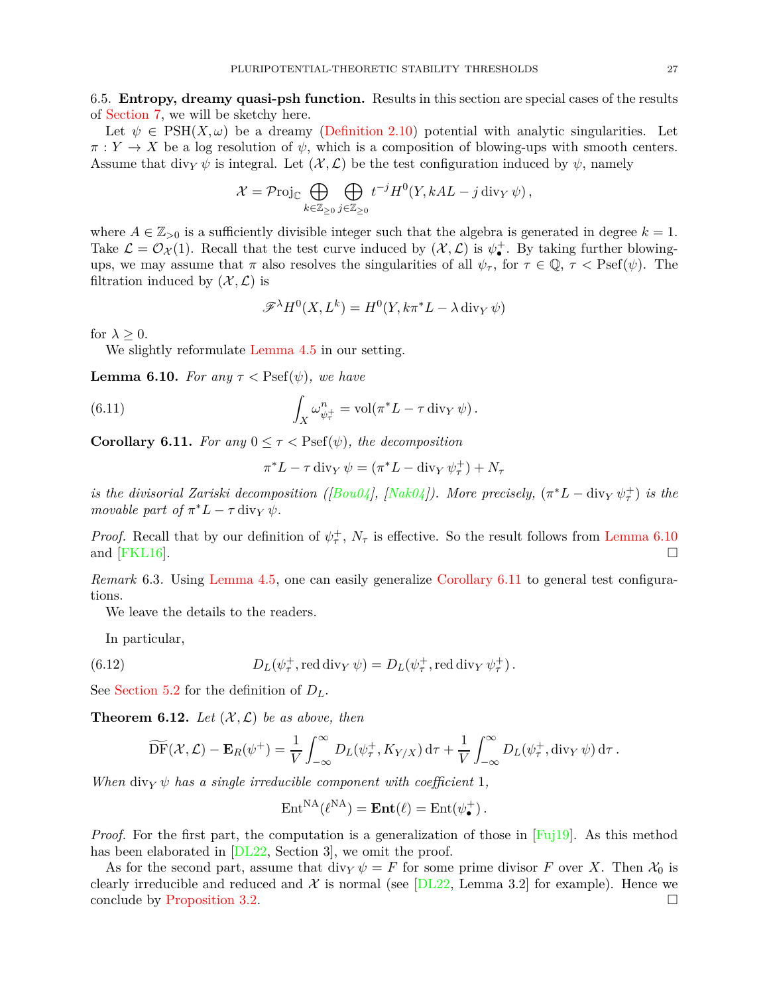6.5. **Entropy, dreamy quasi-psh function.** Results in this section are special cases of the results of [Section 7,](#page-27-0) we will be sketchy here.

Let  $\psi \in \text{PSH}(X, \omega)$  be a dreamy [\(Definition 2.10\)](#page-9-3) potential with analytic singularities. Let  $\pi: Y \to X$  be a log resolution of  $\psi$ , which is a composition of blowing-ups with smooth centers. Assume that div<sub>*Y*</sub>  $\psi$  is integral. Let  $(\mathcal{X}, \mathcal{L})$  be the test configuration induced by  $\psi$ , namely

$$
\mathcal{X} = \mathcal{P}\mathrm{roj}_{\mathbb{C}} \bigoplus_{k \in \mathbb{Z}_{\geq 0}} \bigoplus_{j \in \mathbb{Z}_{\geq 0}} t^{-j} H^0(Y, k A L - j \operatorname{div}_Y \psi),
$$

where  $A \in \mathbb{Z}_{>0}$  is a sufficiently divisible integer such that the algebra is generated in degree  $k = 1$ . Take  $\mathcal{L} = \mathcal{O}_{\mathcal{X}}(1)$ . Recall that the test curve induced by  $(\mathcal{X}, \mathcal{L})$  is  $\psi_{\bullet}^+$ . By taking further blowingups, we may assume that  $\pi$  also resolves the singularities of all  $\psi_{\tau}$ , for  $\tau \in \mathbb{Q}$ ,  $\tau <$  Psef( $\psi$ ). The filtration induced by  $(\mathcal{X}, \mathcal{L})$  is

$$
\mathscr{F}^{\lambda}H^0(X, L^k) = H^0(Y, k\pi^*L - \lambda \operatorname{div}_Y \psi)
$$

for  $\lambda > 0$ .

<span id="page-26-0"></span>We slightly reformulate [Lemma 4.5](#page-16-2) in our setting.

**Lemma 6.10.** *For any*  $\tau$  < Psef( $\psi$ ), we have

(6.11) 
$$
\int_X \omega_{\psi_\tau^+}^n = \text{vol}(\pi^* L - \tau \operatorname{div}_Y \psi).
$$

<span id="page-26-1"></span>**Corollary 6.11.** *For any*  $0 \leq \tau <$  Psef( $\psi$ )*, the decomposition* 

$$
\pi^* L - \tau \operatorname{div}_Y \psi = (\pi^* L - \operatorname{div}_Y \psi_\tau^+) + N_\tau
$$

*is the divisorial Zariski decomposition ([* $Bou04$ *], [* $Nak04$ *]). More precisely,*  $(\pi^*L - \text{div}_Y \psi^+_\tau)$  *is the movable part of*  $\pi^* L - \tau \operatorname{div}_Y \psi$ .

*Proof.* Recall that by our definition of  $\psi^+$ ,  $N_\tau$  is effective. So the result follows from [Lemma 6.10](#page-26-0) and  $[FKL16]$ .

*Remark* 6.3. Using [Lemma 4.5,](#page-16-2) one can easily generalize [Corollary 6.11](#page-26-1) to general test configurations.

We leave the details to the readers.

In particular,

(6.12) 
$$
D_L(\psi_\tau^+, \text{red div}_Y \,\psi) = D_L(\psi_\tau^+, \text{red div}_Y \,\psi_\tau^+).
$$

<span id="page-26-2"></span>See [Section 5.2](#page-20-0) for the definition of *DL*.

**Theorem 6.12.** Let  $(X, \mathcal{L})$  be as above, then

$$
\widetilde{\mathrm{DF}}(\mathcal{X},\mathcal{L}) - \mathbf{E}_R(\psi^+) = \frac{1}{V} \int_{-\infty}^{\infty} D_L(\psi^+_{\tau}, K_{Y/X}) \, \mathrm{d}\tau + \frac{1}{V} \int_{-\infty}^{\infty} D_L(\psi^+_{\tau}, \mathrm{div}_Y \, \psi) \, \mathrm{d}\tau \, .
$$

*When* div<sub>*Y*</sub>  $\psi$  *has a single irreducible component with coefficient* 1*,* 

$$
Ent^{NA}(\ell^{NA}) = \mathbf{Ent}(\ell) = Ent(\psi_{\bullet}^{+}).
$$

*Proof.* For the first part, the computation is a generalization of those in [\[Fuj19](#page-36-3)]. As this method has been elaborated in [\[DL22,](#page-36-5) Section 3], we omit the proof.

As for the second part, assume that div<sub>*Y*</sub>  $\psi = F$  for some prime divisor *F* over *X*. Then  $\mathcal{X}_0$  is clearly irreducible and reduced and  $\mathcal X$  is normal (see [\[DL22](#page-36-5), Lemma 3.2] for example). Hence we conclude by [Proposition 3.2.](#page-14-4)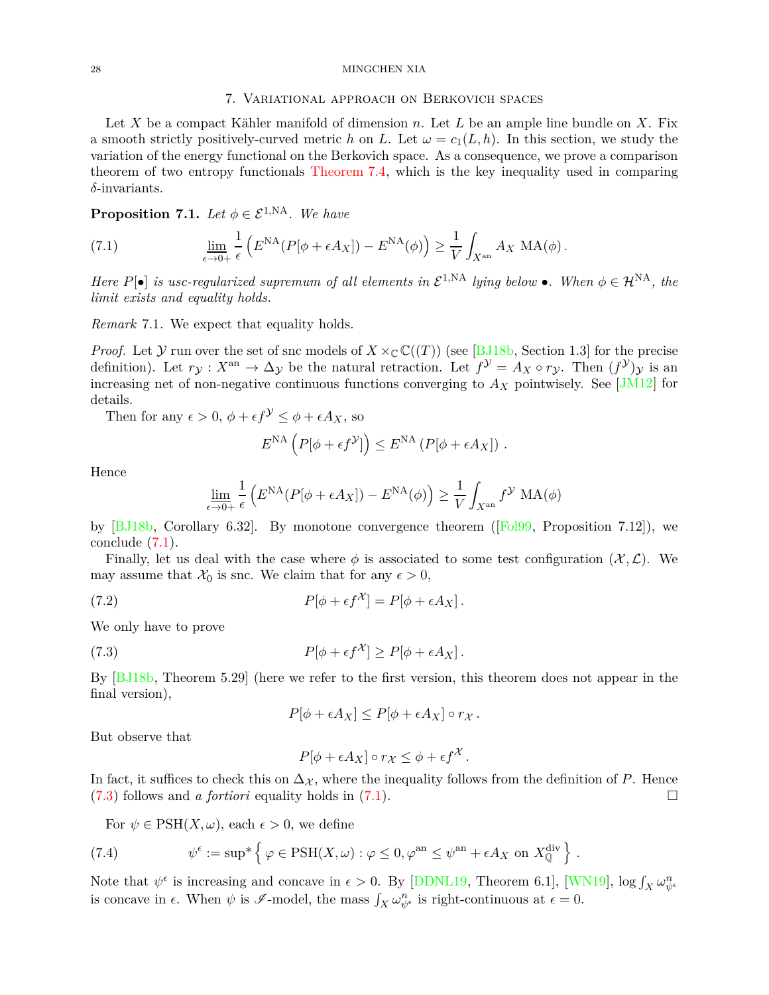#### <span id="page-27-0"></span>28 MINGCHEN XIA

### 7. Variational approach on Berkovich spaces

Let *X* be a compact Kähler manifold of dimension *n*. Let *L* be an ample line bundle on *X*. Fix a smooth strictly positively-curved metric *h* on *L*. Let  $\omega = c_1(L, h)$ . In this section, we study the variation of the energy functional on the Berkovich space. As a consequence, we prove a comparison theorem of two entropy functionals [Theorem 7.4,](#page-28-0) which is the key inequality used in comparing *δ*-invariants.

<span id="page-27-5"></span>**Proposition 7.1.** *Let*  $\phi \in \mathcal{E}^{1,NA}$ *. We have* 

<span id="page-27-1"></span>(7.1) 
$$
\lim_{\epsilon \to 0+} \frac{1}{\epsilon} \left( E^{NA} (P[\phi + \epsilon A_X]) - E^{NA}(\phi) \right) \ge \frac{1}{V} \int_{X^{\text{an}}} A_X MA(\phi).
$$

*Here*  $P[\bullet]$  *is usc-regularized supremum of all elements in*  $\mathcal{E}^{1,NA}$  *lying below*  $\bullet$ *. When*  $\phi \in \mathcal{H}^{NA}$ *, the limit exists and equality holds.*

*Remark* 7.1*.* We expect that equality holds.

*Proof.* Let  $Y$  run over the set of snc models of  $X \times_{\mathbb{C}} \mathbb{C}((T))$  (see [\[BJ18b](#page-35-8), Section 1.3] for the precise definition). Let  $r_{\mathcal{Y}}: X^{\text{an}} \to \Delta_{\mathcal{Y}}$  be the natural retraction. Let  $f^{\mathcal{Y}} = A_X \circ r_{\mathcal{Y}}$ . Then  $(f^{\mathcal{Y}})_{\mathcal{Y}}$  is an increasing net of non-negative continuous functions converging to  $A_X$  pointwisely. See [\[JM12](#page-37-10)] for details.

Then for any  $\epsilon > 0$ ,  $\phi + \epsilon f^{\mathcal{Y}} \leq \phi + \epsilon A_X$ , so

$$
E^{\text{NA}}\left(P[\phi + \epsilon f^{\mathcal{Y}}]\right) \leq E^{\text{NA}}\left(P[\phi + \epsilon A_X]\right).
$$

Hence

$$
\underline{\lim_{\epsilon \to 0+}} \frac{1}{\epsilon} \left( E^{\text{NA}} (P[\phi + \epsilon A_X]) - E^{\text{NA}}(\phi) \right) \ge \frac{1}{V} \int_{X^{\text{an}}} f^{\mathcal{Y}} \text{MA}(\phi)
$$

by [\[BJ18b,](#page-35-8) Corollary 6.32]. By monotone convergence theorem ([\[Fol99](#page-36-21), Proposition 7.12]), we conclude [\(7.1\)](#page-27-1).

Finally, let us deal with the case where  $\phi$  is associated to some test configuration  $(\mathcal{X}, \mathcal{L})$ . We may assume that  $\mathcal{X}_0$  is snc. We claim that for any  $\epsilon > 0$ ,

(7.2) 
$$
P[\phi + \epsilon f^{\mathcal{X}}] = P[\phi + \epsilon A_X].
$$

We only have to prove

(7.3) 
$$
P[\phi + \epsilon f^{\mathcal{X}}] \ge P[\phi + \epsilon A_X].
$$

By [\[BJ18b,](#page-35-8) Theorem 5.29] (here we refer to the first version, this theorem does not appear in the final version),

<span id="page-27-6"></span><span id="page-27-2"></span>
$$
P[\phi + \epsilon A_X] \le P[\phi + \epsilon A_X] \circ r_X.
$$

But observe that

$$
P[\phi + \epsilon A_X] \circ r_X \le \phi + \epsilon f^{\mathcal{X}}.
$$

In fact, it suffices to check this on  $\Delta \chi$ , where the inequality follows from the definition of *P*. Hence  $(7.3)$  follows and *a fortiori* equality holds in  $(7.1)$ .

<span id="page-27-3"></span>For  $\psi \in \text{PSH}(X, \omega)$ , each  $\epsilon > 0$ , we define

(7.4) 
$$
\psi^{\epsilon} := \sup^* \left\{ \varphi \in \text{PSH}(X,\omega) : \varphi \leq 0, \varphi^{\text{an}} \leq \psi^{\text{an}} + \epsilon A_X \text{ on } X^{\text{div}}_{\mathbb{Q}} \right\}.
$$

<span id="page-27-4"></span>Note that  $\psi^{\epsilon}$  is increasing and concave in  $\epsilon > 0$ . By [\[DDNL19](#page-36-16), Theorem 6.1], [\[WN19\]](#page-38-5),  $\log \int_X \omega_{\psi^{\epsilon}}^n$ is concave in  $\epsilon$ . When  $\psi$  is  $\mathscr{I}\text{-model}$ , the mass  $\int_X \omega_{\psi^{\epsilon}}^n$  is right-continuous at  $\epsilon = 0$ .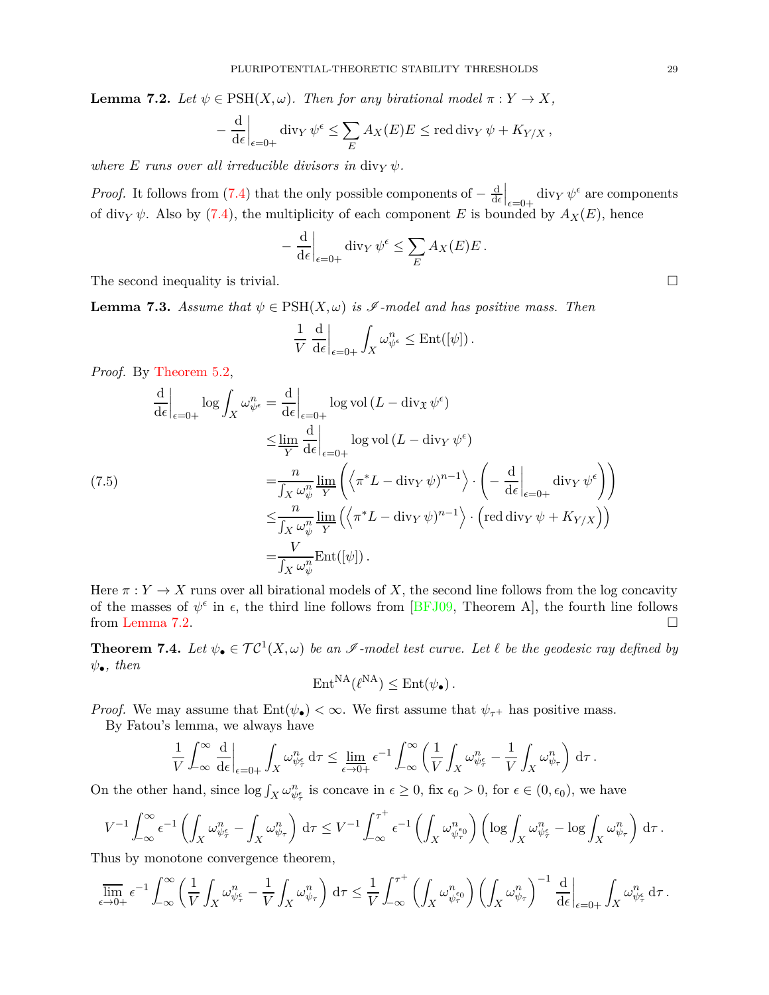**Lemma 7.2.** *Let*  $\psi \in \text{PSH}(X, \omega)$ *. Then for any birational model*  $\pi : Y \to X$ *,* 

$$
-\left.\frac{\mathrm{d}}{\mathrm{d}\epsilon}\right|_{\epsilon=0+} \mathrm{div}_Y \,\psi^{\epsilon} \le \sum_E A_X(E)E \le \mathrm{red} \,\mathrm{div}_Y \,\psi + K_{Y/X} \,,
$$

*where*  $E$  *runs over all irreducible divisors in divy*  $\psi$ *.* 

*Proof.* It follows from [\(7.4\)](#page-27-3) that the only possible components of  $-\frac{d}{dc}$  $_{\rm d\epsilon}$  $\Big|_{\epsilon=0+}$  div<sub>*Y*</sub>  $\psi^{\epsilon}$  are components of div<sub>*Y*</sub>  $\psi$ . Also by [\(7.4\)](#page-27-3), the multiplicity of each component *E* is bounded by  $A_X(E)$ , hence

$$
-\frac{\mathrm{d}}{\mathrm{d}\epsilon}\bigg|_{\epsilon=0+}\mathrm{div}_Y\,\psi^{\epsilon}\leq \sum_E A_X(E)E\,.
$$

The second inequality is trivial.  $\square$ 

**Lemma 7.3.** *Assume that*  $\psi \in \text{PSH}(X, \omega)$  *is*  $\mathscr I$ -model and has positive mass. Then

$$
\frac{1}{V} \left. \frac{\mathrm{d}}{\mathrm{d}\epsilon} \right|_{\epsilon=0+} \int_X \omega_{\psi^{\epsilon}}^n \le \mathrm{Ent}([\psi]).
$$

*Proof.* By [Theorem 5.2,](#page-21-1)

$$
\frac{d}{d\epsilon}\Big|_{\epsilon=0+} \log \int_X \omega_{\psi^{\epsilon}}^n = \frac{d}{d\epsilon}\Big|_{\epsilon=0+} \log \text{vol}\left(L - \text{div}_{\mathfrak{X}} \psi^{\epsilon}\right)
$$
  
\n
$$
\leq \lim_{Y} \frac{d}{d\epsilon}\Big|_{\epsilon=0+} \log \text{vol}\left(L - \text{div}_{Y} \psi^{\epsilon}\right)
$$
  
\n(7.5)  
\n
$$
= \frac{n}{\int_X \omega_{\psi}^n} \lim_{Y} \left( \left\langle \pi^* L - \text{div}_{Y} \psi \right\rangle^{n-1} \right) \cdot \left( -\frac{d}{d\epsilon}\Big|_{\epsilon=0+} \text{div}_{Y} \psi^{\epsilon} \right) \right)
$$
  
\n
$$
\leq \frac{n}{\int_X \omega_{\psi}^n} \lim_{Y} \left( \left\langle \pi^* L - \text{div}_{Y} \psi \right\rangle^{n-1} \right) \cdot \left( \text{red div}_{Y} \psi + K_{Y/X} \right) \right)
$$
  
\n
$$
= \frac{V}{\int_X \omega_{\psi}^n} \text{Ent}([\psi]).
$$

Here  $\pi: Y \to X$  runs over all birational models of X, the second line follows from the log concavity of the masses of  $\psi^{\epsilon}$  in  $\epsilon$ , the third line follows from [\[BFJ09](#page-34-6), Theorem A], the fourth line follows from [Lemma 7.2.](#page-27-4)

<span id="page-28-0"></span>**Theorem 7.4.** Let  $\psi_{\bullet} \in \mathcal{TC}^1(X,\omega)$  be an  $\mathscr{I}$ -model test curve. Let  $\ell$  be the geodesic ray defined by *ψ*•*, then*

$$
\mathrm{Ent}^{\mathrm{NA}}(\ell^{\mathrm{NA}}) \leq \mathrm{Ent}(\psi_{\bullet}).
$$

*Proof.* We may assume that  $Ent(\psi_{\bullet}) < \infty$ . We first assume that  $\psi_{\tau^+}$  has positive mass.

By Fatou's lemma, we always have

$$
\frac{1}{V}\int_{-\infty}^{\infty}\frac{\mathrm{d}}{\mathrm{d}\epsilon}\bigg|_{\epsilon=0+}\int_X\omega_{\psi_{\tau}^{\epsilon}}^n\,\mathrm{d}\tau\leq \varliminf_{\epsilon\to 0+}\epsilon^{-1}\int_{-\infty}^{\infty}\left(\frac{1}{V}\int_X\omega_{\psi_{\tau}^{\epsilon}}^n-\frac{1}{V}\int_X\omega_{\psi_{\tau}}^n\right)\,\mathrm{d}\tau\,.
$$

On the other hand, since  $\log \int_X \omega_{\psi_{\tau}}^n$  is concave in  $\epsilon \geq 0$ , fix  $\epsilon_0 > 0$ , for  $\epsilon \in (0, \epsilon_0)$ , we have

$$
V^{-1} \int_{-\infty}^{\infty} \epsilon^{-1} \left( \int_X \omega_{\psi_{\tau}}^n - \int_X \omega_{\psi_{\tau}}^n \right) d\tau \leq V^{-1} \int_{-\infty}^{\tau^+} \epsilon^{-1} \left( \int_X \omega_{\psi_{\tau}}^n \right) \left( \log \int_X \omega_{\psi_{\tau}}^n - \log \int_X \omega_{\psi_{\tau}}^n \right) d\tau.
$$

Thus by monotone convergence theorem,

$$
\overline{\lim}_{\epsilon \to 0+} \epsilon^{-1} \int_{-\infty}^{\infty} \left( \frac{1}{V} \int_X \omega_{\psi_{\tau}}^n - \frac{1}{V} \int_X \omega_{\psi_{\tau}}^n \right) d\tau \le \frac{1}{V} \int_{-\infty}^{\tau^+} \left( \int_X \omega_{\psi_{\tau}}^n \right) \left( \int_X \omega_{\psi_{\tau}}^n \right)^{-1} \frac{d}{d\epsilon} \Big|_{\epsilon=0+} \int_X \omega_{\psi_{\tau}}^n d\tau.
$$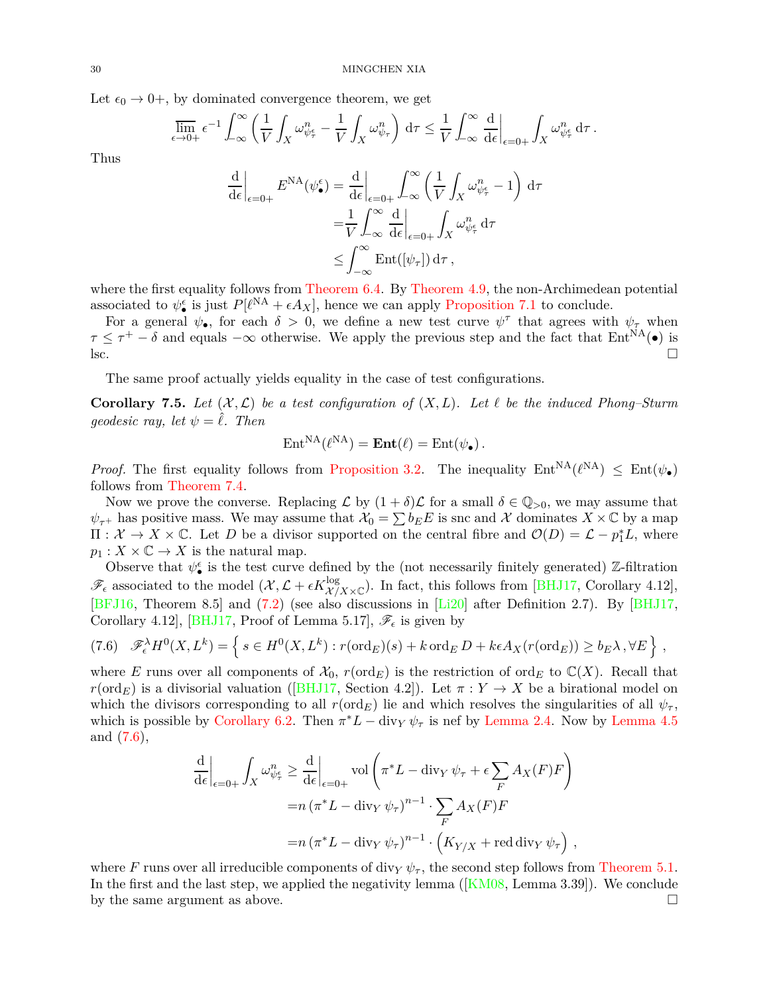Let  $\epsilon_0 \rightarrow 0^+$ , by dominated convergence theorem, we get

$$
\overline{\lim}_{\epsilon \to 0+} \epsilon^{-1} \int_{-\infty}^{\infty} \left( \frac{1}{V} \int_X \omega_{\psi_{\tau}}^n - \frac{1}{V} \int_X \omega_{\psi_{\tau}}^n \right) d\tau \leq \frac{1}{V} \int_{-\infty}^{\infty} \frac{d}{d\epsilon} \bigg|_{\epsilon=0+} \int_X \omega_{\psi_{\tau}}^n d\tau.
$$

Thus

$$
\frac{\mathrm{d}}{\mathrm{d}\epsilon}\Big|_{\epsilon=0+} E^{\mathrm{NA}}(\psi_{\bullet}^{\epsilon}) = \frac{\mathrm{d}}{\mathrm{d}\epsilon}\Big|_{\epsilon=0+} \int_{-\infty}^{\infty} \left(\frac{1}{V} \int_{X} \omega_{\psi_{\tau}^{\epsilon}}^{n} - 1\right) \mathrm{d}\tau
$$
\n
$$
= \frac{1}{V} \int_{-\infty}^{\infty} \frac{\mathrm{d}}{\mathrm{d}\epsilon}\Big|_{\epsilon=0+} \int_{X} \omega_{\psi_{\tau}^{\epsilon}}^{n} \mathrm{d}\tau
$$
\n
$$
\leq \int_{-\infty}^{\infty} \mathrm{Ent}([\psi_{\tau}]) \mathrm{d}\tau,
$$

where the first equality follows from [Theorem 6.4.](#page-23-4) By [Theorem 4.9,](#page-19-2) the non-Archimedean potential associated to  $\psi_{\bullet}^{\epsilon}$  is just  $P[\ell^{NA} + \epsilon A_X]$ , hence we can apply [Proposition 7.1](#page-27-5) to conclude.

For a general  $\psi_{\bullet}$ , for each  $\delta > 0$ , we define a new test curve  $\psi^{\tau}$  that agrees with  $\psi_{\tau}$  when  $\tau \leq \tau^+ - \delta$  and equals  $-\infty$  otherwise. We apply the previous step and the fact that  $Ent^{NA}(\bullet)$  is  $\Box$ 

<span id="page-29-0"></span>The same proof actually yields equality in the case of test configurations.

**Corollary 7.5.** Let  $(X, \mathcal{L})$  be a test configuration of  $(X, L)$ . Let  $\ell$  be the induced Phong–Sturm *geodesic ray, let*  $\psi = \ell$ *. Then* 

$$
Ent^{NA}(\ell^{NA}) = Ent(\ell) = Ent(\psi_{\bullet}).
$$

*Proof.* The first equality follows from [Proposition 3.2.](#page-14-4) The inequality  $Ent^{NA}(\ell^{NA}) \leq Ent(\psi_{\bullet})$ follows from [Theorem 7.4.](#page-28-0)

Now we prove the converse. Replacing  $\mathcal L$  by  $(1 + \delta)\mathcal L$  for a small  $\delta \in \mathbb Q_{>0}$ , we may assume that  $\psi_{\tau^+}$  has positive mass. We may assume that  $\mathcal{X}_0 = \sum b_E E$  is snc and X dominates  $X \times \mathbb{C}$  by a map  $\Pi: \mathcal{X} \to X \times \mathbb{C}$ . Let *D* be a divisor supported on the central fibre and  $\mathcal{O}(D) = \mathcal{L} - p_1^* L$ , where  $p_1: X \times \mathbb{C} \to X$  is the natural map.

Observe that  $\psi_{\bullet}^{\epsilon}$  is the test curve defined by the (not necessarily finitely generated) Z-filtration  $\mathscr{F}_{\epsilon}$  associated to the model  $(\mathcal{X}, \mathcal{L} + \epsilon K_{\mathcal{X}/X \times \mathbb{C}}^{\log})$ . In fact, this follows from [\[BHJ17](#page-34-2), Corollary 4.12], [\[BFJ16](#page-34-14), Theorem 8.5] and [\(7.2\)](#page-27-6) (see also discussions in [\[Li20\]](#page-37-7) after Definition 2.7). By [\[BHJ17](#page-34-2), Corollary 4.12], [\[BHJ17,](#page-34-2) Proof of Lemma 5.17],  $\mathscr{F}_{\epsilon}$  is given by

<span id="page-29-1"></span>
$$
(7.6) \quad \mathscr{F}_{\epsilon}^{\lambda} H^{0}(X, L^{k}) = \left\{ s \in H^{0}(X, L^{k}) : r(\text{ord}_{E})(s) + k \text{ ord}_{E} D + k \epsilon A_{X}(r(\text{ord}_{E})) \geq b_{E} \lambda, \forall E \right\},
$$

where *E* runs over all components of  $\mathcal{X}_0$ ,  $r(\text{ord}_E)$  is the restriction of ord<sub>*E*</sub> to  $\mathbb{C}(X)$ . Recall that *r*(ord<sub>*E*</sub>) is a divisorial valuation ([\[BHJ17](#page-34-2), Section 4.2]). Let  $\pi : Y \to X$  be a birational model on which the divisors corresponding to all  $r(\text{ord}_E)$  lie and which resolves the singularities of all  $\psi_\tau$ , which is possible by [Corollary 6.2.](#page-22-2) Then  $\pi^* L - \text{div}_Y \psi_\tau$  is nef by [Lemma 2.4.](#page-7-2) Now by [Lemma 4.5](#page-16-2) and [\(7.6\)](#page-29-1),

$$
\frac{\mathrm{d}}{\mathrm{d}\epsilon}\Big|_{\epsilon=0+} \int_X \omega_{\psi_\tau}^n \geq \frac{\mathrm{d}}{\mathrm{d}\epsilon}\Big|_{\epsilon=0+} \text{vol}\left(\pi^*L - \text{div}_Y \,\psi_\tau + \epsilon \sum_F A_X(F)F\right)
$$

$$
= n \left(\pi^*L - \text{div}_Y \,\psi_\tau\right)^{n-1} \cdot \sum_F A_X(F)F
$$

$$
= n \left(\pi^*L - \text{div}_Y \,\psi_\tau\right)^{n-1} \cdot \left(K_{Y/X} + \text{red } \text{div}_Y \,\psi_\tau\right),
$$

where *F* runs over all irreducible components of div<sub>*Y*</sub>  $\psi_{\tau}$ , the second step follows from [Theorem 5.1.](#page-20-1) In the first and the last step, we applied the negativity lemma ([\[KM08,](#page-37-17) Lemma 3.39]). We conclude by the same argument as above.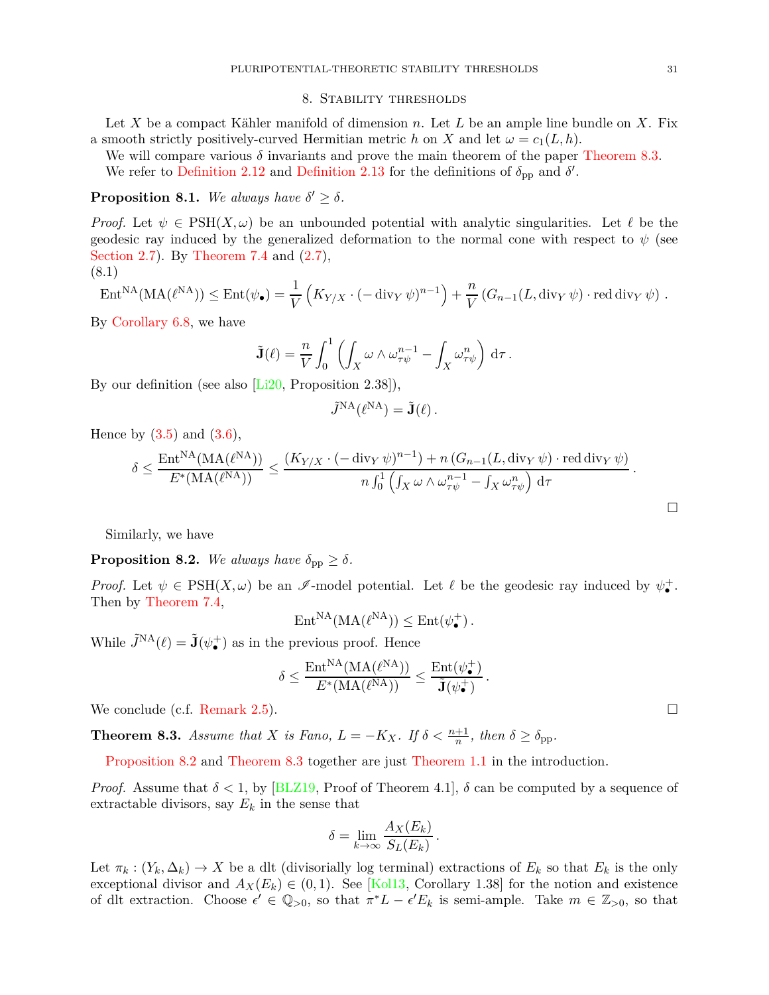#### 8. Stability thresholds

<span id="page-30-0"></span>Let *X* be a compact Kähler manifold of dimension *n*. Let *L* be an ample line bundle on *X*. Fix a smooth strictly positively-curved Hermitian metric *h* on *X* and let  $\omega = c_1(L, h)$ .

We will compare various  $\delta$  invariants and prove the main theorem of the paper [Theorem 8.3.](#page-30-1) We refer to [Definition 2.12](#page-10-2) and [Definition 2.13](#page-10-3) for the definitions of  $\delta_{\rm pp}$  and  $\delta'$ .

# **Proposition 8.1.** *We always have*  $\delta' \geq \delta$ *.*

*Proof.* Let  $\psi \in \text{PSH}(X, \omega)$  be an unbounded potential with analytic singularities. Let  $\ell$  be the geodesic ray induced by the generalized deformation to the normal cone with respect to  $\psi$  (see [Section 2.7\)](#page-9-2). By [Theorem 7.4](#page-28-0) and [\(2.7\)](#page-10-4), (8.1)

$$
\operatorname{Ent}^{\operatorname{NA}}(\operatorname{MA}(\ell^{\operatorname{NA}})) \le \operatorname{Ent}(\psi_{\bullet}) = \frac{1}{V} \left( K_{Y/X} \cdot (-\operatorname{div}_Y \psi)^{n-1} \right) + \frac{n}{V} \left( G_{n-1}(L, \operatorname{div}_Y \psi) \cdot \operatorname{red} \operatorname{div}_Y \psi \right) .
$$

By [Corollary 6.8,](#page-25-0) we have

$$
\tilde{\mathbf{J}}(\ell) = \frac{n}{V} \int_0^1 \left( \int_X \omega \wedge \omega_{\tau \psi}^{n-1} - \int_X \omega_{\tau \psi}^n \right) d\tau.
$$

By our definition (see also [\[Li20](#page-37-7), Proposition 2.38]),

$$
\tilde{J}^{\mathrm{NA}}(\ell^{\mathrm{NA}}) = \tilde{\mathbf{J}}(\ell) \, .
$$

Hence by  $(3.5)$  and  $(3.6)$ ,

$$
\delta \leq \frac{\text{Ent}^{\text{NA}}(\text{MA}(\ell^{\text{NA}}))}{E^*(\text{MA}(\ell^{\text{NA}}))} \leq \frac{(K_{Y/X} \cdot (-\text{div}_Y \psi)^{n-1}) + n (G_{n-1}(L, \text{div}_Y \psi) \cdot \text{red div}_Y \psi)}{n \int_0^1 \left( \int_X \omega \wedge \omega_{\tau \psi}^{n-1} - \int_X \omega_{\tau \psi}^n \right) d\tau}.
$$

<span id="page-30-2"></span>Similarly, we have

**Proposition 8.2.** *We always have*  $\delta_{\text{pp}} \geq \delta$ *.* 

*Proof.* Let  $\psi \in \text{PSH}(X, \omega)$  be an  $\mathscr{I}\text{-model}$  potential. Let  $\ell$  be the geodesic ray induced by  $\psi^+_{\bullet}$ . Then by [Theorem 7.4,](#page-28-0)

$$
\mathrm{Ent}^{\mathrm{NA}}(\mathrm{MA}(\ell^{\mathrm{NA}})) \leq \mathrm{Ent}(\psi_{\bullet}^{+}).
$$

While  $\tilde{J}^{\text{NA}}(\ell) = \tilde{\mathbf{J}}(\psi_{\bullet}^{+})$  as in the previous proof. Hence

$$
\delta \leq \frac{\mathrm{Ent}^{\mathrm{NA}}(\mathrm{MA}(\ell^{\mathrm{NA}}))}{E^*(\mathrm{MA}(\ell^{\mathrm{NA}}))} \leq \frac{\mathrm{Ent}(\psi^+_{\bullet})}{\tilde{\mathbf{J}}(\psi^+_{\bullet})}.
$$

<span id="page-30-1"></span>We conclude (c.f. [Remark 2.5\)](#page-10-5).  $\Box$ 

**Theorem 8.3.** *Assume that X is Fano,*  $L = -K_X$ *. If*  $\delta < \frac{n+1}{n}$ *, then*  $\delta \ge \delta_{\text{pp}}$ *.* 

[Proposition 8.2](#page-30-2) and [Theorem 8.3](#page-30-1) together are just [Theorem 1.1](#page-1-2) in the introduction.

*Proof.* Assume that  $\delta$  < 1, by [\[BLZ19](#page-35-3), Proof of Theorem 4.1],  $\delta$  can be computed by a sequence of extractable divisors, say  $E_k$  in the sense that

$$
\delta = \lim_{k \to \infty} \frac{A_X(E_k)}{S_L(E_k)}.
$$

Let  $\pi_k : (Y_k, \Delta_k) \to X$  be a dlt (divisorially log terminal) extractions of  $E_k$  so that  $E_k$  is the only exceptional divisor and  $A_X(E_k) \in (0,1)$ . See [\[Kol13](#page-37-9), Corollary 1.38] for the notion and existence of dlt extraction. Choose  $\epsilon' \in \mathbb{Q}_{>0}$ , so that  $\pi^* L - \epsilon' E_k$  is semi-ample. Take  $m \in \mathbb{Z}_{>0}$ , so that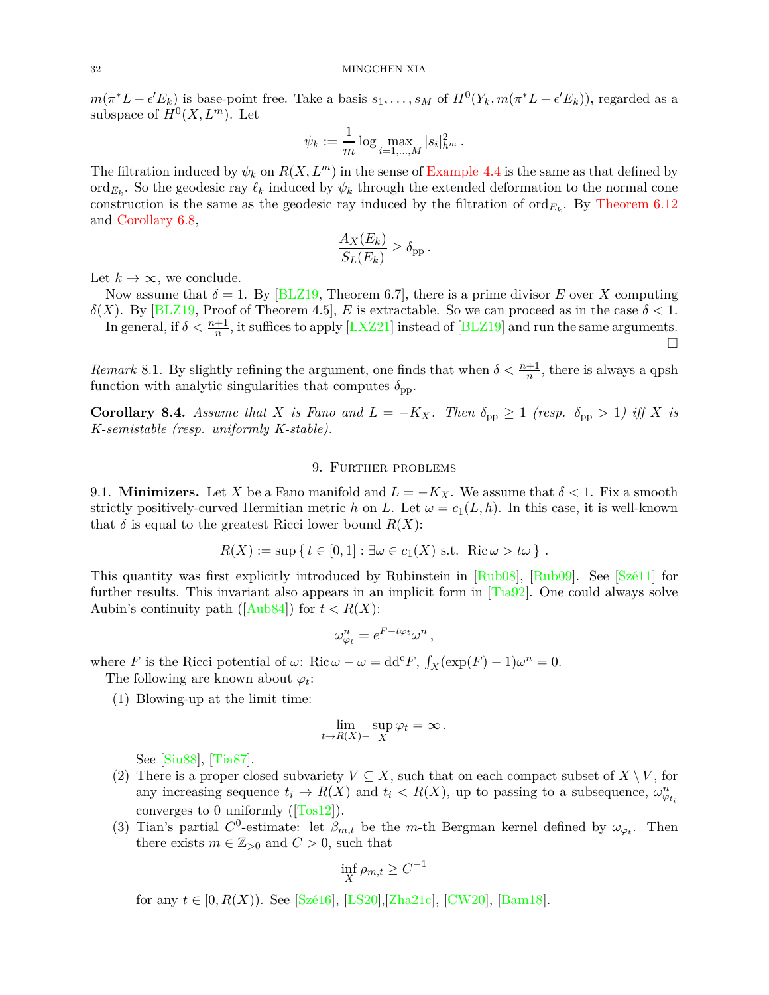$m(\pi^*L - \epsilon' E_k)$  is base-point free. Take a basis  $s_1, \ldots, s_M$  of  $H^0(Y_k, m(\pi^*L - \epsilon' E_k))$ , regarded as a subspace of  $H^0(X, L^m)$ . Let

$$
\psi_k := \frac{1}{m} \log \max_{i=1,\dots,M} |s_i|^2_{h^m}.
$$

The filtration induced by  $\psi_k$  on  $R(X, L^m)$  in the sense of [Example 4.4](#page-17-1) is the same as that defined by  $\text{ord}_{E_k}$ . So the geodesic ray  $\ell_k$  induced by  $\psi_k$  through the extended deformation to the normal cone construction is the same as the geodesic ray induced by the filtration of  $\text{ord}_{E_k}$ . By [Theorem 6.12](#page-26-2) and [Corollary 6.8,](#page-25-0)

$$
\frac{A_X(E_k)}{S_L(E_k)} \ge \delta_{\text{pp}}.
$$

Let  $k \to \infty$ , we conclude.

Now assume that  $\delta = 1$ . By [\[BLZ19,](#page-35-3) Theorem 6.7], there is a prime divisor *E* over *X* computing *δ*(*X*). By [\[BLZ19](#page-35-3), Proof of Theorem 4.5], *E* is extractable. So we can proceed as in the case  $\delta$  < 1. In general, if  $\delta < \frac{n+1}{n}$ , it suffices to apply [\[LXZ21](#page-37-6)] instead of [\[BLZ19](#page-35-3)] and run the same arguments.

 $\Box$ 

*Remark* 8.1. By slightly refining the argument, one finds that when  $\delta < \frac{n+1}{n}$ , there is always a qpsh function with analytic singularities that computes  $\delta_{\text{pp}}$ .

**Corollary 8.4.** Assume that *X* is Fano and  $L = -K_X$ . Then  $\delta_{\text{pp}} \geq 1$  (resp.  $\delta_{\text{pp}} > 1$ ) iff *X* is *K-semistable (resp. uniformly K-stable).*

## 9. Further problems

<span id="page-31-1"></span><span id="page-31-0"></span>9.1. **Minimizers.** Let *X* be a Fano manifold and  $L = -K_X$ . We assume that  $\delta < 1$ . Fix a smooth strictly positively-curved Hermitian metric *h* on *L*. Let  $\omega = c_1(L, h)$ . In this case, it is well-known that  $\delta$  is equal to the greatest Ricci lower bound  $R(X)$ :

$$
R(X) := \sup \{ t \in [0,1] : \exists \omega \in c_1(X) \text{ s.t. } \text{Ric } \omega > t\omega \} .
$$

This quantity was first explicitly introduced by Rubinstein in [\[Rub08](#page-37-18)], [\[Rub09\]](#page-37-19). See [\[Szé11](#page-38-9)] for further results. This invariant also appears in an implicit form in  $[Tia92]$ . One could always solve Aubin's continuity path ( $[Aub84]$  $[Aub84]$ ) for  $t < R(X)$ :

$$
\omega_{\varphi_t}^n = e^{F - t \varphi_t} \omega^n
$$

*,*

where *F* is the Ricci potential of  $\omega$ : Ric  $\omega - \omega = \text{dd}^c F$ ,  $\int_X (\exp(F) - 1) \omega^n = 0$ .

The following are known about  $\varphi_t$ :

(1) Blowing-up at the limit time:

$$
\lim_{t \to R(X)-} \sup_X \varphi_t = \infty \, .
$$

See [\[Siu88\]](#page-38-11), [\[Tia87\]](#page-38-12).

- (2) There is a proper closed subvariety  $V \subseteq X$ , such that on each compact subset of  $X \setminus V$ , for any increasing sequence  $t_i \to R(X)$  and  $t_i < R(X)$ , up to passing to a subsequence,  $\omega_{\varphi_{t_i}}^n$ converges to 0 uniformly  $(\text{Tos12})$ .
- (3) Tian's partial  $C^0$ -estimate: let  $\beta_{m,t}$  be the *m*-th Bergman kernel defined by  $\omega_{\varphi_t}$ . Then there exists  $m \in \mathbb{Z}_{>0}$  and  $C > 0$ , such that

$$
\inf_X \rho_{m,t} \ge C^{-1}
$$

for any  $t \in [0, R(X))$ . See [\[Szé16](#page-38-14)], [\[LS20\]](#page-37-20), [\[Zha21c\]](#page-38-15), [\[CW20](#page-35-18)], [\[Bam18](#page-34-16)].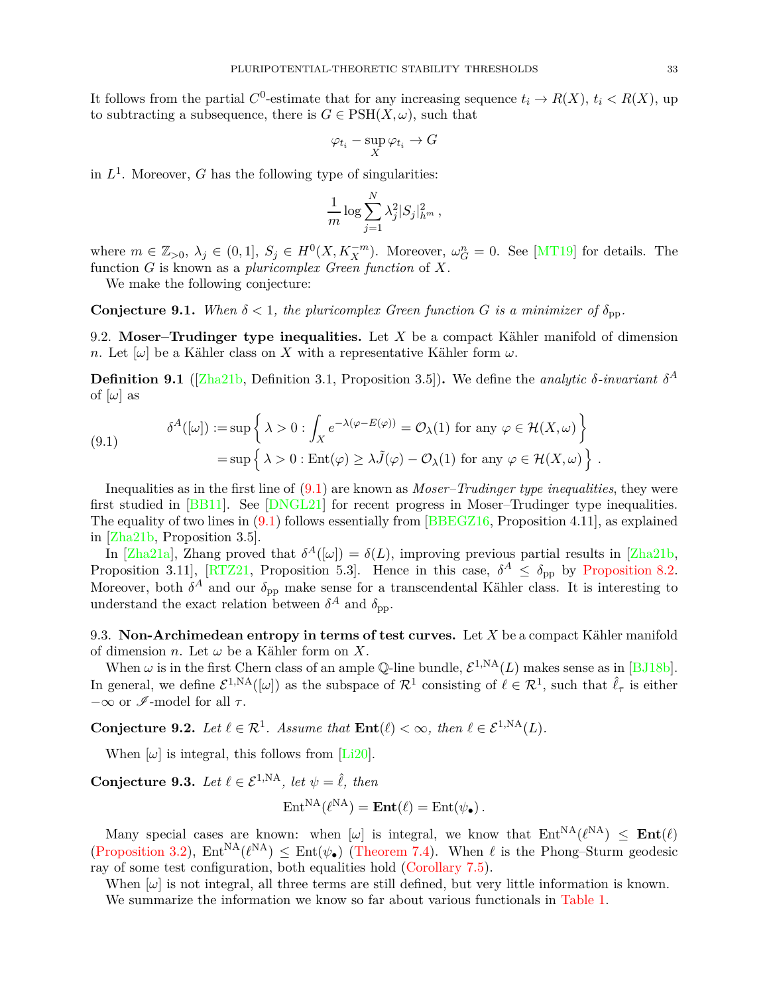It follows from the partial  $C^0$ -estimate that for any increasing sequence  $t_i \to R(X)$ ,  $t_i < R(X)$ , up to subtracting a subsequence, there is  $G \in \text{PSH}(X, \omega)$ , such that

$$
\varphi_{t_i} - \sup_X \varphi_{t_i} \to G
$$

in  $L^1$ . Moreover, *G* has the following type of singularities:

$$
\frac{1}{m}\log \sum_{j=1}^N \lambda_j^2 |S_j|_{h^m}^2,
$$

where  $m \in \mathbb{Z}_{>0}$ ,  $\lambda_j \in (0,1]$ ,  $S_j \in H^0(X, K_X^{-m})$ . Moreover,  $\omega_G^n = 0$ . See [\[MT19](#page-37-5)] for details. The function *G* is known as a *pluricomplex Green function* of *X*.

We make the following conjecture:

**Conjecture 9.1.** When  $\delta < 1$ , the pluricomplex Green function G is a minimizer of  $\delta_{\text{pp}}$ .

9.2. **Moser–Trudinger type inequalities.** Let *X* be a compact Kähler manifold of dimension *n*. Let  $[\omega]$  be a Kähler class on *X* with a representative Kähler form  $\omega$ .

**Definition 9.1** ([\[Zha21b](#page-38-16), Definition 3.1, Proposition 3.5]). We define the *analytic*  $\delta$ *-invariant*  $\delta^A$ of  $[\omega]$  as

<span id="page-32-0"></span>(9.1) 
$$
\delta^{A}([\omega]) := \sup \left\{ \lambda > 0 : \int_{X} e^{-\lambda(\varphi - E(\varphi))} = \mathcal{O}_{\lambda}(1) \text{ for any } \varphi \in \mathcal{H}(X, \omega) \right\} = \sup \left\{ \lambda > 0 : \text{Ent}(\varphi) \ge \lambda \tilde{J}(\varphi) - \mathcal{O}_{\lambda}(1) \text{ for any } \varphi \in \mathcal{H}(X, \omega) \right\}.
$$

Inequalities as in the first line of [\(9.1\)](#page-32-0) are known as *Moser–Trudinger type inequalities*, they were first studied in [\[BB11](#page-34-17)]. See [\[DNGL21\]](#page-36-22) for recent progress in Moser–Trudinger type inequalities. The equality of two lines in  $(9.1)$  follows essentially from [\[BBEGZ16](#page-34-18), Proposition 4.11], as explained in [\[Zha21b,](#page-38-16) Proposition 3.5].

In [\[Zha21a\]](#page-38-17), Zhang proved that  $\delta^{A}([\omega]) = \delta(L)$ , improving previous partial results in [\[Zha21b](#page-38-16), Proposition 3.11], [\[RTZ21,](#page-37-21) Proposition 5.3]. Hence in this case,  $\delta^A \leq \delta_{\text{pp}}$  by [Proposition 8.2.](#page-30-2) Moreover, both  $\delta^A$  and our  $\delta_{\rm pp}$  make sense for a transcendental Kähler class. It is interesting to understand the exact relation between  $\delta^A$  and  $\delta_{\text{pp}}$ .

9.3. **Non-Archimedean entropy in terms of test curves.** Let *X* be a compact Kähler manifold of dimension *n*. Let *ω* be a Kähler form on *X*.

When  $\omega$  is in the first Chern class of an ample Q-line bundle,  $\mathcal{E}^{1,NA}(L)$  makes sense as in [\[BJ18b\]](#page-35-8). In general, we define  $\mathcal{E}^{1,NA}([\omega])$  as the subspace of  $\mathcal{R}^1$  consisting of  $\ell \in \mathcal{R}^1$ , such that  $\hat{\ell}_{\tau}$  is either  $-\infty$  or  $\mathscr{I}\text{-model}$  for all  $\tau$ .

**Conjecture 9.2.** Let  $\ell \in \mathbb{R}^1$ . Assume that  $\text{Ent}(\ell) < \infty$ , then  $\ell \in \mathcal{E}^{1,NA}(L)$ .

<span id="page-32-1"></span>When  $[\omega]$  is integral, this follows from  $[Li20]$ .

**Conjecture 9.3.** *Let*  $\ell \in \mathcal{E}^{1,NA}$ *, let*  $\psi = \hat{\ell}$ *, then* 

$$
Ent^{NA}(\ell^{NA}) = Ent(\ell) = Ent(\psi_{\bullet}).
$$

Many special cases are known: when  $[\omega]$  is integral, we know that  $Ent^{NA}(\ell^{NA}) \leq Ent(\ell)$ [\(Proposition 3.2\)](#page-14-4),  $Ent^{NA}(\ell^{NA}) \leq Ent(\psi_{\bullet})$  [\(Theorem 7.4\)](#page-28-0). When  $\ell$  is the Phong–Sturm geodesic ray of some test configuration, both equalities hold [\(Corollary 7.5\)](#page-29-0).

When  $[\omega]$  is not integral, all three terms are still defined, but very little information is known.

We summarize the information we know so far about various functionals in [Table 1.](#page-33-0)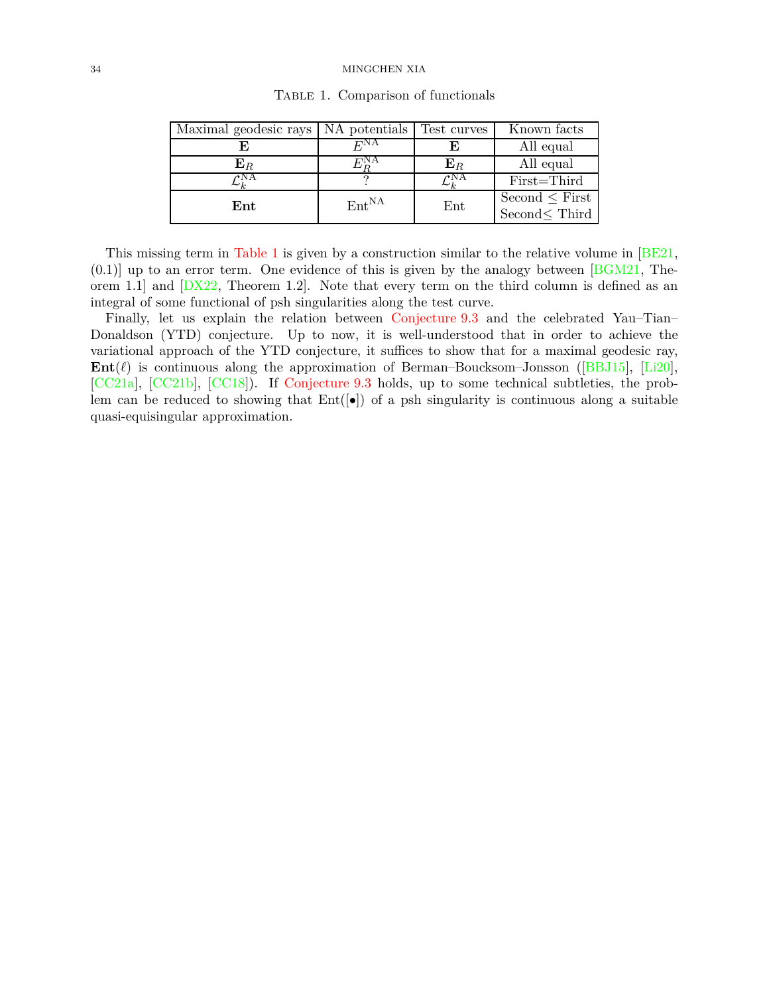| Maximal geodesic rays NA potentials |                   | Test curves    | Known facts                               |
|-------------------------------------|-------------------|----------------|-------------------------------------------|
|                                     | F <sup>NA</sup>   |                | All equal                                 |
| ${\bf E}_R$                         |                   | $\mathbf{E}_R$ | All equal                                 |
| $\gamma_{\rm NA}$                   |                   | οNΑ            | First=Third                               |
| Ent                                 | Ent <sup>NA</sup> | $_{\rm Ent}$   | Second $\leq$ First<br>Second $\le$ Third |

<span id="page-33-0"></span>TABLE 1. Comparison of functionals

This missing term in [Table 1](#page-33-0) is given by a construction similar to the relative volume in [\[BE21](#page-34-7),  $(0.1)$  up to an error term. One evidence of this is given by the analogy between [\[BGM21](#page-34-19), Theorem 1.1] and  $[DX22, Theorem 1.2]$ . Note that every term on the third column is defined as an integral of some functional of psh singularities along the test curve.

Finally, let us explain the relation between [Conjecture 9.3](#page-32-1) and the celebrated Yau–Tian– Donaldson (YTD) conjecture. Up to now, it is well-understood that in order to achieve the variational approach of the YTD conjecture, it suffices to show that for a maximal geodesic ray, **Ent**(*ℓ*) is continuous along the approximation of Berman–Boucksom–Jonsson ([\[BBJ15](#page-34-3)], [\[Li20\]](#page-37-7), [\[CC21a](#page-35-19)], [\[CC21b](#page-35-20)], [\[CC18](#page-35-21)]). If [Conjecture 9.3](#page-32-1) holds, up to some technical subtleties, the problem can be reduced to showing that  $Ent([\bullet])$  of a psh singularity is continuous along a suitable quasi-equisingular approximation.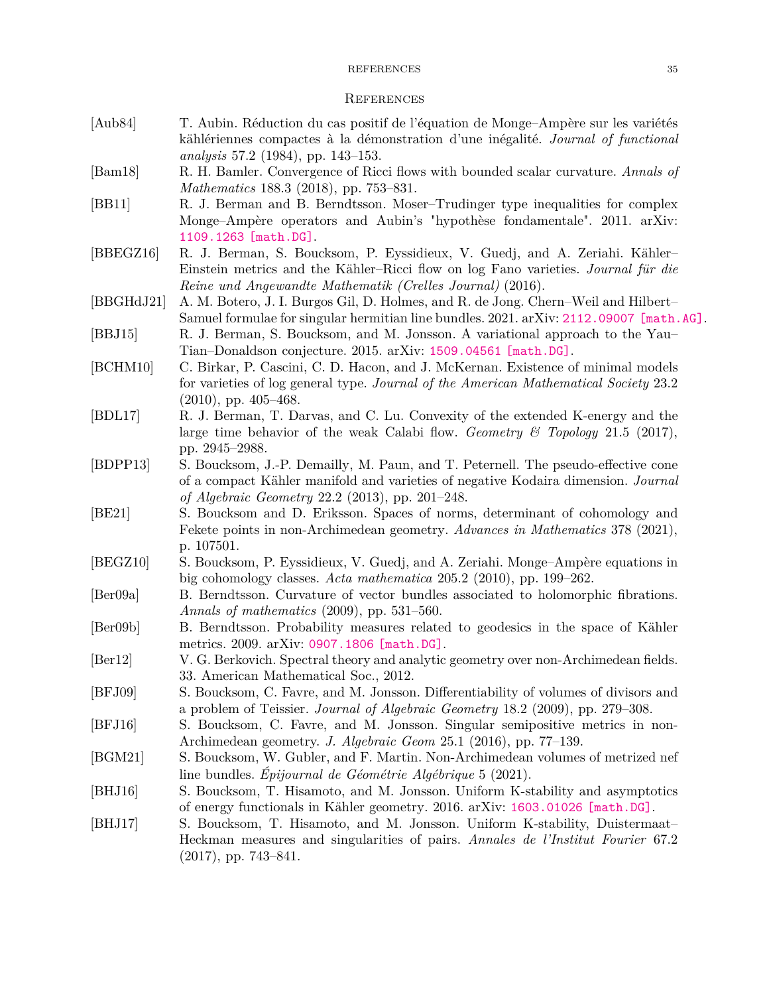#### REFERENCES 35

#### <span id="page-34-0"></span>**REFERENCES**

- <span id="page-34-15"></span>[Aub84] T. Aubin. Réduction du cas positif de l'équation de Monge–Ampère sur les variétés kählériennes compactes à la démonstration d'une inégalité. *Journal of functional analysis* 57.2 (1984), pp. 143–153.
- <span id="page-34-17"></span><span id="page-34-16"></span>[Bam18] R. H. Bamler. Convergence of Ricci flows with bounded scalar curvature. *Annals of Mathematics* 188.3 (2018), pp. 753–831.
- [BB11] R. J. Berman and B. Berndtsson. Moser–Trudinger type inequalities for complex Monge–Ampère operators and Aubin's "hypothèse fondamentale". 2011. arXiv: [1109.1263 \[math.DG\]](https://arxiv.org/abs/1109.1263).
- <span id="page-34-18"></span>[BBEGZ16] R. J. Berman, S. Boucksom, P. Eyssidieux, V. Guedj, and A. Zeriahi. Kähler– Einstein metrics and the Kähler–Ricci flow on log Fano varieties. *Journal für die Reine und Angewandte Mathematik (Crelles Journal)* (2016).
- <span id="page-34-13"></span><span id="page-34-3"></span>[BBGHdJ21] A. M. Botero, J. I. Burgos Gil, D. Holmes, and R. de Jong. Chern–Weil and Hilbert– Samuel formulae for singular hermitian line bundles. 2021. arXiv: [2112.09007 \[math.AG\]](https://arxiv.org/abs/2112.09007).
- <span id="page-34-4"></span>[BBJ15] R. J. Berman, S. Boucksom, and M. Jonsson. A variational approach to the Yau– Tian–Donaldson conjecture. 2015. arXiv: [1509.04561 \[math.DG\]](https://arxiv.org/abs/1509.04561).
- [BCHM10] C. Birkar, P. Cascini, C. D. Hacon, and J. McKernan. Existence of minimal models for varieties of log general type. *Journal of the American Mathematical Society* 23.2 (2010), pp. 405–468.
- <span id="page-34-10"></span>[BDL17] R. J. Berman, T. Darvas, and C. Lu. Convexity of the extended K-energy and the large time behavior of the weak Calabi flow. *Geometry & Topology* 21.5 (2017), pp. 2945–2988.
- <span id="page-34-12"></span>[BDPP13] S. Boucksom, J.-P. Demailly, M. Paun, and T. Peternell. The pseudo-effective cone of a compact Kähler manifold and varieties of negative Kodaira dimension. *Journal of Algebraic Geometry* 22.2 (2013), pp. 201–248.
- <span id="page-34-7"></span>[BE21] S. Boucksom and D. Eriksson. Spaces of norms, determinant of cohomology and Fekete points in non-Archimedean geometry. *Advances in Mathematics* 378 (2021), p. 107501.
- <span id="page-34-5"></span>[BEGZ10] S. Boucksom, P. Eyssidieux, V. Guedj, and A. Zeriahi. Monge–Ampère equations in big cohomology classes. *Acta mathematica* 205.2 (2010), pp. 199–262.
- <span id="page-34-8"></span>[Ber09a] B. Berndtsson. Curvature of vector bundles associated to holomorphic fibrations. *Annals of mathematics* (2009), pp. 531–560.
- <span id="page-34-11"></span><span id="page-34-9"></span>[Ber09b] B. Berndtsson. Probability measures related to geodesics in the space of Kähler metrics. 2009. arXiv: [0907.1806 \[math.DG\]](https://arxiv.org/abs/0907.1806).
- [Ber12] V. G. Berkovich. Spectral theory and analytic geometry over non-Archimedean fields. 33. American Mathematical Soc., 2012.
- <span id="page-34-6"></span>[BFJ09] S. Boucksom, C. Favre, and M. Jonsson. Differentiability of volumes of divisors and a problem of Teissier. *Journal of Algebraic Geometry* 18.2 (2009), pp. 279–308.
- <span id="page-34-14"></span>[BFJ16] S. Boucksom, C. Favre, and M. Jonsson. Singular semipositive metrics in non-Archimedean geometry. *J. Algebraic Geom* 25.1 (2016), pp. 77–139.
- <span id="page-34-19"></span>[BGM21] S. Boucksom, W. Gubler, and F. Martin. Non-Archimedean volumes of metrized nef line bundles. *Épijournal de Géométrie Algébrique* 5 (2021).
- <span id="page-34-1"></span>[BHJ16] S. Boucksom, T. Hisamoto, and M. Jonsson. Uniform K-stability and asymptotics of energy functionals in Kähler geometry. 2016. arXiv: [1603.01026 \[math.DG\]](https://arxiv.org/abs/1603.01026).
- <span id="page-34-2"></span>[BHJ17] S. Boucksom, T. Hisamoto, and M. Jonsson. Uniform K-stability, Duistermaat– Heckman measures and singularities of pairs. *Annales de l'Institut Fourier* 67.2 (2017), pp. 743–841.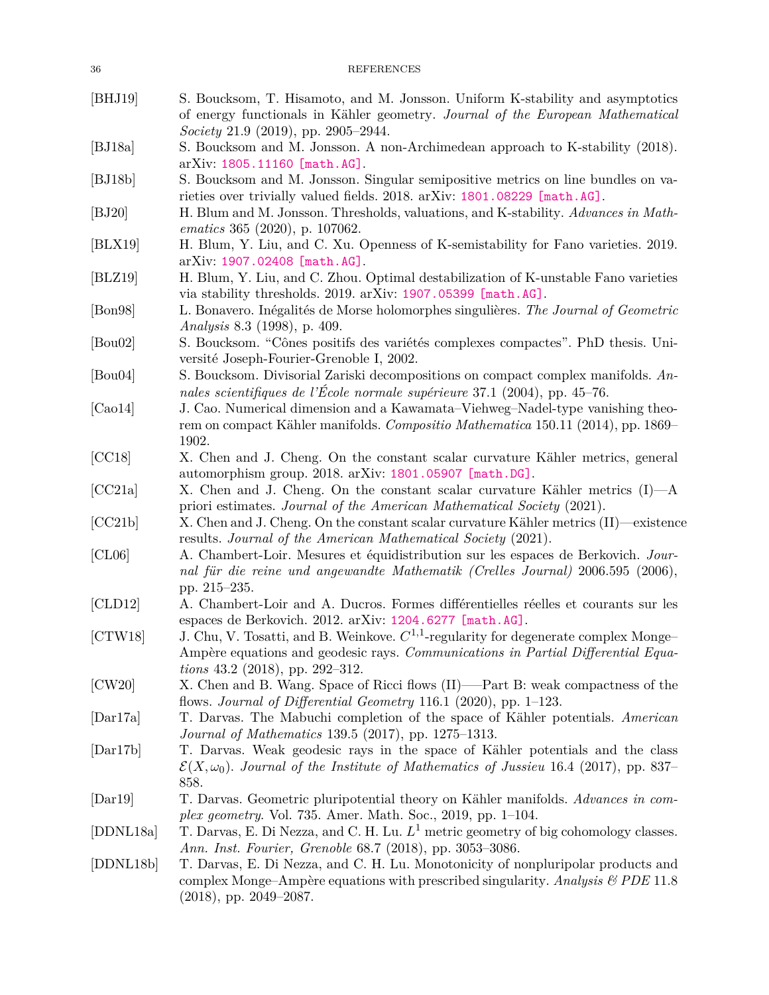<span id="page-35-21"></span><span id="page-35-20"></span><span id="page-35-19"></span><span id="page-35-18"></span><span id="page-35-17"></span><span id="page-35-16"></span><span id="page-35-15"></span><span id="page-35-14"></span><span id="page-35-13"></span><span id="page-35-12"></span><span id="page-35-11"></span><span id="page-35-10"></span><span id="page-35-9"></span><span id="page-35-8"></span><span id="page-35-7"></span><span id="page-35-6"></span><span id="page-35-5"></span><span id="page-35-4"></span><span id="page-35-3"></span><span id="page-35-2"></span><span id="page-35-1"></span><span id="page-35-0"></span>

| 36                          | <b>REFERENCES</b>                                                                                                                                                                                                      |
|-----------------------------|------------------------------------------------------------------------------------------------------------------------------------------------------------------------------------------------------------------------|
| [BHJ19]                     | S. Boucksom, T. Hisamoto, and M. Jonsson. Uniform K-stability and asymptotics<br>of energy functionals in Kähler geometry. Journal of the European Mathematical                                                        |
| [BJ18a]                     | Society 21.9 (2019), pp. 2905–2944.<br>S. Boucksom and M. Jonsson. A non-Archimedean approach to K-stability (2018).<br>arXiv: 1805.11160 [math.AG].                                                                   |
| [BJ18b]                     | S. Boucksom and M. Jonsson. Singular semipositive metrics on line bundles on va-<br>rieties over trivially valued fields. 2018. arXiv: 1801.08229 [math.AG].                                                           |
| [BJ20]                      | H. Blum and M. Jonsson. Thresholds, valuations, and K-stability. Advances in Math-<br>ematics 365 $(2020)$ , p. 107062.                                                                                                |
| [BLX19]                     | H. Blum, Y. Liu, and C. Xu. Openness of K-semistability for Fano varieties. 2019.<br>arXiv: 1907.02408 [math.AG].                                                                                                      |
| [BLZ19]                     | H. Blum, Y. Liu, and C. Zhou. Optimal destabilization of K-unstable Fano varieties<br>via stability thresholds. 2019. arXiv: 1907.05399 [math.AG].                                                                     |
| [Bon98]                     | L. Bonavero. Inégalités de Morse holomorphes singulières. The Journal of Geometric<br><i>Analysis</i> 8.3 (1998), p. 409.                                                                                              |
| $[$ Bou $02]$               | S. Boucksom. "Cônes positifs des variétés complexes compactes". PhD thesis. Uni-<br>versité Joseph-Fourier-Grenoble I, 2002.                                                                                           |
| $[$ Bou $04]$               | S. Boucksom. Divisorial Zariski decompositions on compact complex manifolds. An-<br>nales scientifiques de l'École normale supérieure 37.1 (2004), pp. 45–76.                                                          |
| [Cao14]                     | J. Cao. Numerical dimension and a Kawamata–Viehweg–Nadel-type vanishing theo-<br>rem on compact Kähler manifolds. Compositio Mathematica 150.11 (2014), pp. 1869–<br>1902.                                             |
| [CC18]                      | X. Chen and J. Cheng. On the constant scalar curvature Kähler metrics, general<br>automorphism group. 2018. arXiv: 1801.05907 [math.DG].                                                                               |
| [CC21a]                     | X. Chen and J. Cheng. On the constant scalar curvature Kähler metrics $(I)$ —A<br>priori estimates. Journal of the American Mathematical Society (2021).                                                               |
| [CC21b]                     | X. Chen and J. Cheng. On the constant scalar curvature Kähler metrics (II)—existence<br>results. Journal of the American Mathematical Society (2021).                                                                  |
| [CL06]                      | A. Chambert-Loir. Mesures et équidistribution sur les espaces de Berkovich. Jour-<br>nal für die reine und angewandte Mathematik (Crelles Journal) 2006.595 (2006),<br>pp. 215-235.                                    |
| [CLD12]                     | A. Chambert-Loir and A. Ducros. Formes différentielles réelles et courants sur les<br>espaces de Berkovich. 2012. arXiv: 1204.6277 [math.AG].                                                                          |
| [CTW18]                     | J. Chu, V. Tosatti, and B. Weinkove. $C^{1,1}$ -regularity for degenerate complex Monge-<br>Ampère equations and geodesic rays. Communications in Partial Differential Equa-<br><i>tions</i> 43.2 (2018), pp. 292–312. |
| [CW20]                      | X. Chen and B. Wang. Space of Ricci flows (II)—Part B: weak compactness of the<br>flows. Journal of Differential Geometry 116.1 (2020), pp. 1–123.                                                                     |
| $\left[{\rm Dar17a}\right]$ | T. Darvas. The Mabuchi completion of the space of Kähler potentials. American<br><i>Journal of Mathematics</i> 139.5 (2017), pp. 1275–1313.                                                                            |
| [Dar17b]                    | T. Darvas. Weak geodesic rays in the space of Kähler potentials and the class<br>$\mathcal{E}(X,\omega_0)$ . Journal of the Institute of Mathematics of Jussieu 16.4 (2017), pp. 837–<br>858.                          |
| $\left[$ Dar19 $\right]$    | T. Darvas. Geometric pluripotential theory on Kähler manifolds. Advances in com-<br><i>plex geometry.</i> Vol. 735. Amer. Math. Soc., 2019, pp. 1–104.                                                                 |
| [DDNL18a]                   | T. Darvas, E. Di Nezza, and C. H. Lu. $L^1$ metric geometry of big cohomology classes.<br>Ann. Inst. Fourier, Grenoble 68.7 (2018), pp. 3053-3086.                                                                     |
| [DDNL18b]                   | T. Darvas, E. Di Nezza, and C. H. Lu. Monotonicity of nonpluripolar products and<br>complex Monge-Ampère equations with prescribed singularity. Analysis $\mathcal B$ PDE 11.8<br>(2018), pp. 2049-2087.               |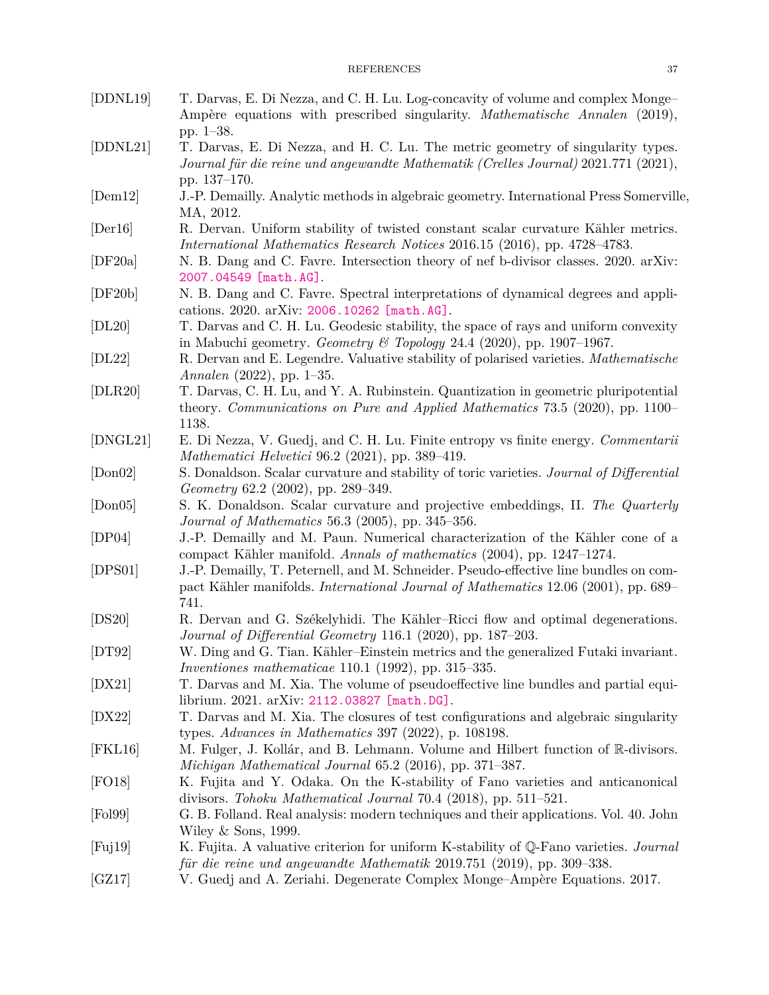<span id="page-36-22"></span><span id="page-36-18"></span><span id="page-36-17"></span><span id="page-36-16"></span><span id="page-36-15"></span><span id="page-36-14"></span><span id="page-36-12"></span><span id="page-36-8"></span><span id="page-36-5"></span><span id="page-36-2"></span><span id="page-36-1"></span>

| [DDNL19]        | T. Darvas, E. Di Nezza, and C. H. Lu. Log-concavity of volume and complex Monge-<br>Ampère equations with prescribed singularity. <i>Mathematische Annalen</i> (2019),                     |
|-----------------|--------------------------------------------------------------------------------------------------------------------------------------------------------------------------------------------|
| [DDNL21]        | pp. 1–38.<br>T. Darvas, E. Di Nezza, and H. C. Lu. The metric geometry of singularity types.<br>Journal für die reine und angewandte Mathematik (Crelles Journal) 2021.771 (2021),         |
| [Dem12]         | pp. 137–170.<br>J.-P. Demailly. Analytic methods in algebraic geometry. International Press Somerville,<br>MA, 2012.                                                                       |
| [Der16]         | R. Dervan. Uniform stability of twisted constant scalar curvature Kähler metrics.<br>International Mathematics Research Notices 2016.15 (2016), pp. 4728–4783.                             |
| [DF20a]         | N. B. Dang and C. Favre. Intersection theory of nef b-divisor classes. 2020. arXiv:<br>2007.04549 [math.AG].                                                                               |
| [DF20b]         | N. B. Dang and C. Favre. Spectral interpretations of dynamical degrees and appli-<br>cations. 2020. arXiv: 2006.10262 [math.AG].                                                           |
| [DL20]          | T. Darvas and C. H. Lu. Geodesic stability, the space of rays and uniform convexity<br>in Mabuchi geometry. Geometry & Topology 24.4 (2020), pp. 1907–1967.                                |
| [DL22]          | R. Dervan and E. Legendre. Valuative stability of polarised varieties. <i>Mathematische</i><br>Annalen $(2022)$ , pp. 1–35.                                                                |
| [DLR20]         | T. Darvas, C. H. Lu, and Y. A. Rubinstein. Quantization in geometric pluripotential<br>theory. Communications on Pure and Applied Mathematics 73.5 (2020), pp. 1100–<br>1138.              |
| [DNGL21]        | E. Di Nezza, V. Guedj, and C. H. Lu. Finite entropy vs finite energy. Commentarii<br><i>Mathematici Helvetici</i> 96.2 (2021), pp. 389–419.                                                |
| [Don02]         | S. Donaldson. Scalar curvature and stability of toric varieties. Journal of Differential<br>Geometry 62.2 (2002), pp. 289–349.                                                             |
| [Don05]         | S. K. Donaldson. Scalar curvature and projective embeddings, II. The Quarterly<br><i>Journal of Mathematics</i> 56.3 (2005), pp. 345–356.                                                  |
| [DP04]          | J.-P. Demailly and M. Paun. Numerical characterization of the Kähler cone of a<br>compact Kähler manifold. Annals of mathematics (2004), pp. 1247-1274.                                    |
| [DPS01]         | J.-P. Demailly, T. Peternell, and M. Schneider. Pseudo-effective line bundles on com-<br>pact Kähler manifolds. <i>International Journal of Mathematics</i> 12.06 (2001), pp. 689–<br>741. |
| [DS20]          | R. Dervan and G. Székelyhidi. The Kähler-Ricci flow and optimal degenerations.<br>Journal of Differential Geometry 116.1 (2020), pp. 187–203.                                              |
| [DT92]          | W. Ding and G. Tian. Kähler-Einstein metrics and the generalized Futaki invariant.<br><i>Inventiones mathematicae</i> 110.1 (1992), pp. 315–335.                                           |
| [DX21]          | T. Darvas and M. Xia. The volume of pseudoeffective line bundles and partial equi-<br>librium. 2021. arXiv: 2112.03827 [math.DG].                                                          |
| [DX22]          | T. Darvas and M. Xia. The closures of test configurations and algebraic singularity<br>types. Advances in Mathematics 397 (2022), p. 108198.                                               |
| [FKL16]         | M. Fulger, J. Kollár, and B. Lehmann. Volume and Hilbert function of R-divisors.<br>Michigan Mathematical Journal 65.2 (2016), pp. 371–387.                                                |
| [FO18]          | K. Fujita and Y. Odaka. On the K-stability of Fano varieties and anticanonical<br>divisors. Tohoku Mathematical Journal 70.4 (2018), pp. 511–521.                                          |
| [Pol99]         | G. B. Folland. Real analysis: modern techniques and their applications. Vol. 40. John<br>Wiley $&$ Sons, 1999.                                                                             |
| $[{\rm Fuj19}]$ | K. Fujita. A valuative criterion for uniform K-stability of Q-Fano varieties. Journal<br>für die reine und angewandte Mathematik 2019.751 (2019), pp. 309–338.                             |

<span id="page-36-21"></span><span id="page-36-20"></span><span id="page-36-19"></span><span id="page-36-13"></span><span id="page-36-11"></span><span id="page-36-10"></span><span id="page-36-9"></span><span id="page-36-7"></span><span id="page-36-6"></span><span id="page-36-4"></span><span id="page-36-3"></span><span id="page-36-0"></span>[GZ17] V. Guedj and A. Zeriahi. Degenerate Complex Monge–Ampère Equations. 2017.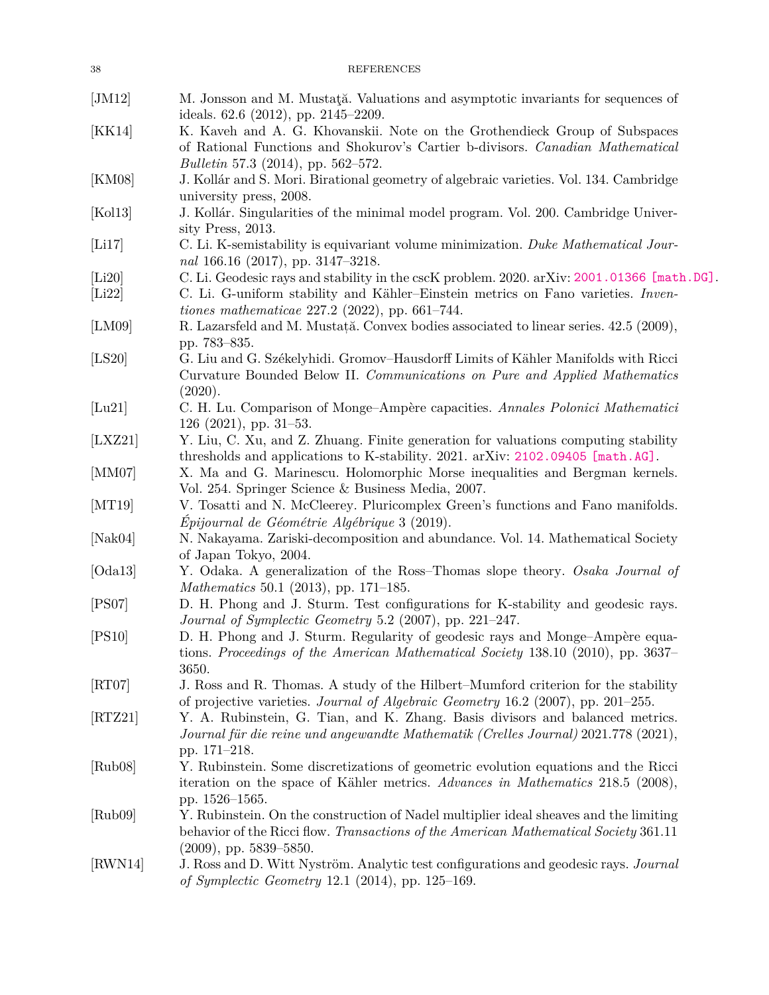<span id="page-37-21"></span><span id="page-37-20"></span><span id="page-37-19"></span><span id="page-37-18"></span><span id="page-37-17"></span><span id="page-37-16"></span><span id="page-37-15"></span><span id="page-37-14"></span><span id="page-37-13"></span><span id="page-37-12"></span><span id="page-37-11"></span><span id="page-37-10"></span><span id="page-37-9"></span><span id="page-37-8"></span><span id="page-37-7"></span><span id="page-37-6"></span><span id="page-37-5"></span><span id="page-37-4"></span><span id="page-37-3"></span><span id="page-37-2"></span><span id="page-37-1"></span><span id="page-37-0"></span>

| 38                          | <b>REFERENCES</b>                                                                                                                                                                                                                            |
|-----------------------------|----------------------------------------------------------------------------------------------------------------------------------------------------------------------------------------------------------------------------------------------|
| [JM12]                      | M. Jonsson and M. Mustata. Valuations and asymptotic invariants for sequences of<br>ideals. $62.6$ (2012), pp. $2145-2209$ .                                                                                                                 |
| [KK14]                      | K. Kaveh and A. G. Khovanskii. Note on the Grothendieck Group of Subspaces<br>of Rational Functions and Shokurov's Cartier b-divisors. Canadian Mathematical<br><i>Bulletin</i> 57.3 (2014), pp. 562–572.                                    |
| [KM08]                      | J. Kollár and S. Mori. Birational geometry of algebraic varieties. Vol. 134. Cambridge<br>university press, 2008.                                                                                                                            |
| [Kol13]                     | J. Kollár. Singularities of the minimal model program. Vol. 200. Cambridge Univer-<br>sity Press, 2013.                                                                                                                                      |
| [Li17]                      | C. Li. K-semistability is equivariant volume minimization. Duke Mathematical Jour-<br>nal 166.16 (2017), pp. 3147-3218.                                                                                                                      |
| [Li20]<br>[Li22]            | C. Li. Geodesic rays and stability in the cscK problem. 2020. arXiv: 2001.01366 [math.DG].<br>C. Li. G-uniform stability and Kähler-Einstein metrics on Fano varieties. Inven-<br><i>tiones mathematicae</i> $227.2$ $(2022)$ , pp. 661-744. |
| [LM09]                      | R. Lazarsfeld and M. Mustată. Convex bodies associated to linear series. 42.5 (2009),<br>pp. 783–835.                                                                                                                                        |
| [LS20]                      | G. Liu and G. Székelyhidi. Gromov-Hausdorff Limits of Kähler Manifolds with Ricci<br>Curvature Bounded Below II. Communications on Pure and Applied Mathematics<br>(2020).                                                                   |
| [Lu21]                      | C. H. Lu. Comparison of Monge-Ampère capacities. Annales Polonici Mathematici<br>$126$ (2021), pp. 31–53.                                                                                                                                    |
| [LXZ21]                     | Y. Liu, C. Xu, and Z. Zhuang. Finite generation for valuations computing stability<br>thresholds and applications to K-stability. 2021. arXiv: 2102.09405 [math.AG].                                                                         |
| [MM07]                      | X. Ma and G. Marinescu. Holomorphic Morse inequalities and Bergman kernels.<br>Vol. 254. Springer Science & Business Media, 2007.                                                                                                            |
| [MT19]                      | V. Tosatti and N. McCleerey. Pluricomplex Green's functions and Fano manifolds.<br>Épijournal de Géométrie Algébrique 3 (2019).                                                                                                              |
| [Nak04]                     | N. Nakayama. Zariski-decomposition and abundance. Vol. 14. Mathematical Society<br>of Japan Tokyo, 2004.                                                                                                                                     |
| [Oda13]                     | Y. Odaka. A generalization of the Ross-Thomas slope theory. Osaka Journal of<br>Mathematics 50.1 (2013), pp. 171–185.                                                                                                                        |
| [PS07]                      | D. H. Phong and J. Sturm. Test configurations for K-stability and geodesic rays.<br>Journal of Symplectic Geometry 5.2 (2007), pp. 221–247.                                                                                                  |
| [PS10]                      | D. H. Phong and J. Sturm. Regularity of geodesic rays and Monge-Ampère equa-<br>tions. Proceedings of the American Mathematical Society 138.10 (2010), pp. 3637–<br>3650.                                                                    |
| $\left[\text{RT07}\right]$  | J. Ross and R. Thomas. A study of the Hilbert-Mumford criterion for the stability<br>of projective varieties. Journal of Algebraic Geometry 16.2 (2007), pp. 201–255.                                                                        |
| $\left[\text{RTZ}21\right]$ | Y. A. Rubinstein, G. Tian, and K. Zhang. Basis divisors and balanced metrics.<br>Journal für die reine und angewandte Mathematik (Crelles Journal) 2021.778 (2021),<br>pp. 171–218.                                                          |
| [Rub08]                     | Y. Rubinstein. Some discretizations of geometric evolution equations and the Ricci<br>iteration on the space of Kähler metrics. Advances in Mathematics 218.5 (2008),<br>pp. 1526-1565.                                                      |
| [Rub09]                     | Y. Rubinstein. On the construction of Nadel multiplier ideal sheaves and the limiting<br>behavior of the Ricci flow. Transactions of the American Mathematical Society 361.11<br>$(2009)$ , pp. 5839–5850.                                   |
| [RWN14]                     | J. Ross and D. Witt Nyström. Analytic test configurations and geodesic rays. Journal<br>of Symplectic Geometry 12.1 (2014), pp. 125–169.                                                                                                     |